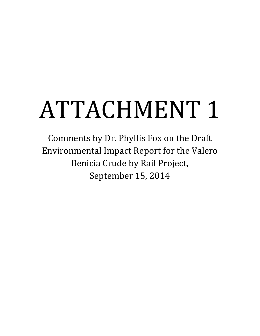# ATTACHMENT 1

Comments by Dr. Phyllis Fox on the Draft Environmental Impact Report for the Valero Benicia Crude by Rail Project, September 15, 2014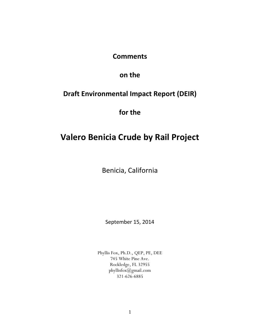### **Comments**

## **on the**

## **Draft Environmental Impact Report (DEIR)**

**for the**

# **Valero Benicia Crude by Rail Project**

Benicia, California

September 15, 2014

Phyllis Fox, Ph.D., QEP, PE, DEE 745 White Pine Ave. Rockledge, FL 32955 phyllisfox@gmail.com 321-626-6885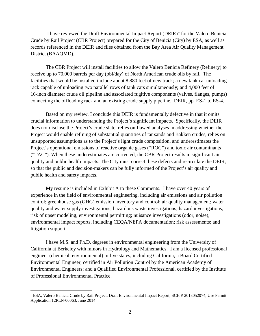I have reviewed the Draft Environmental Impact Report (DEIR)[1](#page-2-0) for the Valero Benicia Crude by Rail Project (CBR Project) prepared for the City of Benicia (City) by ESA, as well as records referenced in the DEIR and files obtained from the Bay Area Air Quality Management District (BAAQMD).

The CBR Project will install facilities to allow the Valero Benicia Refinery (Refinery) to receive up to 70,000 barrels per day (bbl/day) of North American crude oils by rail. The facilities that would be installed include about 8,880 feet of new track; a new tank car unloading rack capable of unloading two parallel rows of tank cars simultaneously; and 4,000 feet of 16-inch diameter crude oil pipeline and associated fugitive components (valves, flanges, pumps) connecting the offloading rack and an existing crude supply pipeline. DEIR, pp. ES-1 to ES-4.

Based on my review, I conclude this DEIR is fundamentally defective in that it omits crucial information to understanding the Project's significant impacts. Specifically, the DEIR does not disclose the Project's crude slate, relies on flawed analyses in addressing whether the Project would enable refining of substantial quantities of tar sands and Bakken crudes, relies on unsupported assumptions as to the Project's light crude composition, and underestimates the Project's operational emissions of reactive organic gases ("ROG") and toxic air contaminants ("TAC"). When these underestimates are corrected, the CBR Project results in significant air quality and public health impacts. The City must correct these defects and recirculate the DEIR, so that the public and decision-makers can be fully informed of the Project's air quality and public health and safety impacts.

My resume is included in Exhibit A to these Comments. I have over 40 years of experience in the field of environmental engineering, including air emissions and air pollution control; greenhouse gas (GHG) emission inventory and control; air quality management; water quality and water supply investigations; hazardous waste investigations; hazard investigations; risk of upset modeling; environmental permitting; nuisance investigations (odor, noise); environmental impact reports, including CEQA/NEPA documentation; risk assessments; and litigation support.

I have M.S. and Ph.D. degrees in environmental engineering from the University of California at Berkeley with minors in Hydrology and Mathematics. I am a licensed professional engineer (chemical, environmental) in five states, including California; a Board Certified Environmental Engineer, certified in Air Pollution Control by the American Academy of Environmental Engineers; and a Qualified Environmental Professional, certified by the Institute of Professional Environmental Practice.

<span id="page-2-0"></span><sup>&</sup>lt;sup>1</sup> ESA, Valero Benicia Crude by Rail Project, Draft Environmental Impact Report, SCH # 2013052074, Use Permit Application 12PLN-00063, June 2014.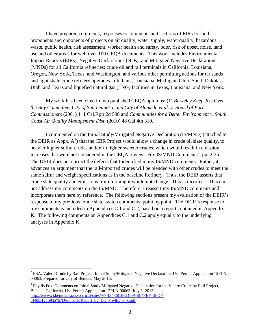I have prepared comments, responses to comments and sections of EIRs for both proponents and opponents of projects on air quality, water supply, water quality, hazardous waste, public health, risk assessment, worker health and safety, odor, risk of upset, noise, land use and other areas for well over 100 CEQA documents. This work includes Environmental Impact Reports (EIRs), Negative Declarations (NDs), and Mitigated Negative Declarations (MNDs) for all California refineries; crude oil and rail terminals in California, Louisiana, Oregon, New York, Texas, and Washington; and various other permitting actions for tar sands and light shale crude refinery upgrades in Indiana, Louisiana, Michigan, Ohio, South Dakota, Utah, and Texas and liquefied natural gas (LNG) facilities in Texas, Louisiana, and New York.

My work has been cited in two published CEQA opinions: (1) *Berkeley Keep Jets Over the Bay Committee, City of San Leandro, and City of Alameda et al. v. Board of Port Commissioners* (2001) 111 Cal.Rptr.2d 598 and *Communities for a Better Environment v. South Coast Air Quality Management Dist.* (2010) 48 Cal.4th 310.

I commented on the Initial Study/Mitigated Negative Declaration (IS/MND) (attached to the DEIR as Appx.  $A^2$  $A^2$ ) that the CBR Project would allow a change in crude oil slate quality, to heavier higher sulfur crudes and/or to lighter sweeter crudes, which would result in emission increases that were not considered in the CEQA review. Fox IS/MND Comments<sup>[3](#page-3-1)</sup>, pp. 2-35. The DEIR does not correct the defects that I identified in my IS/MND comments. Rather, it advances an argument that the rail-imported crudes will be blended with other crudes to meet the same sulfur and weight specifications as in the baseline Refinery. Thus, the DEIR asserts that crude slate quality and emissions from refining it would not change. This is incorrect. This does not address my comments on the IS/MND. Therefore, I reassert my IS/MND comments and incorporate them here by reference. The following sections present my evaluation of the DEIR's response to my previous crude slate switch comments, point by point. The DEIR's response to my comments is included in Appendices C.1 and C.2, based on a report contained in Appendix K. The following comments on Appendices C.1 and C.2 apply equally to the underlying analyses in Appendix K.

<span id="page-3-0"></span><sup>&</sup>lt;sup>2</sup> ESA, Valero Crude by Rail Project, Initial Study/Mitigated Negative Declaration, Use Permit Application 12PLN-00063, Prepared for City of Benicia, May 2013.

<span id="page-3-1"></span><sup>&</sup>lt;sup>3</sup> Phyllis Fox, Comments on Initial Study/Mitigated Negative Declaration for the Valero Crude by Rail Project, Benicia, California, Use Permit Application 12PLN-00063, July 1, 2013; [http://www.ci.benicia.ca.us/vertical/sites/%7B3436CBED-6A58-4FEF-BFDF-](http://www.ci.benicia.ca.us/vertical/sites/%7B3436CBED-6A58-4FEF-BFDF-5F9331215932%7D/uploads/Report_by_Dr._Phyllis_Fox.pdf)[5F9331215932%7D/uploads/Report\\_by\\_Dr.\\_Phyllis\\_Fox.pdf.](http://www.ci.benicia.ca.us/vertical/sites/%7B3436CBED-6A58-4FEF-BFDF-5F9331215932%7D/uploads/Report_by_Dr._Phyllis_Fox.pdf)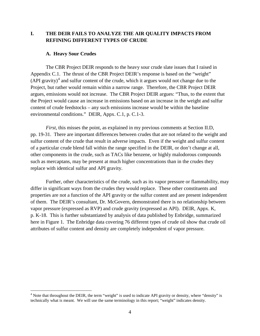#### **I. THE DEIR FAILS TO ANALYZE THE AIR QUALITY IMPACTS FROM REFINING DIFFERENT TYPES OF CRUDE**

#### **A. Heavy Sour Crudes**

The CBR Project DEIR responds to the heavy sour crude slate issues that I raised in Appendix C.1. The thrust of the CBR Project DEIR's response is based on the "weight"  $(API gravity)<sup>4</sup>$  $(API gravity)<sup>4</sup>$  $(API gravity)<sup>4</sup>$  and sulfur content of the crude, which it argues would not change due to the Project, but rather would remain within a narrow range. Therefore, the CBR Project DEIR argues, emissions would not increase. The CBR Project DEIR argues: "Thus, to the extent that the Project would cause an increase in emissions based on an increase in the weight and sulfur content of crude feedstocks – any such emissions increase would be within the baseline environmental conditions." DEIR, Appx. C.1, p. C.1-3.

*First*, this misses the point, as explained in my previous comments at Section II.D, pp. 19-31. There are important differences between crudes that are not related to the weight and sulfur content of the crude that result in adverse impacts. Even if the weight and sulfur content of a particular crude blend fall within the range specified in the DEIR, or don't change at all, other components in the crude, such as TACs like benzene, or highly malodorous compounds such as mercaptans, may be present at much higher concentrations than in the crudes they replace with identical sulfur and API gravity.

Further, other characteristics of the crude, such as its vapor pressure or flammability, may differ in significant ways from the crudes they would replace. These other constituents and properties are not a function of the API gravity or the sulfur content and are present independent of them. The DEIR's consultant, Dr. McGovern, demonstrated there is no relationship between vapor pressure (expressed as RVP) and crude gravity (expressed as API). DEIR, Appx. K, p. K-18. This is further substantiated by analysis of data published by Enbridge, summarized here in Figure 1. The Enbridge data covering 76 different types of crude oil show that crude oil attributes of sulfur content and density are completely independent of vapor pressure.

<span id="page-4-0"></span> $<sup>4</sup>$  Note that throughout the DEIR, the term "weight" is used to indicate API gravity or density, where "density" is</sup> technically what is meant. We will use the same terminology in this report; "weight" indicates density.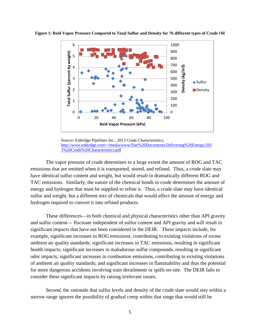

**Figure 1: Reid Vapor Pressure Compared to Total Sulfur and Density for 76 different types of Crude Oil**

The vapor pressure of crude determines to a large extent the amount of ROG and TAC emissions that are emitted when it is transported, stored, and refined. Thus, a crude slate may have identical sulfur content and weight, but would result in dramatically different ROG and TAC emissions. Similarly, the nature of the chemical bonds in crude determines the amount of energy and hydrogen that must be supplied to refine it. Thus, a crude slate may have identical sulfur and weight, but a different mix of chemicals that would affect the amount of energy and hydrogen required to convert it into refined products.

These differences—in both chemical and physical characteristics other than API gravity and sulfur content— fluctuate independent of sulfur content and API gravity and will result in significant impacts that have not been considered in the DEIR. These impacts include, for example, significant increases in ROG emissions, contributing to existing violations of ozone ambient air quality standards; significant increases in TAC emissions, resulting in significant health impacts; significant increases in malodorous sulfur compounds, resulting in significant odor impacts; significant increases in combustion emissions, contributing to existing violations of ambient air quality standards; and significant increases in flammability and thus the potential for more dangerous accidents involving train derailments or spills on-site. The DEIR fails to consider these significant impacts by raising irrelevant issues.

*Second*, the rationale that sulfur levels and density of the crude slate would stay within a narrow range ignores the possibility of gradual creep within that range that would still be

Source: Enbridge Pipelines Inc., 2013 Crude Characteristics, [http://www.enbridge.com/~/media/www/Site%20Documents/Delivering%20Energy/201](http://www.enbridge.com/~/media/www/Site%20Documents/Delivering%20Energy/2013%20Crude%20Characteristics.pdf) [3%20Crude%20Characteristics.pdf](http://www.enbridge.com/~/media/www/Site%20Documents/Delivering%20Energy/2013%20Crude%20Characteristics.pdf)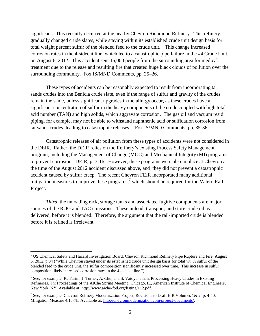significant. This recently occurred at the nearby Chevron Richmond Refinery. This refinery gradually changed crude slates, while staying within its established crude unit design basis for total weight percent sulfur of the blended feed to the crude unit.<sup>[5](#page-6-0)</sup> This change increased corrosion rates in the 4-sidecut line, which led to a catastrophic pipe failure in the #4 Crude Unit on August 6, 2012. This accident sent 15,000 people from the surrounding area for medical treatment due to the release and resulting fire that created huge black clouds of pollution over the surrounding community. Fox IS/MND Comments, pp. 25–26.

These types of accidents can be reasonably expected to result from incorporating tar sands crudes into the Benicia crude slate, even if the range of sulfur and gravity of the crudes remain the same, unless significant upgrades in metallurgy occur, as these crudes have a significant concentration of sulfur in the heavy components of the crude coupled with high total acid number (TAN) and high solids, which aggravate corrosion. The gas oil and vacuum resid piping, for example, may not be able to withstand naphthenic acid or sulfidation corrosion from tar sands crudes, leading to catastrophic releases.<sup>[6](#page-6-1)</sup> Fox IS/MND Comments, pp. 35-36.

Catastrophic releases of air pollution from these types of accidents were not considered in the DEIR. Rather, the DEIR relies on the Refinery's existing Process Safety Management program, including the Management of Change (MOC) and Mechanical Integrity (MI) programs, to prevent corrosion. DEIR, p. 3-16. However, these programs were also in place at Chevron at the time of the August 2012 accident discussed above, and they did not prevent a catastrophic accident caused by sulfur creep. The recent Chevron FEIR incorporated many additional mitigation measures to improve these programs,<sup>[7](#page-6-2)</sup> which should be required for the Valero Rail Project.

*Third*, the unloading rack, storage tanks and associated fugitive components are major sources of the ROG and TAC emissions. These unload, transport, and store crude oil as delivered, before it is blended. Therefore, the argument that the rail-imported crude is blended before it is refined is irrelevant.

<span id="page-6-0"></span> <sup>5</sup> US Chemical Safety and Hazard Investigation Board, Chevron Richmond Refinery Pipe Rupture and Fire, August 6, 2012, p.34 ("While Chevron stayed under its established crude unit design basis for total wt. % sulfur of the blended feed to the crude unit, the sulfur composition significantly increased over time. This increase in sulfur composition likely increased corrosion rates in the 4-sidecut line.").

<span id="page-6-1"></span><sup>&</sup>lt;sup>6</sup> See, for example, K. Turini, J. Turner, A. Chu, and S. Vaidyanathan, Processing Heavy Crudes in Existing Refineries. In: Proceedings of the AIChe Spring Meeting, Chicago, IL, American Institute of Chemical Engineers, New York, NY, Available at: http://www.aiche-fpd.org/listing/112.pdf.

<span id="page-6-2"></span><sup>&</sup>lt;sup>7</sup> See, for example, Chevron Refinery Modernization Project, Revisions to Draft EIR Volumes 1& 2, p. 4-40, Mitigation Measure 4.13-7h, Available at: [http://chevronmodernization.com/project-documents/.](http://chevronmodernization.com/project-documents/)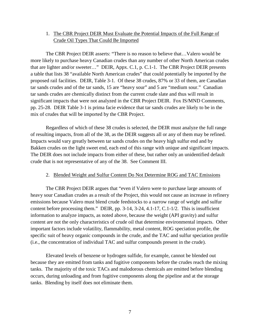#### 1. The CBR Project DEIR Must Evaluate the Potential Impacts of the Full Range of Crude Oil Types That Could Be Imported

The CBR Project DEIR asserts: "There is no reason to believe that…Valero would be more likely to purchase heavy Canadian crudes than any number of other North American crudes that are lighter and/or sweeter…" DEIR, Appx. C.1, p. C.1-1. The CBR Project DEIR presents a table that lists 38 "available North American crudes" that could potentially be imported by the proposed rail facilities. DEIR, Table 3-1. Of these 38 crudes, 87% or 33 of them, are Canadian tar sands crudes and of the tar sands, 15 are "heavy sour" and 5 are "medium sour." Canadian tar sands crudes are chemically distinct from the current crude slate and thus will result in significant impacts that were not analyzed in the CBR Project DEIR. Fox IS/MND Comments, pp. 25-28. DEIR Table 3-1 is prima facie evidence that tar sands crudes are likely to be in the mix of crudes that will be imported by the CBR Project.

Regardless of which of these 38 crudes is selected, the DEIR must analyze the full range of resulting impacts, from all of the 38, as the DEIR suggests all or any of them may be refined. Impacts would vary greatly between tar sands crudes on the heavy high sulfur end and by Bakken crudes on the light sweet end, each end of this range with unique and significant impacts. The DEIR does not include impacts from either of these, but rather only an unidentified default crude that is not representative of any of the 38. See Comment III.

#### 2. Blended Weight and Sulfur Content Do Not Determine ROG and TAC Emissions

The CBR Project DEIR argues that "even if Valero were to purchase large amounts of heavy sour Canadian crudes as a result of the Project, this would not cause an increase in refinery emissions because Valero must blend crude feedstocks to a narrow range of weight and sulfur content before processing them." DEIR, pp. 3-14, 3-24, 4.1-17, C.1-1/2. This is insufficient information to analyze impacts, as noted above, because the weight (API gravity) and sulfur content are not the only characteristics of crude oil that determine environmental impacts. Other important factors include volatility, flammability, metal content, ROG speciation profile, the specific suit of heavy organic compounds in the crude, and the TAC and sulfur speciation profile (i.e., the concentration of individual TAC and sulfur compounds present in the crude).

Elevated levels of benzene or hydrogen sulfide, for example, cannot be blended out because they are emitted from tanks and fugitive components before the crudes reach the mixing tanks. The majority of the toxic TACs and malodorous chemicals are emitted before blending occurs, during unloading and from fugitive components along the pipeline and at the storage tanks. Blending by itself does not eliminate them.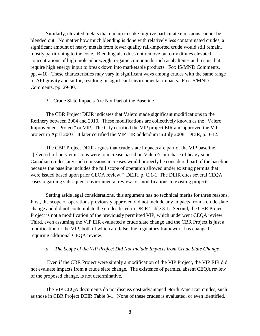Similarly, elevated metals that end up in coke fugitive particulate emissions cannot be blended out. No matter how much blending is done with relatively less contaminated crudes, a significant amount of heavy metals from lower quality rail-imported crude would still remain, mostly partitioning to the coke. Blending also does not remove but only dilutes elevated concentrations of high molecular weight organic compounds such asphaltenes and resins that require high energy input to break down into marketable products. Fox IS/MND Comments, pp. 4-10. These characteristics may vary in significant ways among crudes with the same range of API gravity and sulfur, resulting in significant environmental impacts. Fox IS/MND Comments, pp. 29-30.

#### 3. Crude Slate Impacts Are Not Part of the Baseline

The CBR Project DEIR indicates that Valero made significant modifications to the Refinery between 2004 and 2010. These modifications are collectively known as the "Valero Improvement Project" or VIP. The City certified the VIP project EIR and approved the VIP project in April 2003. It later certified the VIP EIR addendum in July 2008. DEIR, p. 3-12.

The CBR Project DEIR argues that crude slate impacts are part of the VIP baseline, "[e]ven if refinery emissions were to increase based on Valero's purchase of heavy sour Canadian crudes, any such emissions increases would properly be considered part of the baseline because the baseline includes the full scope of operation allowed under existing permits that were issued based upon prior CEQA review." DEIR, p. C.1-1. The DEIR cites several CEQA cases regarding subsequent environmental review for modifications to existing projects.

Setting aside legal considerations, this argument has no technical merits for three reasons. First, the scope of operations previously approved did not include any impacts from a crude slate change and did not contemplate the crudes listed in DEIR Table 3-1. Second, the CBR Project Project is not a modification of the previously permitted VIP, which underwent CEQA review. Third, even assuming the VIP EIR evaluated a crude slate change and the CBR Project is just a modification of the VIP, both of which are false, the regulatory framework has changed, requiring additional CEQA review.

#### *a. The Scope of the VIP Project Did Not Include Impacts from Crude Slate Change*

Even if the CBR Project were simply a modification of the VIP Project, the VIP EIR did not evaluate impacts from a crude slate change. The existence of permits, absent CEQA review of the proposed change, is not determinative.

The VIP CEQA documents do not discuss cost-advantaged North American crudes, such as those in CBR Project DEIR Table 3-1. None of these crudes is evaluated, or even identified,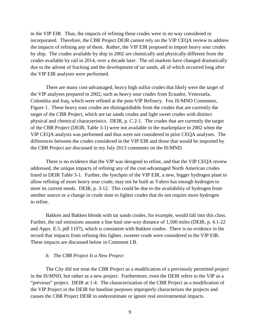in the VIP EIR. Thus, the impacts of refining these crudes were in no way considered or incorporated. Therefore, the CBR Project DEIR cannot rely on the VIP CEQA review to address the impacts of refining any of them. Rather, the VIP EIR proposed to import heavy sour crudes by ship. The crudes available by ship in 2002 are chemically and physically different from the crudes available by rail in 2014, over a decade later. The oil markets have changed dramatically due to the advent of fracking and the development of tar sands, all of which occurred long after the VIP EIR analyses were performed.

There are many cost-advantaged, heavy high sulfur crudes that likely were the target of the VIP analyses prepared in 2002, such as heavy sour crudes from Ecuador, Venezuela, Colombia and Iraq, which were refined at the post-VIP Refinery. Fox IS/MND Comments, Figure 1. These heavy sour crudes are distinguishable from the crudes that are currently the target of the CBR Project, which are tar sands crudes and light sweet crudes with distinct physical and chemical characteristics. DEIR, p. C.2-1. The crudes that are currently the target of the CBR Project (DEIR, Table 3-1) were not available in the marketplace in 2002 when the VIP CEQA analysis was performed and thus were not considered in prior CEQA analyses. The differences between the crudes considered in the VIP EIR and those that would be imported by the CBR Project are discussed in my July 2013 comments on the IS/MND.

There is no evidence that the VIP was designed to refine, and that the VIP CEQA review addressed, the unique impacts of refining any of the cost-advantaged North American crudes listed in DEIR Table 3-1. Further, the lynchpin of the VIP EIR, a new, bigger hydrogen plant to allow refining of more heavy sour crude, may not be built as Valero has enough hydrogen to meet its current needs. DEIR, p. 3-12. This could be due to the availability of hydrogen from another source or a change in crude slate to lighter crudes that do not require more hydrogen to refine.

Bakken and Bakken blends with tar sands crudes, for example, would fall into this class. Further, the rail emissions assume a line haul one-way distance of 1,500 miles (DEIR, p. 4.1-22 and Appx. E.5, pdf 1197), which is consistent with Bakken crudes. There is no evidence in the record that impacts from refining this lighter, sweeter crude were considered in the VIP EIR. These impacts are discussed below in Comment I.B.

#### *b. The CBR Project Is a New Project*

The City did not treat the CBR Project as a modification of a previously permitted project in the IS/MND, but rather as a new project. Furthermore, even the DEIR refers to the VIP as a "previous" project. DEIR at 1-4. The characterization of the CBR Project as a modification of the VIP Project in the DEIR for baseline purposes improperly characterizes the projects and causes the CBR Project DEIR to underestimate or ignore real environmental impacts.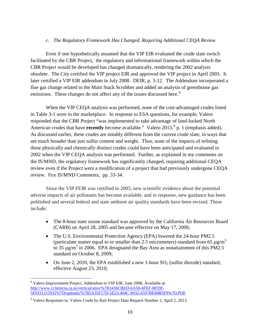#### *c. The Regulatory Framework Has Changed, Requiring Additional CEQA Review*

Even if one hypothetically assumed that the VIP EIR evaluated the crude slate switch facilitated by the CBR Project, the regulatory and informational framework within which the CBR Project would be developed has changed dramatically, rendering the 2002 analysis obsolete. The City certified the VIP project EIR and approved the VIP project in April 2003. It later certified a VIP EIR addendum in July 2008. DEIR, p. 3-12. The Addendum incorporated a flue gas change related to the Main Stack Scrubber and added an analysis of greenhouse gas emissions. These changes do not affect any of the issues discussed here.<sup>[8](#page-10-0)</sup>

When the VIP CEQA analysis was performed, none of the cost-advantaged crudes listed in Table 3-1 were in the marketplace. In response to ESA questions, for example, Valero responded that the CBR Project "was implemented to take advantage of land-locked North American crudes that have **recently** become available." Valero 2013, <sup>[9](#page-10-1)</sup> p. 1 (emphasis added). As discussed earlier, these crudes are notably different from the current crude slate, in ways that are much broader than just sulfur content and weight. Thus, none of the impacts of refining these physically and chemically distinct crudes could have been anticipated and evaluated in 2002 when the VIP CEQA analysis was performed. Further, as explained in my comments on the IS/MND, the regulatory framework has significantly changed, requiring additional CEQA review even if the Project were a modification of a project that had previously undergone CEQA review. Fox IS/MND Comments, pp. 33-34.

Since the VIP FEIR was certified in 2003, new scientific evidence about the potential adverse impacts of air pollutants has become available, and in response, new guidance has been published and several federal and state ambient air quality standards have been revised. These include:

- The 8-hour state ozone standard was approved by the California Air Resources Board (CARB) on April 28, 2005 and became effective on May 17, 2006;
- The U.S. Environmental Protection Agency (EPA) lowered the 24-hour PM2.5 (particulate matter equal to or smaller than 2.5 micrometers) standard from 65  $\mu$ g/m<sup>3</sup> to 35  $\mu$ g/m<sup>3</sup> in 2006. EPA designated the Bay Area as nonattainment of this PM2.5 standard on October 8, 2009;
- On June 2, 2010, the EPA established a new 1-hour  $SO_2$  (sulfur dioxide) standard, effective August 23, 2010;

<span id="page-10-0"></span><sup>&</sup>lt;sup>8</sup> Valero Improvement Project, Addendum to VIP EIR, June 2008, Available at: [http://www.ci.benicia.ca.us/vertical/sites/%7B3436CBED-6A58-4FEF-BFDF-](http://www.ci.benicia.ca.us/vertical/sites/%7B3436CBED-6A58-4FEF-BFDF-5F9331215932%7D/uploads/%7B5A35F17D-5E23-404C-8032-6597BE84B5F9%7D.PDF)[5F9331215932%7D/uploads/%7B5A35F17D-5E23-404C-8032-6597BE84B5F9%7D.PDF.](http://www.ci.benicia.ca.us/vertical/sites/%7B3436CBED-6A58-4FEF-BFDF-5F9331215932%7D/uploads/%7B5A35F17D-5E23-404C-8032-6597BE84B5F9%7D.PDF)

<span id="page-10-1"></span><sup>9</sup> Valero Responses to: Valero Crude by Rail Project Data Request Number 2, April 2, 2013.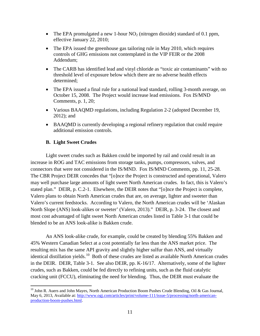- The EPA promulgated a new 1-hour  $NO<sub>2</sub>$  (nitrogen dioxide) standard of 0.1 ppm, effective January 22, 2010;
- The EPA issued the greenhouse gas tailoring rule in May 2010, which requires controls of GHG emissions not contemplated in the VIP FEIR or the 2008 Addendum;
- The CARB has identified lead and vinyl chloride as "toxic air contaminants" with no threshold level of exposure below which there are no adverse health effects determined;
- The EPA issued a final rule for a national lead standard, rolling 3-month average, on October 15, 2008. The Project would increase lead emissions. Fox IS/MND Comments, p. 1, 20;
- Various BAAQMD regulations, including Regulation 2-2 (adopted December 19, 2012); and
- BAAQMD is currently developing a regional refinery regulation that could require additional emission controls.

#### **B. Light Sweet Crudes**

Light sweet crudes such as Bakken could be imported by rail and could result in an increase in ROG and TAC emissions from storage tanks, pumps, compressors, valves, and connectors that were not considered in the IS/MND. Fox IS/MND Comments, pp. 11, 25-28. The CBR Project DEIR concedes that "[o]nce the Project is constructed and operational, Valero may well purchase large amounts of light sweet North American crudes. In fact, this is Valero's stated plan." DEIR, p. C.2-1. Elsewhere, the DEIR notes that "[o]nce the Project is complete, Valero plans to obtain North American crudes that are, on average, lighter and sweeter than Valero's current feedstocks. According to Valero, the North American crudes will be 'Alaskan North Slope (ANS) look-alikes or sweeter' (Valero, 2013)." DEIR, p. 3-24. The closest and most cost advantaged of light sweet North American crudes listed in Table 3-1 that could be blended to be an ANS look-alike is Bakken crude.

An ANS look-alike crude, for example, could be created by blending 55% Bakken and 45% Western Canadian Select at a cost potentially far less than the ANS market price. The resulting mix has the same API gravity and slightly higher sulfur than ANS, and virtually identical distillation yields.<sup>10</sup> Both of these crudes are listed as available North American crudes in the DEIR. DEIR, Table 3-1. See also DEIR, pp. K-16/17. Alternatively, some of the lighter crudes, such as Bakken, could be fed directly to refining units, such as the fluid catalytic cracking unit (FCCU), eliminating the need for blending. Thus, the DEIR must evaluate the

<span id="page-11-0"></span><sup>&</sup>lt;sup>10</sup> John R. Auers and John Mayes, North American Production Boom Pushes Crude Blending, Oil & Gas Journal, May 6, 2013, Available at[: http://www.ogj.com/articles/print/volume-111/issue-5/processing/north-american](http://www.ogj.com/articles/print/volume-111/issue-5/processing/north-american-production-boom-pushes.html)[production-boom-pushes.html.](http://www.ogj.com/articles/print/volume-111/issue-5/processing/north-american-production-boom-pushes.html)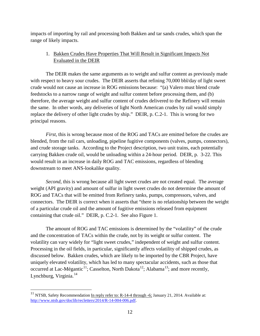impacts of importing by rail and processing both Bakken and tar sands crudes, which span the range of likely impacts.

#### 1. Bakken Crudes Have Properties That Will Result in Significant Impacts Not Evaluated in the DEIR

The DEIR makes the same arguments as to weight and sulfur content as previously made with respect to heavy sour crudes. The DEIR asserts that refining 70,000 bbl/day of light sweet crude would not cause an increase in ROG emissions because: "(a) Valero must blend crude feedstocks to a narrow range of weight and sulfur content before processing them, and (b) therefore, the average weight and sulfur content of crudes delivered to the Refinery will remain the same. In other words, any deliveries of light North American crudes by rail would simply replace the delivery of other light crudes by ship." DEIR, p. C.2-1. This is wrong for two principal reasons.

*First*, this is wrong because most of the ROG and TACs are emitted before the crudes are blended, from the rail cars, unloading, pipeline fugitive components (valves, pumps, connectors), and crude storage tanks. According to the Project description, two unit trains, each potentially carrying Bakken crude oil, would be unloading within a 24-hour period. DEIR, p. 3-22. This would result in an increase in daily ROG and TAC emissions, regardless of blending downstream to meet ANS-lookalike quality.

<span id="page-12-2"></span><span id="page-12-1"></span>*Second*, this is wrong because all light sweet crudes are not created equal. The average weight (API gravity) and amount of sulfur in light sweet crudes do not determine the amount of ROG and TACs that will be emitted from Refinery tanks, pumps, compressors, valves, and connectors. The DEIR is correct when it asserts that "there is no relationship between the weight of a particular crude oil and the amount of fugitive emissions released from equipment containing that crude oil." DEIR, p. C.2-1. See also Figure 1.

<span id="page-12-3"></span>The amount of ROG and TAC emissions is determined by the "volatility" of the crude and the concentration of TACs within the crude, not by its weight or sulfur content. The volatility can vary widely for "light sweet crudes," independent of weight and sulfur content. Processing in the oil fields, in particular, significantly affects volatility of shipped crudes, as discussed below. Bakken crudes, which are likely to be imported by the CBR Project, have uniquely elevated volatility, which has led to many spectacular accidents, such as those that occurred at Lac-Mégantic<sup>[11](#page-12-0)</sup>; Casselton, North Dakota<sup>12</sup>; Alabama<sup>[13](#page-12-2)</sup>; and more recently, Lynchburg, Virginia.<sup>[14](#page-12-3)</sup>

<span id="page-12-0"></span><sup>&</sup>lt;sup>11</sup> NTSB, Safety Recommendation  $\underline{In}$  reply refer to: R-14-4 through -6; January 21, 2014. Available at: [http://www.ntsb.gov/doclib/recletters/2014/R-14-004-006.pdf.](http://www.ntsb.gov/doclib/recletters/2014/R-14-004-006.pdf)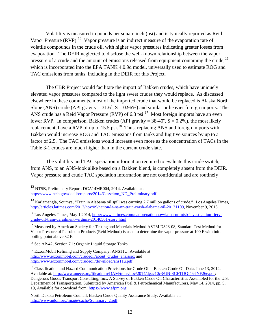Volatility is measured in pounds per square inch (psi) and is typically reported as Reid Vapor Pressure (RVP).<sup>15</sup> Vapor pressure is an indirect measure of the evaporation rate of volatile compounds in the crude oil, with higher vapor pressures indicating greater losses from evaporation. The DEIR neglected to disclose the well-known relationship between the vapor pressure of a crude and the amount of emissions released from equipment containing the crude, <sup>[16](#page-13-1)</sup> which is incorporated into the EPA TANK 4.0.9d model, universally used to estimate ROG and TAC emissions from tanks, including in the DEIR for this Project.

The CBR Project would facilitate the import of Bakken crudes, which have uniquely elevated vapor pressures compared to the light sweet crudes they would replace. As discussed elsewhere in these comments, most of the imported crude that would be replaced is Alaska North Slope (ANS) crude (API gravity =  $31.6^{\circ}$ , S = 0.96%) and similar or heavier foreign imports. The ANS crude has a Reid Vapor Pressure (RVP) of 6.3 psi.<sup>[17](#page-13-2)</sup> Most foreign imports have an even lower RVP. In comparison, Bakken crudes (API gravity =  $38-40^{\circ}$ , S = 0.2%), the most likely replacement, have a RVP of up to  $15.5$  psi.<sup>18</sup> Thus, replacing ANS and foreign imports with Bakken would increase ROG and TAC emissions from tanks and fugitive sources by up to a factor of 2.5. The TAC emissions would increase even more as the concentration of TACs in the Table 3-1 crudes are much higher than in the current crude slate.

The volatility and TAC speciation information required to evaluate this crude switch, from ANS, to an ANS-look alike based on a Bakken blend, is completely absent from the DEIR. Vapor pressure and crude TAC speciation information are not confidential and are routinely

[https://www.ntsb.gov/doclib/reports/2014/Casselton\\_ND\\_Preliminary.pdf.](https://www.ntsb.gov/doclib/reports/2014/Casselton_ND_Preliminary.pdf)

<sup>&</sup>lt;sup>12</sup> NTSB, Preliminary Report; DCA14MR004, 2014. Available at:

<sup>13</sup> Karlamangla, Soumya, "Train in Alabama oil spill was carrying 2.7 million gallons of crude." Los Angeles Times, [http://articles.latimes.com/2013/nov/09/nation/la-na-nn-train-crash-alabama-oil-20131109,](http://articles.latimes.com/2013/nov/09/nation/la-na-nn-train-crash-alabama-oil-20131109) November 9, 2013.

<sup>&</sup>lt;sup>14</sup> Los Angeles Times, May 1 2014, [http://www.latimes.com/nation/nationnow/la-na-nn-ntsb-investigation-fiery](http://www.latimes.com/nation/nationnow/la-na-nn-ntsb-investigation-fiery-crude-oil-train-derailment-virginia-20140501-story.html)[crude-oil-train-derailment-virginia-20140501-story.html.](http://www.latimes.com/nation/nationnow/la-na-nn-ntsb-investigation-fiery-crude-oil-train-derailment-virginia-20140501-story.html)

<span id="page-13-0"></span><sup>&</sup>lt;sup>15</sup> Measured by American Society for Testing and Materials Method ASTM D323-08, Standard Test Method for Vapor Pressure of Petroleum Products (Reid Method) is used to determine the vapor pressure at 100 F with initial boiling point above 32 F.

<span id="page-13-1"></span><sup>&</sup>lt;sup>16</sup> See AP-42, Section 7.1: Organic Liquid Storage Tanks.

<span id="page-13-2"></span><sup>&</sup>lt;sup>17</sup> ExxonMobil Refining and Supply Company, ANS11U, Available at: [http://www.exxonmobil.com/crudeoil/about\\_crudes\\_ans.aspx](http://www.exxonmobil.com/crudeoil/about_crudes_ans.aspx) and [http://www.exxonmobil.com/crudeoil/download/ans11u.pdf.](http://www.exxonmobil.com/crudeoil/download/ans11u.pdf)

<span id="page-13-3"></span><sup>&</sup>lt;sup>18</sup> Classification and Hazard Communication Provisions for Crude Oil – Bakken Crude Oil Data, June 13, 2014, Available at: [http://www.unece.org/fileadmin/DAM/trans/doc/2014/dgac10c3/UN-SCETDG-45-INF26e.pdf;](http://www.unece.org/fileadmin/DAM/trans/doc/2014/dgac10c3/UN-SCETDG-45-INF26e.pdf) Dangerous Goods Transport Consulting, Inc., A Survey of Bakken Crude Oil Characteristics Assembled for the U.S. Department of Transportation, Submitted by American Fuel & Petrochemical Manufacturers, May 14, 2014, pp. 5, 19, Available for download from: [https://www.afpm.org;](https://www.afpm.org/)

North Dakota Petroleum Council, Bakken Crude Quality Assurance Study, Available at: [http://www.ndoil.org/image/cache/Summary\\_2.pdf;](http://www.ndoil.org/image/cache/Summary_2.pdf)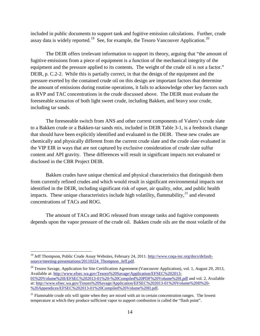included in public documents to support tank and fugitive emission calculations. Further, crude assay data is widely reported.<sup>[19](#page-14-0)</sup> See, for example, the Tesoro Vancouver Application.<sup>[20](#page-14-1)</sup>

The DEIR offers irrelevant information to support its theory, arguing that "the amount of fugitive emissions from a piece of equipment is a function of the mechanical integrity of the equipment and the pressure applied to its contents. The weight of the crude oil is not a factor." DEIR, p. C.2-2. While this is partially correct, in that the design of the equipment and the pressure exerted by the contained crude oil on this design are important factors that determine the amount of emissions during routine operations, it fails to acknowledge other key factors such as RVP and TAC concentrations in the crude discussed above. The DEIR must evaluate the foreseeable scenarios of both light sweet crude, including Bakken, and heavy sour crude, including tar sands.

The foreseeable switch from ANS and other current components of Valero's crude slate to a Bakken crude or a Bakken-tar sands mix, included in DEIR Table 3-1, is a feedstock change that should have been explicitly identified and evaluated in the DEIR. These new crudes are chemically and physically different from the current crude slate and the crude slate evaluated in the VIP EIR in ways that are not captured by exclusive consideration of crude slate sulfur content and API gravity. These differences will result in significant impacts not evaluated or disclosed in the CBR Project DEIR.

Bakken crudes have unique chemical and physical characteristics that distinguish them from currently refined crudes and which would result in significant environmental impacts not identified in the DEIR, including significant risk of upset, air quality, odor, and public health impacts. These unique characteristics include high volatility, flammability, $21$  and elevated concentrations of TACs and ROG.

The amount of TACs and ROG released from storage tanks and fugitive components depends upon the vapor pressure of the crude oil. Bakken crude oils are the most volatile of the

<span id="page-14-0"></span><sup>&</sup>lt;sup>19</sup> Jeff Thompson, Public Crude Assay Websites, February 24, 2011[. http://www.coqa-inc.org/docs/default](http://www.coqa-inc.org/docs/default-source/meeting-presentations/20110224_Thompson_Jeff.pdf)source/meeting-presentations/20110224 Thompson Jeff.pdf.

<span id="page-14-1"></span> $20$  Tesoro Savage, Application for Site Certification Agreement (Vancouver Application), vol. 1, August 29, 2013, Available at: [http://www.efsec.wa.gov/Tesoro%20Savage/Application/EFSEC%202013-](http://www.efsec.wa.gov/Tesoro%20Savage/Application/EFSEC%202013-01%20Volume%20I/EFSEC%202013-01%20-%20Compiled%20PDF%20Volume%20I.pdf) [01%20Volume%20I/EFSEC%202013-01%20-%20Compiled%20PDF%20Volume%20I.pdf](http://www.efsec.wa.gov/Tesoro%20Savage/Application/EFSEC%202013-01%20Volume%20I/EFSEC%202013-01%20-%20Compiled%20PDF%20Volume%20I.pdf) and vol. 2, Available at: [http://www.efsec.wa.gov/Tesoro%20Savage/Application/EFSEC%202013-01%20Volume%20II%20-](http://www.efsec.wa.gov/Tesoro%20Savage/Application/EFSEC%202013-01%20Volume%20II%20-%20Appendices/EFSEC%202013-01%20Compiled%20Volume%20II.pdf) [%20Appendices/EFSEC%202013-01%20Compiled%20Volume%20II.pdf](http://www.efsec.wa.gov/Tesoro%20Savage/Application/EFSEC%202013-01%20Volume%20II%20-%20Appendices/EFSEC%202013-01%20Compiled%20Volume%20II.pdf)**.**

<span id="page-14-2"></span> $21$  Flammable crude oils will ignite when they are mixed with air in certain concentration ranges. The lowest temperature at which they produce sufficient vapor to support combustion is called the "flash point".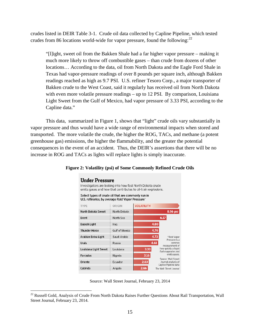crudes listed in DEIR Table 3-1. Crude oil data collected by Capline Pipeline, which tested crudes from 86 locations world-wide for vapor pressure, found the following:<sup>[22](#page-15-0)</sup>

"[l]ight, sweet oil from the Bakken Shale had a far higher vapor pressure – making it much more likely to throw off combustible gases – than crude from dozens of other locations… According to the data, oil from North Dakota and the Eagle Ford Shale in Texas had vapor-pressure readings of over 8 pounds per square inch, although Bakken readings reached as high as 9.7 PSI. U.S. refiner Tesoro Corp., a major transporter of Bakken crude to the West Coast, said it regularly has received oil from North Dakota with even more volatile pressure readings – up to 12 PSI. By comparison, Louisiana Light Sweet from the Gulf of Mexico, had vapor pressure of 3.33 PSI, according to the Capline data."

This data, summarized in Figure 1, shows that "light" crude oils vary substantially in vapor pressure and thus would have a wide range of environmental impacts when stored and transported. The more volatile the crude, the higher the ROG, TACs, and methane (a potent greenhouse gas) emissions, the higher the flammability, and the greater the potential consequences in the event of an accident. Thus, the DEIR's assertions that there will be no increase in ROG and TACs as lights will replace lights is simply inaccurate.



#### **Figure 2: Volatility (psi) of Some Commonly Refined Crude Oils**

**Under Pressure** 

Source: Wall Street Journal, February 23, 2014

<span id="page-15-0"></span><sup>&</sup>lt;sup>22</sup> Russell Gold, Analysis of Crude From North Dakota Raises Further Questions About Rail Transportation, Wall Street Journal, February 23, 2014.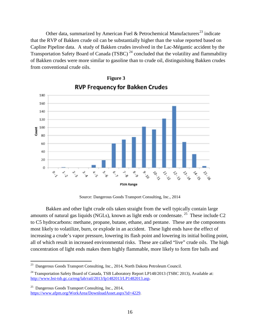Other data, summarized by American Fuel & Petrochemical Manufacturers<sup>[23](#page-16-0)</sup> indicate that the RVP of Bakken crude oil can be substantially higher than the value reported based on Capline Pipeline data. A study of Bakken crudes involved in the Lac-Mégantic accident by the Transportation Safety Board of Canada (TSBC)<sup>[24](#page-16-1)</sup> concluded that the volatility and flammability of Bakken crudes were more similar to gasoline than to crude oil, distinguishing Bakken crudes from conventional crude oils.



# **RVP Frequency for Bakken Crudes**

**Figure 3**

Source: Dangerous Goods Transport Consulting, Inc., 2014

Bakken and other light crude oils taken straight from the well typically contain large amounts of natural gas liquids (NGLs), known as light ends or condensate.<sup>[25](#page-16-2)</sup> These include C2 to C5 hydrocarbons: methane, propane, butane, ethane, and pentane. These are the components most likely to volatilize, burn, or explode in an accident. These light ends have the effect of increasing a crude's vapor pressure, lowering its flash point and lowering its initial boiling point, all of which result in increased environmental risks. These are called "live" crude oils. The high concentration of light ends makes them highly flammable, more likely to form fire balls and

<span id="page-16-0"></span><sup>23</sup> Dangerous Goods Transport Consulting, Inc., 2014, North Dakota Petroleum Council.

<span id="page-16-1"></span><sup>&</sup>lt;sup>24</sup> Transportation Safety Board of Canada, TSB Laboratory Report LP148/2013 (TSBC 2013), Available at: [http://www.bst-tsb.gc.ca/eng/lab/rail/2013/lp1482013/LP1482013.asp.](http://www.bst-tsb.gc.ca/eng/lab/rail/2013/lp1482013/LP1482013.asp)

<span id="page-16-2"></span><sup>25</sup> Dangerous Goods Transport Consulting, Inc., 2014, [https://www.afpm.org/WorkArea/DownloadAsset.aspx?id=4229.](https://www.afpm.org/WorkArea/DownloadAsset.aspx?id=4229)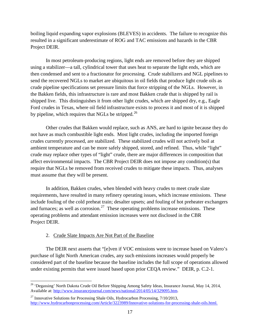boiling liquid expanding vapor explosions (BLEVES) in accidents. The failure to recognize this resulted in a significant underestimate of ROG and TAC emissions and hazards in the CBR Project DEIR.

In most petroleum-producing regions, light ends are removed before they are shipped using a stabilizer—a tall, cylindrical tower that uses heat to separate the light ends, which are then condensed and sent to a fractionator for processing. Crude stabilizers and NGL pipelines to send the recovered NGLs to market are ubiquitous in oil fields that produce light crude oils as crude pipeline specifications set pressure limits that force stripping of the NGLs. However, in the Bakken fields, this infrastructure is rare and most Bakken crude that is shipped by rail is shipped live. This distinguishes it from other light crudes, which are shipped dry, e.g., Eagle Ford crudes in Texas, where oil field infrastructure exists to process it and most of it is shipped by pipeline, which requires that NGLs be stripped. $^{26}$ 

Other crudes that Bakken would replace, such as ANS, are hard to ignite because they do not have as much combustible light ends. Most light crudes, including the imported foreign crudes currently processed, are stabilized. These stabilized crudes will not actively boil at ambient temperature and can be more safely shipped, stored, and refined. Thus, while "light" crude may replace other types of "light" crude, there are major differences in composition that affect environmental impacts. The CBR Project DEIR does not impose any condition(s) that require that NGLs be removed from received crudes to mitigate these impacts. Thus, analyses must assume that they will be present.

In addition, Bakken crudes, when blended with heavy crudes to meet crude slate requirements, have resulted in many refinery operating issues, which increase emissions. These include fouling of the cold preheat train; desalter upsets; and fouling of hot preheater exchangers and furnaces; as well as corrosion.<sup>[27](#page-17-1)</sup> These operating problems increase emissions. These operating problems and attendant emission increases were not disclosed in the CBR Project DEIR.

#### 2. Crude Slate Impacts Are Not Part of the Baseline

The DEIR next asserts that "[e]ven if VOC emissions were to increase based on Valero's purchase of light North American crudes, any such emissions increases would properly be considered part of the baseline because the baseline includes the full scope of operations allowed under existing permits that were issued based upon prior CEQA review." DEIR, p. C.2-1.

<span id="page-17-0"></span><sup>&</sup>lt;sup>26</sup> 'Degassing' North Dakota Crude Oil Before Shipping Among Safety Ideas, Insurance Journal, May 14, 2014, Available at: [http://www.insurancejournal.com/news/national/2014/05/14/329095.htm.](http://www.insurancejournal.com/news/national/2014/05/14/329095.htm)

<span id="page-17-1"></span> $^{27}$  Innovative Solutions for Processing Shale Oils, Hydrocarbon Processing,  $7/10/2013$ , [http://www.hydrocarbonprocessing.com/Article/3223989/Innovative-solutions-for-processing-shale-oils.html.](http://www.hydrocarbonprocessing.com/Article/3223989/Innovative-solutions-for-processing-shale-oils.html)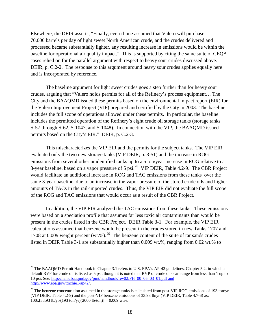Elsewhere, the DEIR asserts, "Finally, even if one assumed that Valero will purchase 70,000 barrels per day of light sweet North American crude, and the crudes delivered and processed became substantially lighter, any resulting increase in emissions would be within the baseline for operational air quality impact." This is supported by citing the same suite of CEQA cases relied on for the parallel argument with respect to heavy sour crudes discussed above. DEIR, p. C.2-2. The response to this argument around heavy sour crudes applies equally here and is incorporated by reference.

The baseline argument for light sweet crudes goes a step further than for heavy sour crudes, arguing that "Valero holds permits for all of the Refinery's process equipment… The City and the BAAQMD issued these permits based on the environmental impact report (EIR) for the Valero Improvement Project (VIP) prepared and certified by the City in 2003. The baseline includes the full scope of operations allowed under these permits. In particular, the baseline includes the permitted operation of the Refinery's eight crude oil storage tanks (storage tanks S-57 through S-62, S-1047, and S-1048). In connection with the VIP, the BAAQMD issued permits based on the City's EIR." DEIR, p. C.2-3.

This mischaracterizes the VIP EIR and the permits for the subject tanks. The VIP EIR evaluated only the two new storage tanks (VIP DEIR, p. 3-51) and the increase in ROG emissions from several other unidentified tanks up to a 5 ton/year increase in ROG relative to a 3-year baseline, based on a vapor pressure of 5 psi.<sup>28</sup> VIP DEIR, Table 4.2-9. The CBR Project would facilitate an additional increase in ROG and TAC emissions from these tanks over the same 3-year baseline, due to an increase in the vapor pressure of the stored crude oils and higher amounts of TACs in the rail-imported crudes. Thus, the VIP EIR did not evaluate the full scope of the ROG and TAC emissions that would occur as a result of the CBR Project.

In addition, the VIP EIR analyzed the TAC emissions from these tanks. These emissions were based on a speciation profile that assumes far less toxic air contaminants than would be present in the crudes listed in the CBR Project. DEIR Table 3-1. For example, the VIP EIR calculations assumed that benzene would be present in the crudes stored in new Tanks 1707 and 1708 at 0.009 weight percent (wt.%).<sup>[29](#page-18-1)</sup> The benzene content of the suite of tar sands crudes listed in DEIR Table 3-1 are substantially higher than 0.009 wt.%, ranging from 0.02 wt.% to

<span id="page-18-0"></span><sup>&</sup>lt;sup>28</sup> The BAAQMD Permit Handbook in Chapter 3.1 refers to U.S. EPA's AP-42 guidelines, Chapter 5.2, in which a default RVP for crude oil is listed as 5 psi, though it is noted that RVP of crude oils can range from less than 1 up to 10 psi. See: [http://hank.baaqmd.gov/pmt/handbook/rev02/PH\\_00\\_05\\_03\\_01.pdf](http://hank.baaqmd.gov/pmt/handbook/rev02/PH_00_05_03_01.pdf) and [http://www.epa.gov/ttnchie1/ap42/.](http://www.epa.gov/ttnchie1/ap42/)

<span id="page-18-1"></span> $29$  The benzene concentration assumed in the storage tanks is calculated from post-VIP ROG emissions of 193 ton/yr (VIP DEIR, Table 4.2-9) and the post-VIP benzene emissions of 33.93 lb/yr (VIP DEIR, Table 4.7-6) as:  $100x[33.93 lb/yr/(193 ton/yr)(2000 lb/ton)] = 0.009 wt\%$ .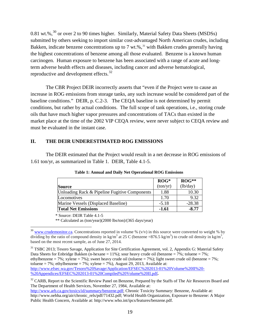0.81 wt.%,<sup>[30](#page-19-0)</sup> or over 2 to 90 times higher. Similarly, Material Safety Data Sheets (MSDSs) submitted by others seeking to import similar cost-advantaged North American crudes, including Bakken, indicate benzene concentrations up to 7 wt.%,  $31$  with Bakken crudes generally having the highest concentrations of benzene among all those evaluated. Benzene is a known human carcinogen. Human exposure to benzene has been associated with a range of acute and longterm adverse health effects and diseases, including cancer and adverse hematological, reproductive and development effects.<sup>[32](#page-19-2)</sup>

The CBR Project DEIR incorrectly asserts that "even if the Project were to cause an increase in ROG emissions from storage tanks, any such increase would be considered part of the baseline conditions." DEIR, p. C.2-3. The CEQA baseline is not determined by permit conditions, but rather by actual conditions. The full scope of tank operations, i.e., storing crude oils that have much higher vapor pressures and concentrations of TACs than existed in the market place at the time of the 2002 VIP CEQA review, were never subject to CEQA review and must be evaluated in the instant case.

#### **II. THE DEIR UNDERESTIMATED ROG EMISSIONS**

The DEIR estimated that the Project would result in a net decrease in ROG emissions of 1.61 ton/yr, as summarized in Table 1. DEIR, Table 4.1-5.

|                                               | $ROG*$   | $ROG**$  |
|-----------------------------------------------|----------|----------|
| Source                                        | (ton/yr) | (lb/day) |
| Unloading Rack & Pipeline Fugitive Components | 1.88     | 10.30    |
| Locomotives                                   | 1.70     | 9.32     |
| Marine Vessels (Displaced Baseline)           | $-5.18$  | $-28.38$ |
| <b>Total Net Emissions</b>                    | $-1.61$  | $-8.77$  |

**Table 1: Annual and Daily Net Operational ROG Emissions**

\* Source: DEIR Table 4.1-5

\*\* Calculated as (ton/year)(2000 lbs/ton)/(365 days/year)

<span id="page-19-0"></span><sup>&</sup>lt;sup>30</sup> [www.crudemonitor.ca.](http://www.crudemonitor.ca/) Concentrations reported in volume % ( $v/v$ ) in this source were converted to weight % by dividing by the ratio of compound density in kg/m<sup>3</sup> at 25 C (benzene =876.5 kg/m<sup>3</sup>) to crude oil density in kg/m<sup>3</sup>, based on the most recent sample, as of June 27, 2014.

<span id="page-19-1"></span><sup>&</sup>lt;sup>31</sup> TSBC 2013; Tesoro Savage, Application for Site Certification Agreement, vol. 2, Appendix G: Material Safety Data Sheets for Enbridge Bakken (n-hexane = 11%); sour heavy crude oil (benzene = 7%; toluene = 7%; ethylbenzene = 7%; xylene = 7%); sweet heavy crude oil (toluene = 7%); light sweet crude oil (benzene = 7%; toluene = 7%; ethylbenzene = 7%; xylene = 7%), August 29, 2013, Available at: [http://www.efsec.wa.gov/Tesoro%20Savage/Application/EFSEC%202013-01%20Volume%20II%20-](http://www.efsec.wa.gov/Tesoro%20Savage/Application/EFSEC%202013-01%20Volume%20II%20-%20Appendices/EFSEC%202013-01%20Compiled%20Volume%20II.pdf) [%20Appendices/EFSEC%202013-01%20Compiled%20Volume%20II.pdf](http://www.efsec.wa.gov/Tesoro%20Savage/Application/EFSEC%202013-01%20Volume%20II%20-%20Appendices/EFSEC%202013-01%20Compiled%20Volume%20II.pdf)**.**

<span id="page-19-2"></span><sup>&</sup>lt;sup>32</sup> CARB, Report to the Scientific Review Panel on Benzene, Prepared by the Staffs of The Air Resources Board and The Department of Health Services, November 27, 1984, Available at:

[http://www.arb.ca.gov/toxics/id/summary/benzene.pdf;](http://www.arb.ca.gov/toxics/id/summary/benzene.pdf) Chronic Toxicity Summary: Benzene, Available at: http://www.oehha.org/air/chronic\_rels/pdf/71432.pdf; World Health Organization, Exposure to Benzene: A Major Public Health Concern, Available at: http://www.who.int/ipcs/features/benzene.pdf.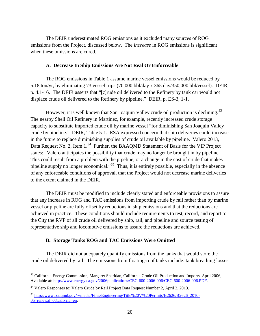The DEIR underestimated ROG emissions as it excluded many sources of ROG emissions from the Project, discussed below. The *increase* in ROG emissions is significant when these omissions are cured.

#### **A. Decrease In Ship Emissions Are Not Real Or Enforceable**

The ROG emissions in Table 1 assume marine vessel emissions would be reduced by 5.18 ton/yr, by eliminating 73 vessel trips (70,000 bbl/day x 365 day/350,000 bbl/vessel). DEIR, p. 4.1-16. The DEIR asserts that "[c]rude oil delivered to the Refinery by tank car would not displace crude oil delivered to the Refinery by pipeline." DEIR, p. ES-3, 1-1.

However, it is well known that San Joaquin Valley crude oil production is declining.<sup>33</sup> The nearby Shell Oil Refinery in Martinez, for example, recently increased crude storage capacity to substitute imported crude oil by marine vessel "for diminishing San Joaquin Valley crude by pipeline." DEIR, Table 5-1. ESA expressed concern that ship deliveries could increase in the future to replace diminishing supplies of crude oil available by pipeline. Valero 2013, Data Request No. 2, Item 1.<sup>34</sup> Further, the BAAQMD Statement of Basis for the VIP Project states: "Valero anticipates the possibility that crude may no longer be brought in by pipeline. This could result from a problem with the pipeline, or a change in the cost of crude that makes pipeline supply no longer economical."<sup>35</sup> Thus, it is entirely possible, especially in the absence of any enforceable conditions of approval, that the Project would not decrease marine deliveries to the extent claimed in the DEIR.

The DEIR must be modified to include clearly stated and enforceable provisions to assure that any increase in ROG and TAC emissions from importing crude by rail rather than by marine vessel or pipeline are fully offset by reductions in ship emissions and that the reductions are achieved in practice. These conditions should include requirements to test, record, and report to the City the RVP of all crude oil delivered by ship, rail, and pipeline and source testing of representative ship and locomotive emissions to assure the reductions are achieved.

#### **B. Storage Tanks ROG and TAC Emissions Were Omitted**

The DEIR did not adequately quantify emissions from the tanks that would store the crude oil delivered by rail. The emissions from floating-roof tanks include: tank breathing losses

<span id="page-20-0"></span><sup>&</sup>lt;sup>33</sup> California Energy Commission, Margaret Sheridan, California Crude Oil Production and Imports, April 2006, Available at: [http://www.energy.ca.gov/2006publications/CEC-600-2006-006/CEC-600-2006-006.PDF.](http://www.energy.ca.gov/2006publications/CEC-600-2006-006/CEC-600-2006-006.PDF)

<span id="page-20-1"></span><sup>&</sup>lt;sup>34</sup> Valero Responses to: Valero Crude by Rail Project Data Request Number 2, April 2, 2013.

<span id="page-20-2"></span><sup>35</sup> [http://www.baaqmd.gov/~/media/Files/Engineering/Title%20V%20Permits/B2626/B2626\\_2010-](http://www.baaqmd.gov/~/media/Files/Engineering/Title%20V%20Permits/B2626/B2626_2010-05_renewal_03.ashx?la=en) [05\\_renewal\\_03.ashx?la=en.](http://www.baaqmd.gov/~/media/Files/Engineering/Title%20V%20Permits/B2626/B2626_2010-05_renewal_03.ashx?la=en)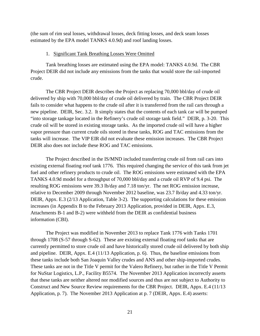(the sum of rim seal losses, withdrawal losses, deck fitting losses, and deck seam losses estimated by the EPA model TANKS 4.0.9d) and roof landing losses.

#### 1. Significant Tank Breathing Losses Were Omitted

Tank breathing losses are estimated using the EPA model: TANKS 4.0.9d. The CBR Project DEIR did not include any emissions from the tanks that would store the rail-imported crude.

The CBR Project DEIR describes the Project as replacing 70,000 bbl/day of crude oil delivered by ship with 70,000 bbl/day of crude oil delivered by train. The CBR Project DEIR fails to consider what happens to the crude oil after it is transferred from the rail cars through a new pipeline. DEIR, Sec. 3.2. It simply states that the contents of each tank car will be pumped "into storage tankage located in the Refinery's crude oil storage tank field." DEIR, p. 3-20. This crude oil will be stored in existing storage tanks. As the imported crude oil will have a higher vapor pressure than current crude oils stored in these tanks, ROG and TAC emissions from the tanks will increase. The VIP EIR did not evaluate these emission increases. The CBR Project DEIR also does not include these ROG and TAC emissions.

The Project described in the IS/MND included transferring crude oil from rail cars into existing external floating roof tank 1776. This required changing the service of this tank from jet fuel and other refinery products to crude oil. The ROG emissions were estimated with the EPA TANKS 4.0.9d model for a throughput of 70,000 bbl/day and a crude oil RVP of 9.4 psi. The resulting ROG emissions were 39.3 lb/day and 7.18 ton/yr. The net ROG emission increase, relative to December 2009 through November 2012 baseline, was 23.7 lb/day and 4.33 ton/yr. DEIR, Appx. E.3 (2/13 Application, Table 3-2). The supporting calculations for these emission increases (in Appendix B to the February 2013 Application, provided in DEIR, Appx. E.3, Attachments B-1 and B-2) were withheld from the DEIR as confidential business information (CBI).

The Project was modified in November 2013 to replace Tank 1776 with Tanks 1701 through 1708 (S-57 through S-62). These are existing external floating roof tanks that are currently permitted to store crude oil and have historically stored crude oil delivered by both ship and pipeline. DEIR, Appx. E.4 (11/13 Application, p. 6). Thus, the baseline emissions from these tanks include both San Joaquin Valley crudes and ANS and other ship-imported crudes. These tanks are not in the Title V permit for the Valero Refinery, but rather in the Title V Permit for NuStar Logistics, L.P., Facility B5574. The November 2013 Application incorrectly asserts that these tanks are neither altered nor modified sources and thus are not subject to Authority to Construct and New Source Review requirements for the CBR Project. DEIR, Appx. E.4 (11/13 Application, p. 7). The November 2013 Application at p. 7 (DEIR, Appx. E.4) asserts: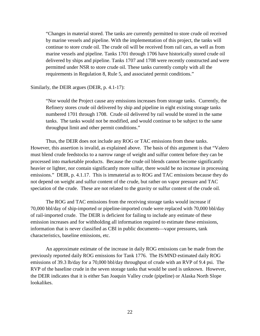"Changes in material stored. The tanks are currently permitted to store crude oil received by marine vessels and pipeline. With the implementation of this project, the tanks will continue to store crude oil. The crude oil will be received from rail cars, as well as from marine vessels and pipeline. Tanks 1701 through 1706 have historically stored crude oil delivered by ships and pipeline. Tanks 1707 and 1708 were recently constructed and were permitted under NSR to store crude oil. These tanks currently comply with all the requirements in Regulation 8, Rule 5, and associated permit conditions."

#### Similarly, the DEIR argues (DEIR, p. 4.1-17):

"Nor would the Project cause any emissions increases from storage tanks. Currently, the Refinery stores crude oil delivered by ship and pipeline in eight existing storage tanks numbered 1701 through 1708. Crude oil delivered by rail would be stored in the same tanks. The tanks would not be modified, and would continue to be subject to the same throughput limit and other permit conditions."

Thus, the DEIR does not include any ROG or TAC emissions from these tanks. However, this assertion is invalid, as explained above. The basis of this argument is that "Valero must blend crude feedstocks to a narrow range of weight and sulfur content before they can be processed into marketable products. Because the crude oil blends cannot become significantly heavier or lighter, nor contain significantly more sulfur, there would be no increase in processing emissions." DEIR, p. 4.1.17. This is immaterial as to ROG and TAC emissions because they do not depend on weight and sulfur content of the crude, but rather on vapor pressure and TAC speciation of the crude. These are not related to the gravity or sulfur content of the crude oil.

The ROG and TAC emissions from the receiving storage tanks would increase if 70,000 bbl/day of ship-imported or pipeline-imported crude were replaced with 70,000 bbl/day of rail-imported crude. The DEIR is deficient for failing to include any estimate of these emission increases and for withholding all information required to estimate these emissions, information that is never classified as CBI in public documents—vapor pressures, tank characteristics, baseline emissions, etc.

An approximate estimate of the increase in daily ROG emissions can be made from the previously reported daily ROG emissions for Tank 1776. The IS/MND estimated daily ROG emissions of 39.3 lb/day for a 70,000 bbl/day throughput of crude with an RVP of 9.4 psi. The RVP of the baseline crude in the seven storage tanks that would be used is unknown. However, the DEIR indicates that it is either San Joaquin Valley crude (pipeline) or Alaska North Slope lookalikes.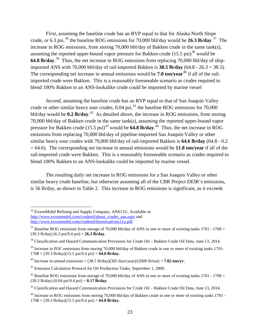*First*, assuming the baseline crude has an RVP equal to that for Alaska North Slope crude, or 6.3 psi,<sup>[36](#page-23-0)</sup> the baseline ROG emissions for 70,000 bbl/day would be **26.3 lb/day**.<sup>[37](#page-23-1)</sup> The increase in ROG emissions, from storing 70,000 bbl/day of Bakken crude in the same tank(s), assuming the reported upper-bound vapor pressure for Bakken crude  $(15.5 \text{ psi})^{38}$  $(15.5 \text{ psi})^{38}$  $(15.5 \text{ psi})^{38}$  would be **64.8 lb/day**. [39](#page-23-3) Thus, the net increase in ROG emissions from replacing 70,000 bbl/day of shipimported ANS with 70,000 bbl/day of rail-imported Bakken is **38.5 lb/day** (64.8 - 26.3 = 38.5). The corresponding net increase in annual emissions would be **7.0 ton/vear**<sup>[40](#page-23-4)</sup> if all of the railimported crude were Bakken. This is a reasonably foreseeable scenario as crudes required to blend 100% Bakken to an ANS-lookalike crude could be imported by marine vessel

*Second*, assuming the baseline crude has an RVP equal to that of San Joaquin Valley crude or other similar heavy sour crudes,  $0.04$  psi,<sup>[41](#page-23-5)</sup> the baseline ROG emissions for  $70,000$ bbl/day would be **0.2 lb/day**. [42](#page-23-6) As detailed above, the increase in ROG emissions, from storing 70,000 bbl/day of Bakken crude in the same tank(s), assuming the reported upper-bound vapor pressure for Bakken crude  $(15.5 \text{ psi})^{43}$  $(15.5 \text{ psi})^{43}$  $(15.5 \text{ psi})^{43}$  would be **64.8 lb/day**.<sup>44</sup> Thus, the net increase in ROG emissions from replacing 70,000 bbl/day of pipeline-imported San Joaquin Valley or other similar heavy sour crudes with 70,000 bbl/day of rail-imported Bakken is **64.6 lb/day** (64.8 - 0.2 = 64.6). The corresponding net increase in annual emissions would be **11.8 ton/year** if all of the rail-imported crude were Bakken. This is a reasonably foreseeable scenario as crudes required to blend 100% Bakken to an ANS-lookalike could be imported by marine vessel.

The resulting daily net increase in ROG emissions for a San Joaquin Valley or other similar heavy crude baseline, but otherwise assuming all of the CBR Project DEIR's emissions, is 56 lb/day, as shown in Table 2. This increase in ROG emissions is significant, as it exceeds

<span id="page-23-0"></span><sup>&</sup>lt;sup>36</sup> ExxonMobil Refining and Supply Company, ANS11U, Available at: [http://www.exxonmobil.com/crudeoil/about\\_crudes\\_ans.aspx](http://www.exxonmobil.com/crudeoil/about_crudes_ans.aspx) and [http://www.exxonmobil.com/crudeoil/download/ans11u.pdf.](http://www.exxonmobil.com/crudeoil/download/ans11u.pdf)

<span id="page-23-1"></span> $37$  Baseline ROG emissions from storage of 70,000 bbl/day of ANS in one or more of existing tanks 1701 - 1708 = (39.3 lb/day) (6.3 psi/9.4 psi) = **26.3 lb/day**.

<span id="page-23-2"></span><sup>38</sup> Classification and Hazard Communication Provisions for Crude Oil – Bakken Crude Oil Data, June 13, 2014.

<span id="page-23-3"></span> $39$  Increase in POC emissions from storing 70,000 bbl/day of Bakken crude in one or more of existing tanks 1701- $1708 = (39.3 \text{ lb/day})(15.5 \text{ psi}/9.4 \text{ psi}) = 64.8 \text{ lb/day}.$ 

<span id="page-23-4"></span><sup>&</sup>lt;sup>40</sup> Increase in annual emissions =  $(38.5 \text{ lb/day})(365 \text{ days/year})/(2000 \text{ lb/ton}) = 7.02 \text{ ton/yr}$ .

<span id="page-23-5"></span><sup>41</sup> Emission Calculation Protocol for Oil Production Tanks, September 1, 2000.

<span id="page-23-6"></span><sup>&</sup>lt;sup>42</sup> Baseline ROG emissions from storage of 70,000 bbl/day of ANS in one or more of existing tanks 1701 - 1708 = (39.3 lb/day) (0.04 psi/9.4 psi) = **0.17 lb/day**.

<span id="page-23-7"></span><sup>43</sup> Classification and Hazard Communication Provisions for Crude Oil – Bakken Crude Oil Data, June 13, 2014.

<span id="page-23-8"></span><sup>&</sup>lt;sup>44</sup> Increase in ROG emissions from storing 70,000 bbl/day of Bakken crude in one or more of existing tanks 1701 - $1708 = (39.3 \text{ lb/day})(15.5 \text{ psi}/9.4 \text{ psi}) = 64.8 \text{ lb/day}.$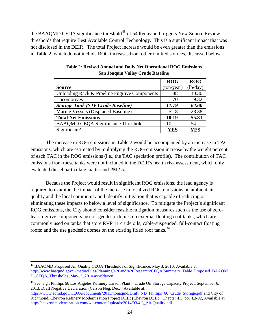the BAAQMD CEQA significance threshold<sup>[45](#page-24-0)</sup> of 54 lb/day and triggers New Source Review thresholds that require Best Available Control Technology. This is a significant impact that was not disclosed in the DEIR. The total Project increase would be even greater than the emissions in Table 2, which do not include ROG increases from other omitted sources, discussed below.

|                                               | <b>ROG</b> | <b>ROG</b> |
|-----------------------------------------------|------------|------------|
| <b>Source</b>                                 | (ton/year) | (lb/day)   |
| Unloading Rack & Pipeline Fugitive Components | 1.88       | 10.30      |
| Locomotives                                   | 1.70       | 9.32       |
| <b>Storage Tank (SJV Crude Baseline)</b>      | 11.79      | 64.60      |
| Marine Vessels (Displaced Baseline)           | $-5.18$    | $-28.38$   |
| <b>Total Net Emissions</b>                    | 10.19      | 55.83      |
| <b>BAAQMD CEQA Significance Threshold</b>     | 10         | 54         |
| Significant?                                  | YES        | YES        |

**Table 2: Revised Annual and Daily Net Operational ROG Emissions San Joaquin Valley Crude Baseline**

The increase in ROG emissions in Table 2 would be accompanied by an increase in TAC emissions, which are estimated by multiplying the ROG emission increase by the weight percent of each TAC in the ROG emissions (i.e., the TAC speciation profile). The contribution of TAC emissions from these tanks were not included in the DEIR's health risk assessment, which only evaluated diesel particulate matter and PM2.5.

Because the Project would result in significant ROG emissions, the lead agency is required to examine the impact of the increase in localized ROG emissions on ambient air quality and the local community and identify mitigation that is capable of reducing or eliminating these impacts to below a level of significance. To mitigate the Project's significant ROG emissions, the City should consider feasible mitigation measures such as the use of zeroleak fugitive components; use of geodesic domes on external floating roof tanks, which are commonly used on tanks that store RVP 11 crude oils; cable-suspended, full-contact floating roofs; and the use geodesic domes on the existing fixed roof tanks.<sup>46</sup>

<span id="page-24-0"></span> <sup>45</sup> BAAQMD Proposed Air Quality CEQA Thresholds of Significance, May 3, 2010, Available at: [http://www.baaqmd.gov/~/media/Files/Planning%20and%20Research/CEQA/Summary\\_Table\\_Proposed\\_BAAQM](http://www.baaqmd.gov/~/media/Files/Planning%20and%20Research/CEQA/Summary_Table_Proposed_BAAQMD_CEQA_Thresholds_May_3_2010.ashx?la=en) [D\\_CEQA\\_Thresholds\\_May\\_3\\_2010.ashx?la=en.](http://www.baaqmd.gov/~/media/Files/Planning%20and%20Research/CEQA/Summary_Table_Proposed_BAAQMD_CEQA_Thresholds_May_3_2010.ashx?la=en)

<span id="page-24-1"></span><sup>46</sup> See, e.g., Phillips 66 Los Angeles Refinery Carson Plant – Crude Oil Storage Capacity Project, September 6, 2013, Draft Negative Declaration (Carson Neg. Dec.), Available at:

[https://www.aqmd.gov/CEQA/documents/2013/nonaqmd/Draft\\_ND\\_Phillips\\_66\\_Crude\\_Storage.pdf](https://www.aqmd.gov/CEQA/documents/2013/nonaqmd/Draft_ND_Phillips_66_Crude_Storage.pdf) and City of Richmond, Chevron Refinery Modernization Project DEIR (Chevron DEIR), Chapter 4.3, pp. 4.3-92, Available at: [http://chevronmodernization.com/wp-content/uploads/2014/03/4.3\\_Air-Quality.pdf.](http://chevronmodernization.com/wp-content/uploads/2014/03/4.3_Air-Quality.pdf)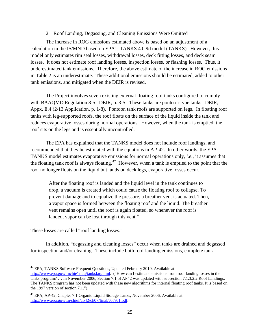#### 2. Roof Landing, Degassing, and Cleaning Emissions Were Omitted

The increase in ROG emissions estimated above is based on an adjustment of a calculation in the IS/MND based on EPA's TANKS 4.0.9d model (TANKS). However, this model only estimates rim seal losses, withdrawal losses, deck fitting losses, and deck seam losses. It does not estimate roof landing losses, inspection losses, or flashing losses. Thus, it underestimated tank emissions. Therefore, the above estimate of the increase in ROG emissions in Table 2 is an underestimate. These additional emissions should be estimated, added to other tank emissions, and mitigated when the DEIR is revised.

The Project involves seven existing external floating roof tanks configured to comply with BAAQMD Regulation 8-5. DEIR, p. 3-5. These tanks are pontoon-type tanks. DEIR, Appx. E.4 (2/13 Application, p. 1-8). Pontoon tank roofs are supported on legs. In floating roof tanks with leg-supported roofs, the roof floats on the surface of the liquid inside the tank and reduces evaporative losses during normal operations. However, when the tank is emptied, the roof sits on the legs and is essentially uncontrolled.

The EPA has explained that the TANKS model does not include roof landings, and recommended that they be estimated with the equations in AP-42. In other words, the EPA TANKS model estimates evaporative emissions for normal operations only, *i.e.*, it assumes that the floating tank roof is always floating.<sup>[47](#page-25-0)</sup> However, when a tank is emptied to the point that the roof no longer floats on the liquid but lands on deck legs, evaporative losses occur.

After the floating roof is landed and the liquid level in the tank continues to drop, a vacuum is created which could cause the floating roof to collapse. To prevent damage and to equalize the pressure, a breather vent is actuated. Then, a vapor space is formed between the floating roof and the liquid. The breather vent remains open until the roof is again floated, so whenever the roof is landed, vapor can be lost through this vent.<sup>48</sup>

These losses are called "roof landing losses."

In addition, "degassing and cleaning losses" occur when tanks are drained and degassed for inspection and/or cleaning. These include both roof landing emissions, complete tank

<span id="page-25-0"></span><sup>&</sup>lt;sup>47</sup> EPA, TANKS Software Frequent Questions, Updated February 2010, Available at:

[http://www.epa.gov/ttnchie1/faq/tanksfaq.html.](http://www.epa.gov/ttnchie1/faq/tanksfaq.html) ("How can I estimate emissions from roof landing losses in the tanks program? … In November 2006, Section 7.1 of AP42 was updated with subsection 7.1.3.2.2 Roof Landings. The TANKS program has not been updated with these new algorithms for internal floating roof tanks. It is based on the 1997 version of section 7.1.").

<span id="page-25-1"></span> $48$  EPA, AP-42, Chapter 7.1 Organic Liquid Storage Tanks, November 2006, Available at: [http://www.epa.gov/ttn/chief/ap42/ch07/final/c07s01.pdf.](http://www.epa.gov/ttn/chief/ap42/ch07/final/c07s01.pdf)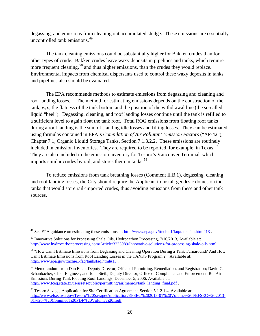degassing, and emissions from cleaning out accumulated sludge. These emissions are essentially uncontrolled tank emissions.[49](#page-26-0)

The tank cleaning emissions could be substantially higher for Bakken crudes than for other types of crude. Bakken crudes leave waxy deposits in pipelines and tanks, which require more frequent cleaning,<sup>[50](#page-26-1)</sup> and thus higher emissions, than the crudes they would replace. Environmental impacts from chemical dispersants used to control these waxy deposits in tanks and pipelines also should be evaluated.

The EPA recommends methods to estimate emissions from degassing and cleaning and roof landing losses.<sup>[51](#page-26-2)</sup> The method for estimating emissions depends on the construction of the tank, *e.g.*, the flatness of the tank bottom and the position of the withdrawal line (the so-called liquid "heel"). Degassing, cleaning, and roof landing losses continue until the tank is refilled to a sufficient level to again float the tank roof. Total ROG emissions from floating roof tanks during a roof landing is the sum of standing idle losses and filling losses. They can be estimated using formulas contained in EPA's *Compilation of Air Pollutant Emission Factors* ("AP-42"), Chapter 7.1, Organic Liquid Storage Tanks, Section 7.1.3.2.2. These emissions are routinely included in emission inventories. They are required to be reported, for example, in Texas.<sup>52</sup> They are also included in the emission inventory for Tesoro's Vancouver Terminal, which imports similar crudes by rail, and stores them in tanks.<sup>[53](#page-26-4)</sup>

To reduce emissions from tank breathing losses (Comment II.B.1), degassing, cleaning and roof landing losses, the City should require the Applicant to install geodesic domes on the tanks that would store rail-imported crudes, thus avoiding emissions from these and other tank sources.

<span id="page-26-0"></span><sup>&</sup>lt;sup>49</sup> See EPA guidance on estimating these emissions at:<http://www.epa.gov/ttnchie1/faq/tanksfaq.html#13>.

<span id="page-26-1"></span><sup>&</sup>lt;sup>50</sup> Innovative Solutions for Processing Shale Oils, Hydrocarbon Processing, 7/10/2013, Available at: [http://www.hydrocarbonprocessing.com/Article/3223989/Innovative-solutions-for-processing-shale-oils.html.](http://www.hydrocarbonprocessing.com/Article/3223989/Innovative-solutions-for-processing-shale-oils.html)

<span id="page-26-2"></span><sup>&</sup>lt;sup>51</sup> "How Can I Estimate Emissions from Degassing and Cleaning Operation During a Tank Turnaround? And How Can I Estimate Emissions from Roof Landing Losses in the TANKS Program:?", Available at: <http://www.epa.gov/ttnchie1/faq/tanksfaq.html#13> .

<span id="page-26-3"></span><sup>&</sup>lt;sup>52</sup> Memorandum from Dan Eden, Deputy Director, Office of Permitting, Remediation, and Registration; David C. Schanbacher, Chief Engineer; and John Steib, Deputy Director, Office of Compliance and Enforcement, Re: Air Emissions During Tank Floating Roof Landings, December 5, 2006, Available at: [http://www.tceq.state.tx.us/assets/public/permitting/air/memos/tank\\_landing\\_final.pdf](http://www.tceq.state.tx.us/assets/public/permitting/air/memos/tank_landing_final.pdf) .

<span id="page-26-4"></span><sup>53</sup> Tesoro Savage, Application for Site Certification Agreement, Section 5.1.2.1.4, Available at: [http://www.efsec.wa.gov/Tesoro%20Savage/Application/EFSEC%202013-01%20Volume%20I/EFSEC%202013-](http://www.efsec.wa.gov/Tesoro%20Savage/Application/EFSEC%202013-01%20Volume%20I/EFSEC%202013-01%20-%20Compiled%20PDF%20Volume%20I.pdf) [01%20-%20Compiled%20PDF%20Volume%20I.pdf](http://www.efsec.wa.gov/Tesoro%20Savage/Application/EFSEC%202013-01%20Volume%20I/EFSEC%202013-01%20-%20Compiled%20PDF%20Volume%20I.pdf) .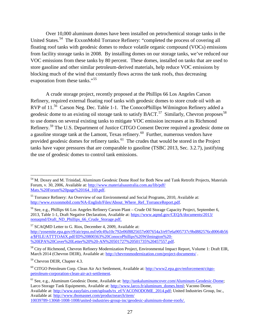Over 10,000 aluminum domes have been installed on petrochemical storage tanks in the United States.[54](#page-27-0) The ExxonMobil Torrance Refinery: "completed the process of covering all floating roof tanks with geodesic domes to reduce volatile organic compound (VOCs) emissions from facility storage tanks in 2008. By installing domes on our storage tanks, we've reduced our VOC emissions from these tanks by 80 percent. These domes, installed on tanks that are used to store gasoline and other similar petroleum-derived materials, help reduce VOC emissions by blocking much of the wind that constantly flows across the tank roofs, thus decreasing evaporation from these tanks."<sup>[55](#page-27-1)</sup>

A crude storage project, recently proposed at the Phillips 66 Los Angeles Carson Refinery, required external floating roof tanks with geodesic domes to store crude oil with an RVP of 11.<sup>[56](#page-27-2)</sup> Carson Neg. Dec. Table 1-1. The ConocoPhillips Wilmington Refinery added a geodesic dome to an existing oil storage tank to satisfy BACT.<sup>57</sup> Similarly, Chevron proposes<sup>[58](#page-27-4)</sup> to use domes on several existing tanks to mitigate VOC emission increases at its Richmond Refinery.[59](#page-27-5) The U.S. Department of Justice CITGO Consent Decree required a geodesic dome on a gasoline storage tank at the Lamont, Texas refinery.<sup>[60](#page-27-6)</sup> Further, numerous vendors have provided geodesic domes for refinery tanks.<sup>61</sup> The crudes that would be stored in the Project tanks have vapor pressures that are comparable to gasoline (TSBC 2013, Sec. 3.2.7), justifying the use of geodesic domes to control tank emissions.

<span id="page-27-0"></span> <sup>54</sup> M. Doxey and M. Trinidad, Aluminum Geodesic Dome Roof for Both New and Tank Retrofit Projects, Materials Forum, v. 30, 2006, Available at[: http://www.materialsaustralia.com.au/lib/pdf/](http://www.materialsaustralia.com.au/lib/pdf/Mats.%20Forum%20page%20164_169.pdf) [Mats.%20Forum%20page%20164\\_169.pdf.](http://www.materialsaustralia.com.au/lib/pdf/Mats.%20Forum%20page%20164_169.pdf)

<span id="page-27-1"></span><sup>&</sup>lt;sup>55</sup> Torrance Refinery: An Overview of our Environmental and Social Programs, 2010, Available at: [http://www.exxonmobil.com/NA-English/Files/About\\_Where\\_Ref\\_TorranceReport.pdf.](http://www.exxonmobil.com/NA-English/Files/About_Where_Ref_TorranceReport.pdf)

<span id="page-27-2"></span><sup>56</sup> See, e.g., Phillips 66 Los Angeles Refinery Carson Plant – Crude Oil Storage Capacity Project, September 6, 2013, Table 1-1, Draft Negative Declaration, Available at: [https://www.aqmd.gov/CEQA/documents/2013/](https://www.aqmd.gov/CEQA/documents/2013/nonaqmd/Draft_ND_Phillips_66_Crude_Storage.pdf) [nonaqmd/Draft\\_ND\\_Phillips\\_66\\_Crude\\_Storage.pdf.](https://www.aqmd.gov/CEQA/documents/2013/nonaqmd/Draft_ND_Phillips_66_Crude_Storage.pdf)

<span id="page-27-3"></span><sup>&</sup>lt;sup>57</sup> SCAQMD Letter to G. Rios, December 4, 2009, Available at:

[http://yosemite.epa.gov/r9/air/epss.nsf/e0c49a10c792e06f8825657e007654a3/e97e6a905737c9bd882576cd0064b56](http://yosemite.epa.gov/r9/air/epss.nsf/e0c49a10c792e06f8825657e007654a3/e97e6a905737c9bd882576cd0064b56a/$FILE/ATTTOA6X.pdf/ID%20800363%20ConocoPhillips%20Wilmington%20-%20EPA%20Cover%20Letter%20%20-AN%20501727%20501735%20457557.pdf) [a/\\$FILE/ATTTOA6X.pdf/ID%20800363%20ConocoPhillips%20Wilmington%20-](http://yosemite.epa.gov/r9/air/epss.nsf/e0c49a10c792e06f8825657e007654a3/e97e6a905737c9bd882576cd0064b56a/$FILE/ATTTOA6X.pdf/ID%20800363%20ConocoPhillips%20Wilmington%20-%20EPA%20Cover%20Letter%20%20-AN%20501727%20501735%20457557.pdf) %20EPA%20Cover%20Letter%20%20-AN%20501727%20501735%20457557.pdf.

<span id="page-27-4"></span><sup>&</sup>lt;sup>58</sup> City of Richmond, Chevron Refinery Modernization Project, Environmental Impact Report, Volume 1: Draft EIR, March 2014 (Chevron DEIR), Available at:<http://chevronmodernization.com/project-documents/>.

<span id="page-27-5"></span><sup>59</sup> Chevron DEIR, Chapter 4.3.

<span id="page-27-6"></span><sup>60</sup> CITGO Petroleum Corp. Clean Air Act Settlement, Available at: [http://www2.epa.gov/enforcement/citgo](http://www2.epa.gov/enforcement/citgo-petroleum-corporation-clean-air-act-settlement)[petroleum-corporation-clean-air-act-settlement.](http://www2.epa.gov/enforcement/citgo-petroleum-corporation-clean-air-act-settlement)

<span id="page-27-7"></span><sup>61</sup> See, e.g., Aluminum Geodesic Dome, Available at[: http://tankaluminumcover.com/Aluminum-Geodesic-Dome;](http://tankaluminumcover.com/Aluminum-Geodesic-Dome) Larco Storage Tank Equipments, Available at[: http://www.larco.fr/aluminum\\_domes.html;](http://www.larco.fr/aluminum_domes.html) Vacono Dome, Available at: [http://www.easyfairs.com/uploads/tx\\_ef/VACONODOME\\_2014.pdf;](http://www.easyfairs.com/uploads/tx_ef/VACONODOME_2014.pdf) United Industries Group, Inc., Available at: [http://www.thomasnet.com/productsearch/item/](http://www.thomasnet.com/productsearch/item/10039789-13068-1008-1008/united-industries-group-inc/geodesic-aluminum-dome-roofs/) [10039789-13068-1008-1008/united-industries-group-inc/geodesic-aluminum-dome-roofs/.](http://www.thomasnet.com/productsearch/item/10039789-13068-1008-1008/united-industries-group-inc/geodesic-aluminum-dome-roofs/)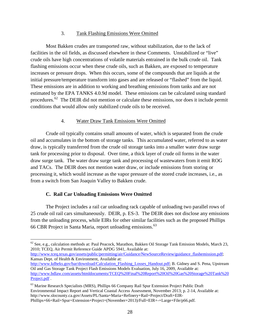#### 3. Tank Flashing Emissions Were Omitted

Most Bakken crudes are transported raw, without stabilization, due to the lack of facilities in the oil fields, as discussed elsewhere in these Comments. Unstabilized or "live" crude oils have high concentrations of volatile materials entrained in the bulk crude oil. Tank flashing emissions occur when these crude oils, such as Bakken, are exposed to temperature increases or pressure drops. When this occurs, some of the compounds that are liquids at the initial pressure/temperature transform into gases and are released or "flashed" from the liquid. These emissions are in addition to working and breathing emissions from tanks and are not estimated by the EPA TANKS 4.0.9d model. These emissions can be calculated using standard procedures.[62](#page-28-0) The DEIR did not mention or calculate these emissions, nor does it include permit conditions that would allow only stabilized crude oils to be received.

#### 4. Water Draw Tank Emissions Were Omitted

Crude oil typically contains small amounts of water, which is separated from the crude oil and accumulates in the bottom of storage tanks. This accumulated water, referred to as water draw, is typically transferred from the crude oil storage tanks into a smaller water draw surge tank for processing prior to disposal. Over time, a thick layer of crude oil forms in the water draw surge tank. The water draw surge tank and processing of wastewaters from it emit ROG and TACs. The DEIR does not mention water draw, or include emissions from storing or processing it, which would increase as the vapor pressure of the stored crude increases, i.e., as from a switch from San Joaquin Valley to Bakken crude.

#### **C. Rail Car Unloading Emissions Were Omitted**

The Project includes a rail car unloading rack capable of unloading two parallel rows of 25 crude oil rail cars simultaneously. DEIR, p. ES-3. The DEIR does not disclose any emissions from the unloading process, while EIRs for other similar facilities such as the proposed Phillips 66 CBR Project in Santa Maria, report unloading emissions.<sup>[63](#page-28-1)</sup>

[http://www.tceq.texas.gov/assets/public/permitting/air/Guidance/NewSourceReview/guidance\\_flashemission.pdf;](http://www.tceq.texas.gov/assets/public/permitting/air/Guidance/NewSourceReview/guidance_flashemission.pdf) Kansas Dept. of Health & Environment, Available at:

<span id="page-28-0"></span> $62$  See, e.g., calculation methods at: Paul Peacock, Marathon, Bakken Oil Storage Tank Emission Models, March 23, 2010; TCEQ, Air Permit Reference Guide APDG 5941, Available at:

[http://www.kdheks.gov/bar/download/Calculation\\_Flashing\\_Losses\\_Handout.pdf;](http://www.kdheks.gov/bar/download/Calculation_Flashing_Losses_Handout.pdf) B. Gidney and S. Pena, Upstream Oil and Gas Storage Tank Project Flash Emissions Models Evaluation, July 16, 2009, Available at: [http://www.bdlaw.com/assets/htmldocuments/TCEQ%20Final%20Report%20Oil%20Gas%20Storage%20Tank%20](http://www.bdlaw.com/assets/htmldocuments/TCEQ%20Final%20Report%20Oil%20Gas%20Storage%20Tank%20Project.pdf) [Project.pdf](http://www.bdlaw.com/assets/htmldocuments/TCEQ%20Final%20Report%20Oil%20Gas%20Storage%20Tank%20Project.pdf) .

<span id="page-28-1"></span><sup>&</sup>lt;sup>63</sup> Marine Research Specialists (MRS), Phillips 66 Company Rail Spur Extension Project Public Draft Environmental Impact Report and Vertical Coastal Access Assessment, November 2013; p. 2-14, Available at: http://www.slocounty.ca.gov/Assets/PL/Santa+Maria+Refinery+Rail+Project/Draft+EIR-Phillips+66+Rail+Spur+Extension+Project+(November+2013)/Full+EIR+-+Large+File/p66.pdf.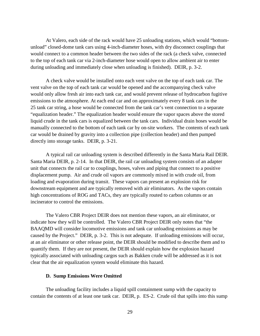At Valero, each side of the rack would have 25 unloading stations, which would "bottomunload" closed-dome tank cars using 4-inch-diameter hoses, with dry disconnect couplings that would connect to a common header between the two sides of the rack (a check valve, connected to the top of each tank car via 2-inch-diameter hose would open to allow ambient air to enter during unloading and immediately close when unloading is finished). DEIR, p. 3-2.

A check valve would be installed onto each vent valve on the top of each tank car. The vent valve on the top of each tank car would be opened and the accompanying check valve would only allow fresh air into each tank car, and would prevent release of hydrocarbon fugitive emissions to the atmosphere. At each end car and on approximately every 8 tank cars in the 25 tank car string, a hose would be connected from the tank car's vent connection to a separate "equalization header." The equalization header would ensure the vapor spaces above the stored liquid crude in the tank cars is equalized between the tank cars. Individual drain hoses would be manually connected to the bottom of each tank car by on-site workers. The contents of each tank car would be drained by gravity into a collection pipe (collection header) and then pumped directly into storage tanks. DEIR, p. 3-21.

A typical rail car unloading system is described differently in the Santa Maria Rail DEIR. Santa Maria DEIR, p. 2-14. In that DEIR, the rail car unloading system consists of an adapter unit that connects the rail car to couplings, hoses, valves and piping that connect to a positive displacement pump. Air and crude oil vapors are commonly mixed in with crude oil, from loading and evaporation during transit. These vapors can present an explosion risk for downstream equipment and are typically removed with air eliminators. As the vapors contain high concentrations of ROG and TACs, they are typically routed to carbon columns or an incinerator to control the emissions.

The Valero CBR Project DEIR does not mention these vapors, an air eliminator, or indicate how they will be controlled. The Valero CBR Project DEIR only notes that "the BAAQMD will consider locomotive emissions and tank car unloading emissions as may be caused by the Project." DEIR, p. 3-2. This is not adequate. If unloading emissions will occur, at an air eliminator or other release point, the DEIR should be modified to describe them and to quantify them. If they are not present, the DEIR should explain how the explosion hazard typically associated with unloading cargos such as Bakken crude will be addressed as it is not clear that the air equalization system would eliminate this hazard.

#### **D. Sump Emissions Were Omitted**

The unloading facility includes a liquid spill containment sump with the capacity to contain the contents of at least one tank car. DEIR, p. ES-2. Crude oil that spills into this sump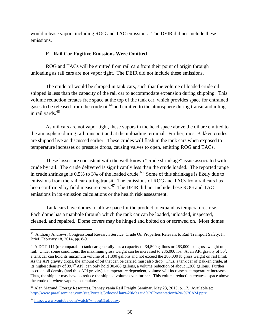would release vapors including ROG and TAC emissions. The DEIR did not include these emissions.

#### **E. Rail Car Fugitive Emissions Were Omitted**

ROG and TACs will be emitted from rail cars from their point of origin through unloading as rail cars are not vapor tight. The DEIR did not include these emissions.

The crude oil would be shipped in tank cars, such that the volume of loaded crude oil shipped is less than the capacity of the rail car to accommodate expansion during shipping. This volume reduction creates free space at the top of the tank car, which provides space for entrained gases to be released from the crude oil<sup>[64](#page-30-0)</sup> and emitted to the atmosphere during transit and idling in rail yards.<sup>[65](#page-30-1)</sup>

As rail cars are not vapor tight, these vapors in the head space above the oil are emitted to the atmosphere during rail transport and at the unloading terminal. Further, most Bakken crudes are shipped live as discussed earlier. These crudes will flash in the tank cars when exposed to temperature increases or pressure drops, causing valves to open, emitting ROG and TACs.

These losses are consistent with the well-known "crude shrinkage" issue associated with crude by rail. The crude delivered is significantly less than the crude loaded. The reported range in crude shrinkage is  $0.5\%$  to 3% of the loaded crude.<sup>66</sup> Some of this shrinkage is likely due to emissions from the rail car during transit. The emissions of ROG and TACs from rail cars has been confirmed by field measurements.<sup>[67](#page-30-3)</sup> The DEIR did not include these ROG and TAC emissions in its emission calculations or the health risk assessment.

Tank cars have domes to allow space for the product to expand as temperatures rise. Each dome has a manhole through which the tank car can be loaded, unloaded, inspected, cleaned, and repaired. Dome covers may be hinged and bolted on or screwed on. Most domes

<span id="page-30-0"></span> <sup>64</sup> Anthony Andrews, Congressional Research Service, Crude Oil Properties Relevant to Rail Transport Safety: In Brief, February 18, 2014, pp. 8-9.

<span id="page-30-1"></span> $65$  A DOT 111 (or comparable) tank car generally has a capacity of 34,500 gallons or 263,000 lbs. gross weight on rail. Under some conditions, the maximum gross weight can be increased to  $286,000$  lbs. At an API gravity of  $50^\circ$ , a tank car can hold its maximum volume of 31,800 gallons and not exceed the 286,000 lb gross weight on rail limit. As the API gravity drops, the amount of oil that can be carried must also drop. Thus, a tank car of Bakken crude, at its highest density of 39.7° API, can only hold 30,488 gallons, a volume reduction of about 1,300 gallons. Further, as crude oil density (and thus API gravity) is temperature dependent, volume will increase as temperature increases. Thus, the shipper may have to reduce the shipped volume even further. This volume reduction creates a space above the crude oil where vapors accumulate.

<span id="page-30-2"></span><sup>66</sup> Alan Mazaud, Exergy Resources, Pennsylvania Rail Freight Seminar, May 23, 2013, p. 17. Available at: <http://www.parailseminar.com/site/Portals/3/docs/Alan%20Mazaud%20Presentation%20-%20AM.pptx>

<span id="page-30-3"></span> $67$  [http://www.youtube.com/watch?v=35uC1gLctnw.](http://www.youtube.com/watch?v=35uC1gLctnw)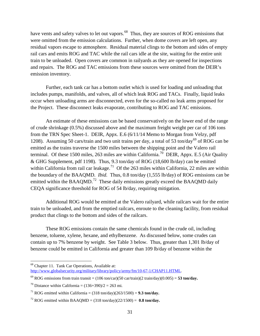have vents and safety valves to let out vapors.<sup>68</sup> Thus, they are sources of ROG emissions that were omitted from the emission calculations. Further, when dome covers are left open, any residual vapors escape to atmosphere. Residual material clings to the bottom and sides of empty rail cars and emits ROG and TAC while the rail cars idle at the site, waiting for the entire unit train to be unloaded. Open covers are common in railyards as they are opened for inspections and repairs. The ROG and TAC emissions from these sources were omitted from the DEIR's emission inventory.

Further, each tank car has a bottom outlet which is used for loading and unloading that includes pumps, manifolds, and valves, all of which leak ROG and TACs. Finally, liquid leaks occur when unloading arms are disconnected, even for the so-called no leak arms proposed for the Project. These disconnect leaks evaporate, contributing to ROG and TAC emissions.

An estimate of these emissions can be based conservatively on the lower end of the range of crude shrinkage (0.5%) discussed above and the maximum freight weight per car of 106 tons from the TRN Spec Sheet-1. DEIR, Appx. E.6 (6/11/14 Memo to Morgan from Velzy, pdf 1208). Assuming 50 cars/train and two unit trains per day, a total of 53 ton/day<sup>[69](#page-31-1)</sup> of ROG can be emitted as the trains traverse the 1500 miles between the shipping point and the Valero rail terminal. Of these 1500 miles, 263 miles are within California.<sup>70</sup> DEIR, Appx. E.5 (Air Quality & GHG Supplement, pdf 1198). Thus, 9.3 ton/day of ROG (18,600 lb/day) can be emitted within California from rail car leakage.<sup>71</sup> Of the 263 miles within California, 22 miles are within the boundary of the BAAQMD. *Ibid.* Thus, 0.8 ton/day (1,555 lb/day) of ROG emissions can be emitted within the BAAQMD.<sup>[72](#page-31-4)</sup> These daily emissions greatly exceed the BAAQMD daily CEQA significance threshold for ROG of 54 lb/day, requiring mitigation.

Additional ROG would be emitted at the Valero railyard, while railcars wait for the entire train to be unloaded, and from the emptied railcars, enroute to the cleaning facility, from residual product that clings to the bottom and sides of the railcars.

These ROG emissions contain the same chemicals found in the crude oil, including benzene, toluene, xylene, hexane, and ethylbenzene. As discussed below, some crudes can contain up to 7% benzene by weight. See Table 3 below. Thus, greater than 1,301 lb/day of benzene could be emitted in California and greater than 109 lb/day of benzene within the

<span id="page-31-0"></span> <sup>68</sup> Chapter 11. Tank Car Operations, Available at: [http://www.globalsecurity.org/military/library/policy/army/fm/10-67-1/CHAP11.HTML.](http://www.globalsecurity.org/military/library/policy/army/fm/10-67-1/CHAP11.HTML)

<span id="page-31-1"></span><sup>&</sup>lt;sup>69</sup> ROG emissions from train transit =  $(106 \text{ ton/car})(50 \text{ car/train})(2 \text{ train/day})(0.005) = 53 \text{ ton/day}$ .

<span id="page-31-2"></span><sup>&</sup>lt;sup>70</sup> Distance within California =  $(136+390)/2 = 263$  mi.

<span id="page-31-3"></span><sup>&</sup>lt;sup>71</sup> ROG emitted within California =  $(318 \text{ ton/day})(263/1500) = 9.3 \text{ ton/day}$ .

<span id="page-31-4"></span><sup>&</sup>lt;sup>72</sup> ROG emitted within BAAQMD =  $(318 \text{ ton/day})(22/1500) = 0.8 \text{ ton/day}$ .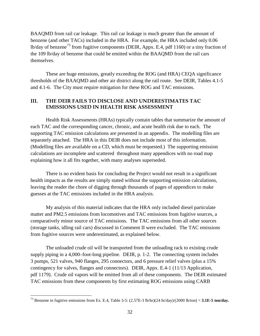BAAQMD from rail car leakage. This rail car leakage is much greater than the amount of benzene (and other TACs) included in the HRA. For example, the HRA included only 0.06 lb/day of benzene<sup>[73](#page-32-0)</sup> from fugitive components (DEIR, Appx. E.4, pdf 1160) or a tiny fraction of the 109 lb/day of benzene that could be emitted within the BAAQMD from the rail cars themselves.

These are huge emissions, greatly exceeding the ROG (and HRA) CEQA significance thresholds of the BAAQMD and other air district along the rail route. See DEIR, Tables 4.1-5 and 4.1-6. The City must require mitigation for these ROG and TAC emissions.

#### **III. THE DEIR FAILS TO DISCLOSE AND UNDERESTIMATES TAC EMISSIONS USED IN HEALTH RISK ASSESSMENT**

Health Risk Assessments (HRAs) typically contain tables that summarize the amount of each TAC and the corresponding cancer, chronic, and acute health risk due to each. The supporting TAC emission calculations are presented in an appendix. The modelling files are separately attached. The HRA in this DEIR does not include most of this information. (Modelling files are available on a CD, which must be requested.) The supporting emission calculations are incomplete and scattered throughout many appendices with no road map explaining how it all fits together, with many analyses superseded.

There is no evident basis for concluding the Project would not result in a significant health impacts as the results are simply stated without the supporting emission calculations, leaving the reader the chore of digging through thousands of pages of appendices to make guesses at the TAC emissions included in the HRA analysis.

My analysis of this material indicates that the HRA only included diesel particulate matter and PM2.5 emissions from locomotives and TAC emissions from fugitive sources, a comparatively minor source of TAC emissions. The TAC emissions from all other sources (storage tanks, idling rail cars) discussed in Comment II were excluded. The TAC emissions from fugitive sources were underestimated, as explained below.

The unloaded crude oil will be transported from the unloading rack to existing crude supply piping in a 4,000–foot-long pipeline. DEIR, p. 1-2. The connecting system includes 3 pumps, 521 valves, 940 flanges, 295 connectors, and 6 pressure relief valves (plus a 15% contingency for valves, flanges and connectors). DEIR, Appx. E.4-1 (11/13 Application, pdf 1179). Crude oil vapors will be emitted from all of these components. The DEIR estimated TAC emissions from these components by first estimating ROG emissions using CARB

<span id="page-32-0"></span><sup>&</sup>lt;sup>73</sup> Benzene in fugitive emissions from Ex. E.4, Table 3-5:  $(2.57E-3 lb/hr)(24 hr/day)/(2000 lb/ton) = 3.1E-5 ton/day.$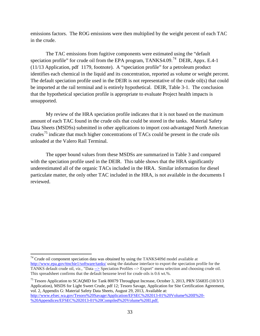emissions factors. The ROG emissions were then multiplied by the weight percent of each TAC in the crude.

The TAC emissions from fugitive components were estimated using the "default speciation profile" for crude oil from the EPA program, TANKS4.09.<sup>[74](#page-33-0)</sup> DEIR, Appx. E.4-1 (11/13 Application, pdf 1179, footnote). A "speciation profile" for a petroleum product identifies each chemical in the liquid and its concentration, reported as volume or weight percent. The default speciation profile used in the DEIR is not representative of the crude oil(s) that could be imported at the rail terminal and is entirely hypothetical. DEIR, Table 3-1. The conclusion that the hypothetical speciation profile is appropriate to evaluate Project health impacts is unsupported.

My review of the HRA speciation profile indicates that it is not based on the maximum amount of each TAC found in the crude oils that could be stored in the tanks. Material Safety Data Sheets (MSDSs) submitted in other applications to import cost-advantaged North American crudes<sup>[75](#page-33-1)</sup> indicate that much higher concentrations of TACs could be present in the crude oils unloaded at the Valero Rail Terminal.

The upper bound values from these MSDSs are summarized in Table 3 and compared with the speciation profile used in the DEIR. This table shows that the HRA significantly underestimated all of the organic TACs included in the HRA. Similar information for diesel particulate matter, the only other TAC included in the HRA, is not available in the documents I reviewed.

<span id="page-33-0"></span> $74$  Crude oil component speciation data was obtained by using the TANKS409d model available at <http://www.epa.gov/ttnchie1/software/tanks/> using the database interface to export the speciation profile for the TANKS default crude oil, *viz.*, "Dat[a -->](http://www.epa.gov/ttnchie1/software/tanks/) Speciation Profiles --> Export" menu selection and choosing crude oil. This spreadsheet confirms that the default benzene level for crude oils is 0.6 wt.%.

<span id="page-33-1"></span><sup>&</sup>lt;sup>75</sup> Tesoro Application to SCAQMD for Tank 80079 Throughput Increase, October 3, 2013, PRN 556835 (10/3/13) Application), MSDS for Light Sweet Crude, pdf 12; Tesoro Savage, Application for Site Certification Agreement, vol. 2, Appendix G: Material Safety Data Sheets, August 29, 2013, Available at: [http://www.efsec.wa.gov/Tesoro%20Savage/Application/EFSEC%202013-01%20Volume%20II%20-](http://www.efsec.wa.gov/Tesoro%20Savage/Application/EFSEC%202013-01%20Volume%20II%20-%20Appendices/EFSEC%202013-01%20Compiled%20Volume%20II.pdf) [%20Appendices/EFSEC%202013-01%20Compiled%20Volume%20II.pdf.](http://www.efsec.wa.gov/Tesoro%20Savage/Application/EFSEC%202013-01%20Volume%20II%20-%20Appendices/EFSEC%202013-01%20Compiled%20Volume%20II.pdf)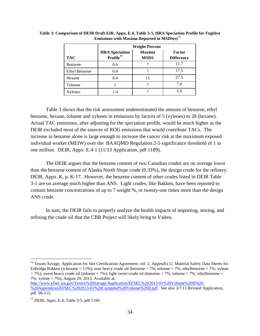|                      | <b>Weight Percent</b>                          |                              |                                    |  |
|----------------------|------------------------------------------------|------------------------------|------------------------------------|--|
| <b>TAC</b>           | <b>HRA</b> Speciation<br>Profile <sup>77</sup> | <b>Maxima</b><br><b>MSDS</b> | <b>Factor</b><br><b>Difference</b> |  |
| Benzene              | 0.6                                            |                              | 11.7                               |  |
| <b>Ethyl Benzene</b> | 0.4                                            |                              | 17.5                               |  |
| Hexane               | 0.4                                            | 11                           | 27.5                               |  |
| Toluene              |                                                |                              | 7.0                                |  |
| Xylenes              | 1.4                                            |                              | 5.0                                |  |

**Table 3: Comparison of DEIR Draft EIR, Appx. E.4, Table 3-5, HRA Speciation Profile for Fugitive Emissions with Maxima Reported in MSDS(s)**[76](#page-34-0)

Table 3 shows that the risk assessment underestimated the amount of benzene, ethyl benzene, hexane, toluene and xylenes in emissions by factors of 5 (xylenes) to 28 (hexane). Actual TAC emissions, after adjusting for the speciation profile, would be much higher as the DEIR excluded most of the sources of ROG emissions that would contribute TACs. The increase in benzene alone is large enough to increase the cancer risk at the maximum exposed individual worker (MEIW) over the BAAQMD Regulation 2-5 significance threshold of 1 in one million. DEIR, Appx. E.4-1 (11/13 Application, pdf 1189).

The DEIR argues that the benzene content of two Canadian crudes are on average lower than the benzene content of Alaska North Slope crude (0.33%), the design crude for the refinery. DEIR, Appx. K, p. K-17. However, the benzene content of other crudes listed in DEIR Table 3-1 are on average much higher than ANS. Light crudes, like Bakken, have been reported to contain benzene concentrations of up to 7 weight %, or twenty-one times more than the design ANS crude.

In sum, the DEIR fails to properly analyze the health impacts of importing, storing, and refining the crude oil that the CBR Project will likely bring to Valero.

[http://www.efsec.wa.gov/Tesoro%20Savage/Application/EFSEC%202013-01%20Volume%20II%20-](http://www.efsec.wa.gov/Tesoro%20Savage/Application/EFSEC%202013-01%20Volume%20II%20-%20Appendices/EFSEC%202013-01%20Compiled%20Volume%20II.pdf) [%20Appendices/EFSEC%202013-01%20Compiled%20Volume%20II.pdf.](http://www.efsec.wa.gov/Tesoro%20Savage/Application/EFSEC%202013-01%20Volume%20II%20-%20Appendices/EFSEC%202013-01%20Compiled%20Volume%20II.pdf) See also 3/7/13 Revised Application, pdf 96-115.

<span id="page-34-0"></span><sup>&</sup>lt;sup>76</sup> Tesoro Savage, Application for Site Certification Agreement, vol. 2, Appendix G: Material Safety Data Sheets for Enbridge Bakken (n-hexane = 11%); sour heavy crude oil (benzene = 7%; toluene = 7%; ethylbenzene = 7%; xylene  $= 7\%$ ; sweet heavy crude oil (toluene  $= 7\%$ ); light sweet crude oil (benzene  $= 7\%$ ; toluene  $= 7\%$ ; ethylbenzene  $=$ 7%; xylene = 7%), August 29, 2013, Available at:

<span id="page-34-1"></span> $77$  DEIR, Appx. E.4, Table 3-5, pdf 1160.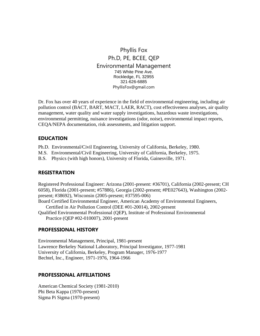#### Phyllis Fox Ph.D, PE, BCEE, QEP Environmental Management 745 White Pine Ave. Rockledge, FL 32955 321-626-6885 PhyllisFox@gmail.com

Dr. Fox has over 40 years of experience in the field of environmental engineering, including air pollution control (BACT, BART, MACT, LAER, RACT), cost effectiveness analyses, air quality management, water quality and water supply investigations, hazardous waste investigations, environmental permitting, nuisance investigations (odor, noise), environmental impact reports, CEQA/NEPA documentation, risk assessments, and litigation support.

#### **EDUCATION**

- Ph.D. Environmental/Civil Engineering, University of California, Berkeley, 1980.
- M.S. Environmental/Civil Engineering, University of California, Berkeley, 1975.
- B.S. Physics (with high honors), University of Florida, Gainesville, 1971.

#### **REGISTRATION**

Registered Professional Engineer: Arizona (2001-present: #36701), California (2002-present; CH 6058), Florida (2001-present; #57886), Georgia (2002-present; #PE027643), Washington (2002 present; #38692), Wisconsin (2005-present; #37595-006)

Board Certified Environmental Engineer, American Academy of Environmental Engineers,

- Certified in Air Pollution Control (DEE #01-20014), 2002-present
- Qualified Environmental Professional (QEP), Institute of Professional Environmental Practice (QEP #02-010007), 2001-present

#### **PROFESSIONAL HISTORY**

Environmental Management, Principal, 1981-present Lawrence Berkeley National Laboratory, Principal Investigator, 1977-1981 University of California, Berkeley, Program Manager, 1976-1977 Bechtel, Inc., Engineer, 1971-1976, 1964-1966

#### **PROFESSIONAL AFFILIATIONS**

American Chemical Society (1981-2010) Phi Beta Kappa (1970-present) Sigma Pi Sigma (1970-present)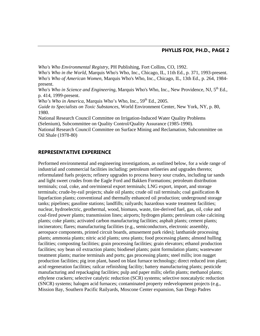*Who's Who Environmental Registry,* PH Publishing, Fort Collins, CO, 1992.

*Who's Who in the World,* Marquis Who's Who, Inc., Chicago, IL, 11th Ed., p. 371, 1993-present. *Who's Who of American Women*, Marquis Who's Who, Inc., Chicago, IL, 13th Ed., p. 264, 1984 present.

*Who's Who in Science and Engineering*, Marquis Who's Who, Inc., New Providence, NJ, 5<sup>th</sup> Ed., p. 414, 1999-present.

*Who's Who in America*, Marquis Who's Who, Inc., 59<sup>th</sup> Ed., 2005.

*Guide to Specialists on Toxic Substances*, World Environment Center, New York, NY, p. 80, 1980.

National Research Council Committee on Irrigation-Induced Water Quality Problems (Selenium), Subcommittee on Quality Control/Quality Assurance (1985-1990).

National Research Council Committee on Surface Mining and Reclamation, Subcommittee on Oil Shale (1978-80)

#### **REPRESENTATIVE EXPERIENCE**

Performed environmental and engineering investigations, as outlined below, for a wide range of industrial and commercial facilities including: petroleum refineries and upgrades thereto; reformulated fuels projects; refinery upgrades to process heavy sour crudes, including tar sands and light sweet crudes from the Eagle Ford and Bakken Formations; petroleum distribution terminals; coal, coke, and ore/mineral export terminals; LNG export, import, and storage terminals; crude-by-rail projects; shale oil plants; crude oil rail terminals; coal gasification  $\&$ liquefaction plants; conventional and thermally enhanced oil production; underground storage tanks; pipelines; gasoline stations; landfills; railyards; hazardous waste treatment facilities; nuclear, hydroelectric, geothermal, wood, biomass, waste, tire-derived fuel, gas, oil, coke and coal-fired power plants; transmission lines; airports; hydrogen plants; petroleum coke calcining plants; coke plants; activated carbon manufacturing facilities; asphalt plants; cement plants; incinerators; flares; manufacturing facilities (e.g., semiconductors, electronic assembly, aerospace components, printed circuit boards, amusement park rides); lanthanide processing plants; ammonia plants; nitric acid plants; urea plants; food processing plants; almond hulling facilities; composting facilities; grain processing facilities; grain elevators; ethanol production facilities; soy bean oil extraction plants; biodiesel plants; paint formulation plants; wastewater treatment plants; marine terminals and ports; gas processing plants; steel mills; iron nugget production facilities; pig iron plant, based on blast furnace technology; direct reduced iron plant; acid regeneration facilities; railcar refinishing facility; battery manufacturing plants; pesticide manufacturing and repackaging facilities; pulp and paper mills; olefin plants; methanol plants; ethylene crackers; selective catalytic reduction (SCR) systems; selective noncatalytic reduction (SNCR) systems; halogen acid furnaces; contaminated property redevelopment projects (e.g., Mission Bay, Southern Pacific Railyards, Moscone Center expansion, San Diego Padres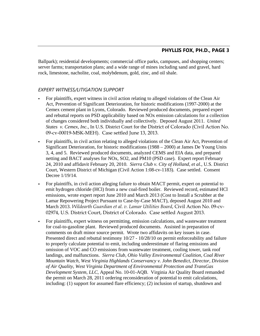Ballpark); residential developments; commercial office parks, campuses, and shopping centers; server farms; transportation plans; and a wide range of mines including sand and gravel, hard rock, limestone, nacholite, coal, molybdenum, gold, zinc, and oil shale.

#### *EXPERT WITNESS/LITIGATION SUPPORT*

- For plaintiffs, expert witness in civil action relating to alleged violations of the Clean Air Act, Prevention of Significant Deterioration, for historic modifications (1997-2000) at the Cemex cement plant in Lyons, Colorado. Reviewed produced documents, prepared expert and rebuttal reports on PSD applicability based on NOx emission calculations for a collection of changes considered both individually and collectively. Deposed August 2011. *United States v. Cemex, Inc.*, In U.S. District Court for the District of Colorado (Civil Action No. 09-cv-00019-MSK-MEH). Case settled June 13, 2013.
- For plaintiffs, in civil action relating to alleged violations of the Clean Air Act, Prevention of Significant Deterioration, for historic modifications (1988 – 2000) at James De Young Units 3, 4, and 5. Reviewed produced documents, analyzed CEMS and EIA data, and prepared netting and BACT analyses for NOx, SO2, and PM10 (PSD case). Expert report February 24, 2010 and affidavit February 20, 2010. *Sierra Club v. City of Holland, et al.*, U.S. District Court, Western District of Michigan (Civil Action 1:08-cv-1183). Case settled. Consent Decree 1/19/14.
- For plaintiffs, in civil action alleging failure to obtain MACT permit, expert on potential to emit hydrogen chloride (HCl) from a new coal-fired boiler. Reviewed record, estimated HCl emissions, wrote expert report June 2010 and March 2013 (Cost to Install a Scrubber at the Lamar Repowering Project Pursuant to Case-by-Case MACT), deposed August 2010 and March 2013. *Wildearth Guardian et al. v. Lamar Utilities Board*, Civil Action No. 09-cv-02974, U.S. District Court, District of Colorado. Case settled August 2013.
- For plaintiffs, expert witness on permitting, emission calculations, and wastewater treatment for coal-to-gasoline plant. Reviewed produced documents. Assisted in preparation of comments on draft minor source permit. Wrote two affidavits on key issues in case. Presented direct and rebuttal testimony  $10/27 - 10/28/10$  on permit enforceability and failure to properly calculate potential to emit, including underestimate of flaring emissions and omission of VOC and CO emissions from wastewater treatment, cooling tower, tank roof landings, and malfunctions. *Sierra Club, Ohio Valley Environmental Coalition, Coal River Mountain Watch, West Virginia Highlands Conservancy v. John Benedict, Director, Division of Air Quality, West Virginia Department of Environmental Protection and TransGas Development System, LLC*, Appeal No. 10-01-AQB. Virginia Air Quality Board remanded the permit on March 28, 2011 ordering reconsideration of potential to emit calculations, including: (1) support for assumed flare efficiency; (2) inclusion of startup, shutdown and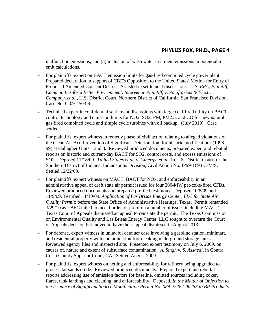malfunction emissions; and (3) inclusion of wastewater treatment emissions in potential to emit calculations.

- For plaintiffs, expert on BACT emission limits for gas-fired combined cycle power plant. Prepared declaration in support of CBE's Opposition to the United States' Motion for Entry of Proposed Amended Consent Decree. Assisted in settlement discussions. *U.S. EPA, Plaintiff, Communities for a Better Environment, Intervenor Plaintiff, v. Pacific Gas & Electric Company, et al.*, U.S. District Court, Northern District of California, San Francisco Division, Case No. C-09-4503 SI.
- Technical expert in confidential settlement discussions with large coal-fired utility on BACT control technology and emission limits for NOx, SO2, PM, PM2.5, and CO for new natural gas fired combined cycle and simple cycle turbines with oil backup. (July 2010). Case settled.
- For plaintiffs, expert witness in remedy phase of civil action relating to alleged violations of the Clean Air Act, Prevention of Significant Deterioration, for historic modifications (1998- 99) at Gallagher Units 1 and 3. Reviewed produced documents, prepared expert and rebuttal reports on historic and current-day BACT for SO2, control costs, and excess emissions of SO2. Deposed 11/18/09. *United States et al. v. Cinergy, et al.*, In U.S. District Court for the Southern District of Indiana, Indianapolis Division, Civil Action No. IP99-1693 C-M/S. Settled 12/22/09.
- For plaintiffs, expert witness on MACT, BACT for NOx, and enforceability in an administrative appeal of draft state air permit issued for four 300-MW pet-coke-fired CFBs. Reviewed produced documents and prepared prefiled testimony. Deposed 10/8/09 and 11/9/09. Testified 11/10/09. *Application of Las Brisas Energy Center, LLC for State Air Quality Permit*; before the State Office of Administrative Hearings, Texas. Permit remanded 3/29/10 as LBEC failed to meet burden of proof on a number of issues including MACT. Texas Court of Appeals dismissed an appeal to reinstate the permit. The Texas Commission on Environmental Quality and Las Brisas Energy Center, LLC sought to overturn the Court of Appeals decision but moved to have their appeal dismissed in August 2013.
- For defense, expert witness in unlawful detainer case involving a gasoline station, minimart, and residential property with contamination from leaking underground storage tanks. Reviewed agency files and inspected site. Presented expert testimony on July 6, 2009, on causes of, nature and extent of subsurface contamination. *A. Singh v. S. Assaedi,* in Contra Costa County Superior Court, CA. Settled August 2009.
- For plaintiffs, expert witness on netting and enforceability for refinery being upgraded to process tar sands crude. Reviewed produced documents. Prepared expert and rebuttal reports addressing use of emission factors for baseline, omitted sources including coker, flares, tank landings and cleaning, and enforceability. Deposed. *In the Matter of Objection to the Issuance of Significant Source Modification Permit No. 089-25484-00453 to BP Products*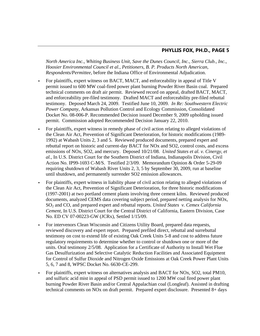*North America Inc., Whiting Business Unit, Save the Dunes Council, Inc., Sierra Club., Inc., Hoosier Environmental Council et al., Petitioners, B. P. Products North American, Respondents/Permittee,* before the Indiana Office of Environmental Adjudication.

- For plaintiffs, expert witness on BACT, MACT, and enforceability in appeal of Title V permit issued to 600 MW coal-fired power plant burning Powder River Basin coal. Prepared technical comments on draft air permit. Reviewed record on appeal, drafted BACT, MACT, and enforceability pre-filed testimony. Drafted MACT and enforceability pre-filed rebuttal testimony. Deposed March 24, 2009. Testified June 10, 2009. *In Re: Southwestern Electric Power Company*, Arkansas Pollution Control and Ecology Commission, Consolidated Docket No. 08-006-P. Recommended Decision issued December 9, 2009 upholding issued permit. Commission adopted Recommended Decision January 22, 2010.
- For plaintiffs, expert witness in remedy phase of civil action relating to alleged violations of the Clean Air Act, Prevention of Significant Deterioration, for historic modifications (1989- 1992) at Wabash Units 2, 3 and 5. Reviewed produced documents, prepared expert and rebuttal report on historic and current-day BACT for NOx and SO2, control costs, and excess emissions of NOx, SO2, and mercury. Deposed 10/21/08. *United States et al. v. Cinergy, et al.*, In U.S. District Court for the Southern District of Indiana, Indianapolis Division, Civil Action No. IP99-1693 C-M/S. Testified 2/3/09. Memorandum Opinion & Order 5-29-09 requiring shutdown of Wabash River Units 2, 3, 5 by September 30, 2009, run at baseline until shutdown, and permanently surrender SO2 emission allowances.
- For plaintiffs, expert witness in liability phase of civil action relating to alleged violations of the Clean Air Act, Prevention of Significant Deterioration, for three historic modifications (1997-2001) at two portland cement plants involving three cement kilns. Reviewed produced documents, analyzed CEMS data covering subject period, prepared netting analysis for NOx, SO2 and CO, and prepared expert and rebuttal reports. *United States v. Cemex California Cement,* In U.S. District Court for the Central District of California, Eastern Division, Case No. ED CV 07-00223-GW (JCRx), Settled 1/15/09.
- For intervenors Clean Wisconsin and Citizens Utility Board, prepared data requests, reviewed discovery and expert report. Prepared prefiled direct, rebuttal and surrebuttal testimony on cost to extend life of existing Oak Creek Units 5-8 and cost to address future regulatory requirements to determine whether to control or shutdown one or more of the units. Oral testimony 2/5/08. Application for a Certificate of Authority to Install Wet Flue Gas Desulfurization and Selective Catalytic Reduction Facilities and Associated Equipment for Control of Sulfur Dioxide and Nitrogen Oxide Emissions at Oak Creek Power Plant Units 5, 6, 7 and 8, WPSC Docket No. 6630-CE-299.
- For plaintiffs, expert witness on alternatives analysis and BACT for NOx, SO2, total PM10, and sulfuric acid mist in appeal of PSD permit issued to 1200 MW coal fired power plant burning Powder River Basin and/or Central Appalachian coal (Longleaf). Assisted in drafting technical comments on NOx on draft permit. Prepared expert disclosure. Presented 8+ days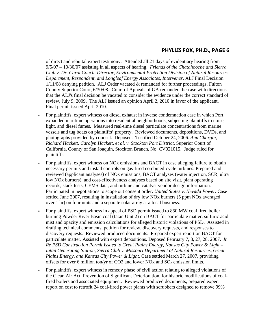of direct and rebuttal expert testimony. Attended all 21 days of evidentiary hearing from 9/5/07 – 10/30/07 assisting in all aspects of hearing. *Friends of the Chatahooche and Sierra Club v. Dr. Carol Couch, Director, Environmental Protection Division of Natural Resources Department, Respondent, and Longleaf Energy Associates, Intervener*. ALJ Final Decision  $1/11/08$  denying petition. ALJ Order vacated  $&$  remanded for further proceedings, Fulton County Superior Court, 6/30/08. Court of Appeals of GA remanded the case with directions that the ALJ's final decision be vacated to consider the evidence under the correct standard of review, July 9, 2009. The ALJ issued an opinion April 2, 2010 in favor of the applicant. Final permit issued April 2010.

- For plaintiffs, expert witness on diesel exhaust in inverse condemnation case in which Port expanded maritime operations into residential neighborhoods, subjecting plaintiffs to noise, light, and diesel fumes. Measured real-time diesel particulate concentrations from marine vessels and tug boats on plaintiffs' property. Reviewed documents, depositions, DVDs, and photographs provided by counsel. Deposed. Testified October 24, 2006. *Ann Chargin, Richard Hackett, Carolyn Hackett, et al. v. Stockton Port District*, Superior Court of California, County of San Joaquin, Stockton Branch, No. CV021015. Judge ruled for plaintiffs.
- For plaintiffs, expert witness on NOx emissions and BACT in case alleging failure to obtain necessary permits and install controls on gas-fired combined-cycle turbines. Prepared and reviewed (applicant analyses) of NOx emissions, BACT analyses (water injection, SCR, ultra low NOx burners), and cost-effectiveness analyses based on site visit, plant operating records, stack tests, CEMS data, and turbine and catalyst vendor design information. Participated in negotiations to scope out consent order. *United States v. Nevada Power.* Case settled June 2007, resulting in installation of dry low NOx burners (5 ppm NOx averaged over 1 hr) on four units and a separate solar array at a local business.
- For plaintiffs, expert witness in appeal of PSD permit issued to 850 MW coal fired boiler burning Powder River Basin coal (Iatan Unit 2) on BACT for particulate matter, sulfuric acid mist and opacity and emission calculations for alleged historic violations of PSD. Assisted in drafting technical comments, petition for review, discovery requests, and responses to discovery requests. Reviewed produced documents. Prepared expert report on BACT for particulate matter. Assisted with expert depositions. Deposed February 7, 8, 27, 28, 2007. *In Re PSD Construction Permit Issued to Great Plains Energy, Kansas City Power & Light – Iatan Generating Station, Sierra Club v. Missouri Department of Natural Resources, Great Plains Energy, and Kansas City Power & Light.* Case settled March 27, 2007, providing offsets for over 6 million ton/yr of CO2 and lower NOx and  $SO_2$  emission limits.
- For plaintiffs, expert witness in remedy phase of civil action relating to alleged violations of the Clean Air Act, Prevention of Significant Deterioration, for historic modifications of coalfired boilers and associated equipment. Reviewed produced documents, prepared expert report on cost to retrofit 24 coal-fired power plants with scrubbers designed to remove 99%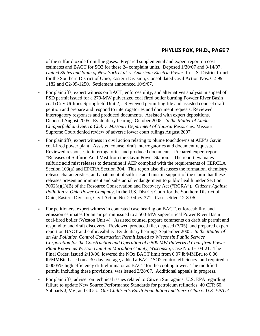of the sulfur dioxide from flue gases. Prepared supplemental and expert report on cost estimates and BACT for SO2 for these 24 complaint units. Deposed 1/30/07 and 3/14/07. *United States and State of New York et al. v. American Electric Power*, In U.S. District Court for the Southern District of Ohio, Eastern Division, Consolidated Civil Action Nos. C2-99- 1182 and C2-99-1250. Settlement announced 10/9/07.

- For plaintiffs, expert witness on BACT, enforceability, and alternatives analysis in appeal of PSD permit issued for a 270-MW pulverized coal fired boiler burning Powder River Basin coal (City Utilities Springfield Unit 2). Reviewed permitting file and assisted counsel draft petition and prepare and respond to interrogatories and document requests. Reviewed interrogatory responses and produced documents. Assisted with expert depositions. Deposed August 2005. Evidentiary hearings October 2005. *In the Matter of Linda Chipperfield and Sierra Club v. Missouri Department of Natural Resources.* Missouri Supreme Court denied review of adverse lower court rulings August 2007.
- For plaintiffs, expert witness in civil action relating to plume touchdowns at AEP's Gavin coal-fired power plant. Assisted counsel draft interrogatories and document requests. Reviewed responses to interrogatories and produced documents. Prepared expert report "Releases of Sulfuric Acid Mist from the Gavin Power Station." The report evaluates sulfuric acid mist releases to determine if AEP complied with the requirements of CERCLA Section 103(a) and EPCRA Section 304. This report also discusses the formation, chemistry, release characteristics, and abatement of sulfuric acid mist in support of the claim that these releases present an imminent and substantial endangerment to public health under Section 7002(a)(1)(B) of the Resource Conservation and Recovery Act ("RCRA"). *Citizens Against Pollution v. Ohio Power Company*, In the U.S. District Court for the Southern District of Ohio, Eastern Division, Civil Action No. 2-04-cv-371. Case settled 12-8-06.
- For petitioners, expert witness in contested case hearing on BACT, enforceability, and emission estimates for an air permit issued to a 500-MW supercritical Power River Basin coal-fired boiler (Weston Unit 4). Assisted counsel prepare comments on draft air permit and respond to and draft discovery. Reviewed produced file, deposed (7/05), and prepared expert report on BACT and enforceability. Evidentiary hearings September 2005. *In the Matter of an Air Pollution Control Construction Permit Issued to Wisconsin Public Service Corporation for the Construction and Operation of a 500 MW Pulverized Coal-fired Power Plant Known as Weston Unit 4 in Marathon County, Wisconsin*, Case No. IH-04-21. The Final Order, issued  $2/10/06$ , lowered the NOx BACT limit from 0.07 lb/MMBtu to 0.06 lb/MMBtu based on a 30-day average, added a BACT SO2 control efficiency, and required a 0.0005% high efficiency drift eliminator as BACT for the cooling tower. The modified permit, including these provisions, was issued 3/28/07. Additional appeals in progress.
- For plaintiffs, adviser on technical issues related to Citizen Suit against U.S. EPA regarding failure to update New Source Performance Standards for petroleum refineries, 40 CFR 60, Subparts J, VV, and GGG. *Our Children's Earth Foundation and Sierra Club v. U.S. EPA et*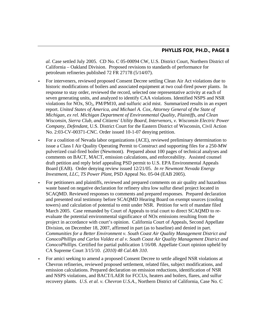*al.* Case settled July 2005. CD No. C 05-00094 CW, U.S. District Court, Northern District of California – Oakland Division. Proposed revisions to standards of performance for petroleum refineries published 72 FR 27178 (5/14/07).

- For interveners, reviewed proposed Consent Decree settling Clean Air Act violations due to historic modifications of boilers and associated equipment at two coal-fired power plants. In response to stay order, reviewed the record, selected one representative activity at each of seven generating units, and analyzed to identify CAA violations. Identified NSPS and NSR violations for  $NOx$ ,  $SO_2$ ,  $PM/PM10$ , and sulfuric acid mist. Summarized results in an expert report. *United States of America, and Michael A. Cox, Attorney General of the State of Michigan, ex rel. Michigan Department of Environmental Quality, Plaintiffs, and Clean Wisconsin, Sierra Club, and Citizens' Utility Board, Intervenors, v. Wisconsin Electric Power Company, Defendant*, U.S. District Court for the Eastern District of Wisconsin, Civil Action No. 2:03-CV-00371-CNC. Order issued 10-1-07 denying petition.
- For a coalition of Nevada labor organizations (ACE), reviewed preliminary determination to issue a Class I Air Quality Operating Permit to Construct and supporting files for a 250-MW pulverized coal-fired boiler (Newmont). Prepared about 100 pages of technical analyses and comments on BACT, MACT, emission calculations, and enforceability. Assisted counsel draft petition and reply brief appealing PSD permit to U.S. EPA Environmental Appeals Board (EAB). Order denying review issued 12/21/05. *In re Newmont Nevada Energy Investment, LLC, TS Power Plant*, PSD Appeal No. 05-04 (EAB 2005).
- For petitioners and plaintiffs, reviewed and prepared comments on air quality and hazardous waste based on negative declaration for refinery ultra low sulfur diesel project located in SCAQMD. Reviewed responses to comments and prepared responses. Prepared declaration and presented oral testimony before SCAQMD Hearing Board on exempt sources (cooling towers) and calculation of potential to emit under NSR. Petition for writ of mandate filed March 2005. Case remanded by Court of Appeals to trial court to direct SCAQMD to reevaluate the potential environmental significance of NOx emissions resulting from the project in accordance with court's opinion. California Court of Appeals, Second Appellate Division, on December 18, 2007, affirmed in part (as to baseline) and denied in part. *Communities for a Better Environment v. South Coast Air Quality Management District and ConocoPhillips and Carlos Valdez et al v. South Coast Air Quality Management District and ConocoPhillips.* Certified for partial publication 1/16/08. Appellate Court opinion upheld by CA Supreme Court 3/15/10. *(2010) 48 Cal.4th 310*.
- For amici seeking to amend a proposed Consent Decree to settle alleged NSR violations at Chevron refineries, reviewed proposed settlement, related files, subject modifications, and emission calculations. Prepared declaration on emission reductions, identification of NSR and NSPS violations, and BACT/LAER for FCCUs, heaters and boilers, flares, and sulfur recovery plants. *U.S. et al. v. Chevron U.S.A.*, Northern District of California, Case No. C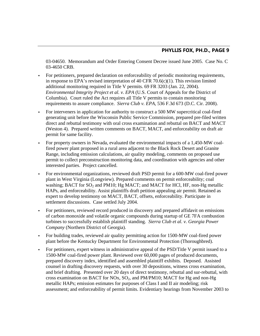03-04650. Memorandum and Order Entering Consent Decree issued June 2005. Case No. C 03-4650 CRB.

- For petitioners, prepared declaration on enforceability of periodic monitoring requirements, in response to EPA's revised interpretation of 40 CFR 70.6(c)(1). This revision limited additional monitoring required in Title V permits. 69 FR 3203 (Jan. 22, 2004). *Environmental Integrity Project et al. v. EPA* (U.S. Court of Appeals for the District of Columbia). Court ruled the Act requires all Title V permits to contain monitoring requirements to assure compliance. *Sierra Club v. EPA*, 536 F.3d 673 (D.C. Cir. 2008).
- For interveners in application for authority to construct a 500 MW supercritical coal-fired generating unit before the Wisconsin Public Service Commission, prepared pre-filed written direct and rebuttal testimony with oral cross examination and rebuttal on BACT and MACT (Weston 4). Prepared written comments on BACT, MACT, and enforceability on draft air permit for same facility.
- For property owners in Nevada, evaluated the environmental impacts of a 1,450-MW coalfired power plant proposed in a rural area adjacent to the Black Rock Desert and Granite Range, including emission calculations, air quality modeling, comments on proposed use permit to collect preconstruction monitoring data, and coordination with agencies and other interested parties. Project cancelled.
- For environmental organizations, reviewed draft PSD permit for a 600-MW coal-fired power plant in West Virginia (Longview). Prepared comments on permit enforceability; coal washing; BACT for  $SO_2$  and PM10; Hg MACT; and MACT for HCl, HF, non-Hg metallic HAPs, and enforceability. Assist plaintiffs draft petition appealing air permit. Retained as expert to develop testimony on MACT, BACT, offsets, enforceability. Participate in settlement discussions. Case settled July 2004.
- For petitioners, reviewed record produced in discovery and prepared affidavit on emissions of carbon monoxide and volatile organic compounds during startup of GE 7FA combustion turbines to successfully establish plaintiff standing. *Sierra Club et al. v. Georgia Power Company* (Northern District of Georgia).
- For building trades, reviewed air quality permitting action for 1500-MW coal-fired power plant before the Kentucky Department for Environmental Protection (Thoroughbred).
- For petitioners, expert witness in administrative appeal of the PSD/Title V permit issued to a 1500-MW coal-fired power plant. Reviewed over 60,000 pages of produced documents, prepared discovery index, identified and assembled plaintiff exhibits. Deposed. Assisted counsel in drafting discovery requests, with over 30 depositions, witness cross examination, and brief drafting. Presented over 20 days of direct testimony, rebuttal and sur-rebuttal, with cross examination on BACT for NOx,  $SO_2$ , and PM/PM10; MACT for Hg and non-Hg metallic HAPs; emission estimates for purposes of Class I and II air modeling; risk assessment; and enforceability of permit limits. Evidentiary hearings from November 2003 to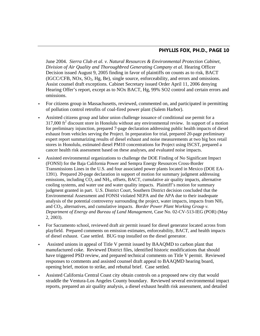June 2004. *Sierra Club et al. v. Natural Resources & Environmental Protection Cabinet, Division of Air Quality and Thoroughbred Generating Company et al.* Hearing Officer Decision issued August 9, 2005 finding in favor of plaintiffs on counts as to risk, BACT  $(IGC/CFB, NOx, SO<sub>2</sub>, Hg, Be)$ , single source, enforceability, and errors and omissions. Assist counsel draft exceptions. Cabinet Secretary issued Order April 11, 2006 denying Hearing Offer's report, except as to NOx BACT, Hg, 99% SO2 control and certain errors and omissions.

- For citizens group in Massachusetts, reviewed, commented on, and participated in permitting of pollution control retrofits of coal-fired power plant (Salem Harbor).
- Assisted citizens group and labor union challenge issuance of conditional use permit for a  $317,000$  ft<sup>2</sup> discount store in Honolulu without any environmental review. In support of a motion for preliminary injunction, prepared 7-page declaration addressing public health impacts of diesel exhaust from vehicles serving the Project. In preparation for trial, prepared 20-page preliminary expert report summarizing results of diesel exhaust and noise measurements at two big box retail stores in Honolulu, estimated diesel PM10 concentrations for Project using ISCST, prepared a cancer health risk assessment based on these analyses, and evaluated noise impacts.
- Assisted environmental organizations to challenge the DOE Finding of No Significant Impact (FONSI) for the Baja California Power and Sempra Energy Resources Cross-Border Transmissions Lines in the U.S. and four associated power plants located in Mexico (DOE EA-1391). Prepared 20-page declaration in support of motion for summary judgment addressing emissions, including  $CO_2$  and NH<sub>3</sub>, offsets, BACT, cumulative air quality impacts, alternative cooling systems, and water use and water quality impacts. Plaintiff's motion for summary judgment granted in part. U.S. District Court, Southern District decision concluded that the Environmental Assessment and FONSI violated NEPA and the APA due to their inadequate analysis of the potential controversy surrounding the project, water impacts, impacts from  $NH<sub>3</sub>$ and CO<sub>2</sub>, alternatives, and cumulative impacts. *Border Power Plant Working Group v. Department of Energy and Bureau of Land Management*, Case No. 02-CV-513-IEG (POR) (May 2, 2003).
- For Sacramento school, reviewed draft air permit issued for diesel generator located across from playfield. Prepared comments on emission estimates, enforceability, BACT, and health impacts of diesel exhaust. Case settled. BUG trap installed on the diesel generator.
- Assisted unions in appeal of Title V permit issued by BAAQMD to carbon plant that manufactured coke. Reviewed District files, identified historic modifications that should have triggered PSD review, and prepared technical comments on Title V permit. Reviewed responses to comments and assisted counsel draft appeal to BAAQMD hearing board, opening brief, motion to strike, and rebuttal brief. Case settled.
- Assisted California Central Coast city obtain controls on a proposed new city that would straddle the Ventura-Los Angeles County boundary. Reviewed several environmental impact reports, prepared an air quality analysis, a diesel exhaust health risk assessment, and detailed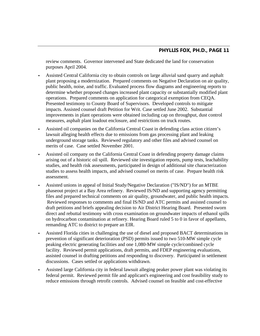review comments. Governor intervened and State dedicated the land for conservation purposes April 2004.

- Assisted Central California city to obtain controls on large alluvial sand quarry and asphalt plant proposing a modernization. Prepared comments on Negative Declaration on air quality, public health, noise, and traffic. Evaluated process flow diagrams and engineering reports to determine whether proposed changes increased plant capacity or substantially modified plant operations. Prepared comments on application for categorical exemption from CEQA. Presented testimony to County Board of Supervisors. Developed controls to mitigate impacts. Assisted counsel draft Petition for Writ. Case settled June 2002. Substantial improvements in plant operations were obtained including cap on throughput, dust control measures, asphalt plant loadout enclosure, and restrictions on truck routes.
- Assisted oil companies on the California Central Coast in defending class action citizen's lawsuit alleging health effects due to emissions from gas processing plant and leaking underground storage tanks. Reviewed regulatory and other files and advised counsel on merits of case. Case settled November 2001.
- Assisted oil company on the California Central Coast in defending property damage claims arising out of a historic oil spill. Reviewed site investigation reports, pump tests, leachability studies, and health risk assessments, participated in design of additional site characterization studies to assess health impacts, and advised counsel on merits of case. Prepare health risk assessment.
- Assisted unions in appeal of Initial Study/Negative Declaration ("IS/ND") for an MTBE phaseout project at a Bay Area refinery. Reviewed IS/ND and supporting agency permitting files and prepared technical comments on air quality, groundwater, and public health impacts. Reviewed responses to comments and final IS/ND and ATC permits and assisted counsel to draft petitions and briefs appealing decision to Air District Hearing Board. Presented sworn direct and rebuttal testimony with cross examination on groundwater impacts of ethanol spills on hydrocarbon contamination at refinery. Hearing Board ruled 5 to 0 in favor of appellants, remanding ATC to district to prepare an EIR.
- Assisted Florida cities in challenging the use of diesel and proposed BACT determinations in prevention of significant deterioration (PSD) permits issued to two 510-MW simple cycle peaking electric generating facilities and one 1,080-MW simple cycle/combined cycle facility. Reviewed permit applications, draft permits, and FDEP engineering evaluations, assisted counsel in drafting petitions and responding to discovery. Participated in settlement discussions. Cases settled or applications withdrawn.
- Assisted large California city in federal lawsuit alleging peaker power plant was violating its federal permit. Reviewed permit file and applicant's engineering and cost feasibility study to reduce emissions through retrofit controls. Advised counsel on feasible and cost-effective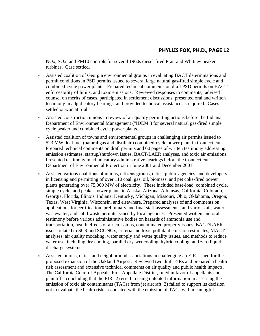NOx, SOx, and PM10 controls for several 1960s diesel-fired Pratt and Whitney peaker turbines. Case settled.

- Assisted coalition of Georgia environmental groups in evaluating BACT determinations and permit conditions in PSD permits issued to several large natural gas-fired simple cycle and combined-cycle power plants. Prepared technical comments on draft PSD permits on BACT, enforceability of limits, and toxic emissions. Reviewed responses to comments, advised counsel on merits of cases, participated in settlement discussions, presented oral and written testimony in adjudicatory hearings, and provided technical assistance as required. Cases settled or won at trial.
- Assisted construction unions in review of air quality permitting actions before the Indiana Department of Environmental Management ("IDEM") for several natural gas-fired simple cycle peaker and combined cycle power plants.
- Assisted coalition of towns and environmental groups in challenging air permits issued to 523 MW dual fuel (natural gas and distillate) combined-cycle power plant in Connecticut. Prepared technical comments on draft permits and 60 pages of written testimony addressing emission estimates, startup/shutdown issues, BACT/LAER analyses, and toxic air emissions. Presented testimony in adjudicatory administrative hearings before the Connecticut Department of Environmental Protection in June 2001 and December 2001.
- Assisted various coalitions of unions, citizens groups, cities, public agencies, and developers in licensing and permitting of over 110 coal, gas, oil, biomass, and pet coke-fired power plants generating over 75,000 MW of electricity. These included base-load, combined cycle, simple cycle, and peaker power plants in Alaska, Arizona, Arkansas, California, Colorado, Georgia, Florida, Illinois, Indiana, Kentucky, Michigan, Missouri, Ohio, Oklahoma, Oregon, Texas, West Virginia, Wisconsin, and elsewhere. Prepared analyses of and comments on applications for certification, preliminary and final staff assessments, and various air, water, wastewater, and solid waste permits issued by local agencies. Presented written and oral testimony before various administrative bodies on hazards of ammonia use and transportation, health effects of air emissions, contaminated property issues, BACT/LAER issues related to SCR and SCONOx, criteria and toxic pollutant emission estimates, MACT analyses, air quality modeling, water supply and water quality issues, and methods to reduce water use, including dry cooling, parallel dry-wet cooling, hybrid cooling, and zero liquid discharge systems.
- Assisted unions, cities, and neighborhood associations in challenging an EIR issued for the proposed expansion of the Oakland Airport. Reviewed two draft EIRs and prepared a health risk assessment and extensive technical comments on air quality and public health impacts. The California Court of Appeals, First Appellate District, ruled in favor of appellants and plaintiffs, concluding that the EIR "2) erred in using outdated information in assessing the emission of toxic air contaminants (TACs) from jet aircraft; 3) failed to support its decision not to evaluate the health risks associated with the emission of TACs with meaningful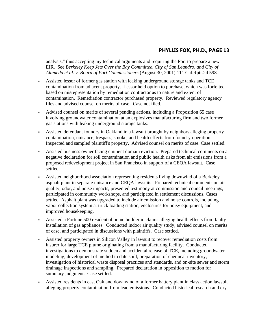analysis," thus accepting my technical arguments and requiring the Port to prepare a new EIR. See *Berkeley Keep Jets Over the Bay Committee, City of San Leandro, and City of Alameda et al. v. Board of Port Commissioners* (August 30, 2001) 111 Cal.Rptr.2d 598.

- Assisted lessor of former gas station with leaking underground storage tanks and TCE contamination from adjacent property. Lessor held option to purchase, which was forfeited based on misrepresentation by remediation contractor as to nature and extent of contamination. Remediation contractor purchased property. Reviewed regulatory agency files and advised counsel on merits of case. Case not filed.
- Advised counsel on merits of several pending actions, including a Proposition 65 case involving groundwater contamination at an explosives manufacturing firm and two former gas stations with leaking underground storage tanks.
- Assisted defendant foundry in Oakland in a lawsuit brought by neighbors alleging property contamination, nuisance, trespass, smoke, and health effects from foundry operation. Inspected and sampled plaintiff's property. Advised counsel on merits of case. Case settled.
- Assisted business owner facing eminent domain eviction. Prepared technical comments on a negative declaration for soil contamination and public health risks from air emissions from a proposed redevelopment project in San Francisco in support of a CEQA lawsuit. Case settled.
- Assisted neighborhood association representing residents living downwind of a Berkeley asphalt plant in separate nuisance and CEQA lawsuits. Prepared technical comments on air quality, odor, and noise impacts, presented testimony at commission and council meetings, participated in community workshops, and participated in settlement discussions. Cases settled. Asphalt plant was upgraded to include air emission and noise controls, including vapor collection system at truck loading station, enclosures for noisy equipment, and improved housekeeping.
- Assisted a Fortune 500 residential home builder in claims alleging health effects from faulty installation of gas appliances. Conducted indoor air quality study, advised counsel on merits of case, and participated in discussions with plaintiffs. Case settled.
- Assisted property owners in Silicon Valley in lawsuit to recover remediation costs from insurer for large TCE plume originating from a manufacturing facility. Conducted investigations to demonstrate sudden and accidental release of TCE, including groundwater modeling, development of method to date spill, preparation of chemical inventory, investigation of historical waste disposal practices and standards, and on-site sewer and storm drainage inspections and sampling. Prepared declaration in opposition to motion for summary judgment. Case settled.
- Assisted residents in east Oakland downwind of a former battery plant in class action lawsuit alleging property contamination from lead emissions. Conducted historical research and dry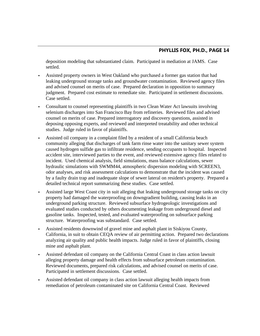deposition modeling that substantiated claim. Participated in mediation at JAMS. Case settled.

- Assisted property owners in West Oakland who purchased a former gas station that had leaking underground storage tanks and groundwater contamination. Reviewed agency files and advised counsel on merits of case. Prepared declaration in opposition to summary judgment. Prepared cost estimate to remediate site. Participated in settlement discussions. Case settled.
- Consultant to counsel representing plaintiffs in two Clean Water Act lawsuits involving selenium discharges into San Francisco Bay from refineries. Reviewed files and advised counsel on merits of case. Prepared interrogatory and discovery questions, assisted in deposing opposing experts, and reviewed and interpreted treatability and other technical studies. Judge ruled in favor of plaintiffs.
- Assisted oil company in a complaint filed by a resident of a small California beach community alleging that discharges of tank farm rinse water into the sanitary sewer system caused hydrogen sulfide gas to infiltrate residence, sending occupants to hospital. Inspected accident site, interviewed parties to the event, and reviewed extensive agency files related to incident. Used chemical analysis, field simulations, mass balance calculations, sewer hydraulic simulations with SWMM44, atmospheric dispersion modeling with SCREEN3, odor analyses, and risk assessment calculations to demonstrate that the incident was caused by a faulty drain trap and inadequate slope of sewer lateral on resident's property. Prepared a detailed technical report summarizing these studies. Case settled.
- Assisted large West Coast city in suit alleging that leaking underground storage tanks on city property had damaged the waterproofing on downgradient building, causing leaks in an underground parking structure. Reviewed subsurface hydrogeologic investigations and evaluated studies conducted by others documenting leakage from underground diesel and gasoline tanks. Inspected, tested, and evaluated waterproofing on subsurface parking structure. Waterproofing was substandard. Case settled.
- Assisted residents downwind of gravel mine and asphalt plant in Siskiyou County, California, in suit to obtain CEQA review of air permitting action. Prepared two declarations analyzing air quality and public health impacts. Judge ruled in favor of plaintiffs, closing mine and asphalt plant.
- Assisted defendant oil company on the California Central Coast in class action lawsuit alleging property damage and health effects from subsurface petroleum contamination. Reviewed documents, prepared risk calculations, and advised counsel on merits of case. Participated in settlement discussions. Case settled.
- Assisted defendant oil company in class action lawsuit alleging health impacts from remediation of petroleum contaminated site on California Central Coast. Reviewed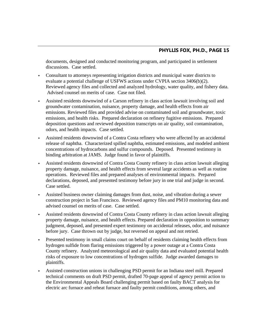documents, designed and conducted monitoring program, and participated in settlement discussions. Case settled.

- Consultant to attorneys representing irrigation districts and municipal water districts to evaluate a potential challenge of USFWS actions under CVPIA section 3406(b)(2). Reviewed agency files and collected and analyzed hydrology, water quality, and fishery data. Advised counsel on merits of case. Case not filed.
- Assisted residents downwind of a Carson refinery in class action lawsuit involving soil and groundwater contamination, nuisance, property damage, and health effects from air emissions. Reviewed files and provided advise on contaminated soil and groundwater, toxic emissions, and health risks. Prepared declaration on refinery fugitive emissions. Prepared deposition questions and reviewed deposition transcripts on air quality, soil contamination, odors, and health impacts. Case settled.
- Assisted residents downwind of a Contra Costa refinery who were affected by an accidental release of naphtha. Characterized spilled naphtha, estimated emissions, and modeled ambient concentrations of hydrocarbons and sulfur compounds. Deposed. Presented testimony in binding arbitration at JAMS. Judge found in favor of plaintiffs.
- Assisted residents downwind of Contra Costa County refinery in class action lawsuit alleging property damage, nuisance, and health effects from several large accidents as well as routine operations. Reviewed files and prepared analyses of environmental impacts. Prepared declarations, deposed, and presented testimony before jury in one trial and judge in second. Case settled.
- Assisted business owner claiming damages from dust, noise, and vibration during a sewer construction project in San Francisco. Reviewed agency files and PM10 monitoring data and advised counsel on merits of case. Case settled.
- Assisted residents downwind of Contra Costa County refinery in class action lawsuit alleging property damage, nuisance, and health effects. Prepared declaration in opposition to summary judgment, deposed, and presented expert testimony on accidental releases, odor, and nuisance before jury. Case thrown out by judge, but reversed on appeal and not retried.
- Presented testimony in small claims court on behalf of residents claiming health effects from hydrogen sulfide from flaring emissions triggered by a power outage at a Contra Costa County refinery. Analyzed meteorological and air quality data and evaluated potential health risks of exposure to low concentrations of hydrogen sulfide. Judge awarded damages to plaintiffs.
- Assisted construction unions in challenging PSD permit for an Indiana steel mill. Prepared technical comments on draft PSD permit, drafted 70-page appeal of agency permit action to the Environmental Appeals Board challenging permit based on faulty BACT analysis for electric arc furnace and reheat furnace and faulty permit conditions, among others, and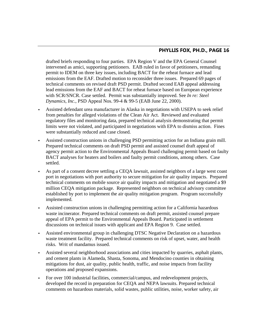drafted briefs responding to four parties. EPA Region V and the EPA General Counsel intervened as amici, supporting petitioners. EAB ruled in favor of petitioners, remanding permit to IDEM on three key issues, including BACT for the reheat furnace and lead emissions from the EAF. Drafted motion to reconsider three issues. Prepared 69 pages of technical comments on revised draft PSD permit. Drafted second EAB appeal addressing lead emissions from the EAF and BACT for reheat furnace based on European experience with SCR/SNCR. Case settled. Permit was substantially improved. See *In re: Steel Dynamics, Inc.*, PSD Appeal Nos. 99-4 & 99-5 (EAB June 22, 2000).

- Assisted defendant urea manufacturer in Alaska in negotiations with USEPA to seek relief from penalties for alleged violations of the Clean Air Act. Reviewed and evaluated regulatory files and monitoring data, prepared technical analysis demonstrating that permit limits were not violated, and participated in negotiations with EPA to dismiss action. Fines were substantially reduced and case closed.
- Assisted construction unions in challenging PSD permitting action for an Indiana grain mill. Prepared technical comments on draft PSD permit and assisted counsel draft appeal of agency permit action to the Environmental Appeals Board challenging permit based on faulty BACT analyses for heaters and boilers and faulty permit conditions, among others. Case settled.
- As part of a consent decree settling a CEQA lawsuit, assisted neighbors of a large west coast port in negotiations with port authority to secure mitigation for air quality impacts. Prepared technical comments on mobile source air quality impacts and mitigation and negotiated a \$9 million CEQA mitigation package. Represented neighbors on technical advisory committee established by port to implement the air quality mitigation program. Program successfully implemented.
- Assisted construction unions in challenging permitting action for a California hazardous waste incinerator. Prepared technical comments on draft permit, assisted counsel prepare appeal of EPA permit to the Environmental Appeals Board. Participated in settlement discussions on technical issues with applicant and EPA Region 9. Case settled.
- Assisted environmental group in challenging DTSC Negative Declaration on a hazardous waste treatment facility. Prepared technical comments on risk of upset, water, and health risks. Writ of mandamus issued.
- Assisted several neighborhood associations and cities impacted by quarries, asphalt plants, and cement plants in Alameda, Shasta, Sonoma, and Mendocino counties in obtaining mitigations for dust, air quality, public health, traffic, and noise impacts from facility operations and proposed expansions.
- For over 100 industrial facilities, commercial/campus, and redevelopment projects, developed the record in preparation for CEQA and NEPA lawsuits. Prepared technical comments on hazardous materials, solid wastes, public utilities, noise, worker safety, air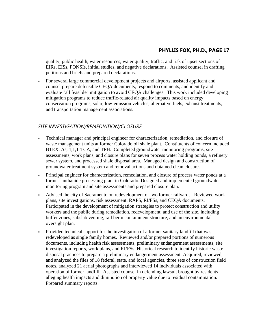quality, public health, water resources, water quality, traffic, and risk of upset sections of EIRs, EISs, FONSIs, initial studies, and negative declarations. Assisted counsel in drafting petitions and briefs and prepared declarations.

 For several large commercial development projects and airports, assisted applicant and counsel prepare defensible CEQA documents, respond to comments, and identify and evaluate "all feasible" mitigation to avoid CEQA challenges. This work included developing mitigation programs to reduce traffic-related air quality impacts based on energy conservation programs, solar, low-emission vehicles, alternative fuels, exhaust treatments, and transportation management associations.

#### *SITE INVESTIGATION/REMEDIATION/CLOSURE*

- Technical manager and principal engineer for characterization, remediation, and closure of waste management units at former Colorado oil shale plant. Constituents of concern included BTEX, As, 1,1,1-TCA, and TPH. Completed groundwater monitoring programs, site assessments, work plans, and closure plans for seven process water holding ponds, a refinery sewer system, and processed shale disposal area. Managed design and construction of groundwater treatment system and removal actions and obtained clean closure.
- Principal engineer for characterization, remediation, and closure of process water ponds at a former lanthanide processing plant in Colorado. Designed and implemented groundwater monitoring program and site assessments and prepared closure plan.
- Advised the city of Sacramento on redevelopment of two former railyards. Reviewed work plans, site investigations, risk assessment, RAPS, RI/FSs, and CEQA documents. Participated in the development of mitigation strategies to protect construction and utility workers and the public during remediation, redevelopment, and use of the site, including buffer zones, subslab venting, rail berm containment structure, and an environmental oversight plan.
- Provided technical support for the investigation of a former sanitary landfill that was redeveloped as single family homes. Reviewed and/or prepared portions of numerous documents, including health risk assessments, preliminary endangerment assessments, site investigation reports, work plans, and RI/FSs. Historical research to identify historic waste disposal practices to prepare a preliminary endangerment assessment. Acquired, reviewed, and analyzed the files of 18 federal, state, and local agencies, three sets of construction field notes, analyzed 21 aerial photographs and interviewed 14 individuals associated with operation of former landfill. Assisted counsel in defending lawsuit brought by residents alleging health impacts and diminution of property value due to residual contamination. Prepared summary reports.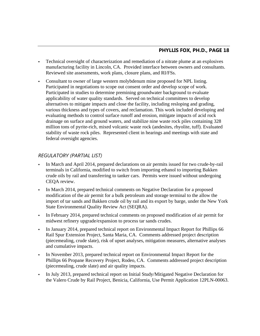- Technical oversight of characterization and remediation of a nitrate plume at an explosives manufacturing facility in Lincoln, CA. Provided interface between owners and consultants. Reviewed site assessments, work plans, closure plans, and RI/FSs.
- Consultant to owner of large western molybdenum mine proposed for NPL listing. Participated in negotiations to scope out consent order and develop scope of work. Participated in studies to determine premining groundwater background to evaluate applicability of water quality standards. Served on technical committees to develop alternatives to mitigate impacts and close the facility, including resloping and grading, various thickness and types of covers, and reclamation. This work included developing and evaluating methods to control surface runoff and erosion, mitigate impacts of acid rock drainage on surface and ground waters, and stabilize nine waste rock piles containing 328 million tons of pyrite-rich, mixed volcanic waste rock (andesites, rhyolite, tuff). Evaluated stability of waste rock piles. Represented client in hearings and meetings with state and federal oversight agencies.

#### *REGULATORY (PARTIAL LIST)*

- In March and April 2014, prepared declarations on air permits issued for two crude-by-rail terminals in California, modified to switch from importing ethanol to importing Bakken crude oils by rail and transferring to tanker cars. Permits were issued without undergoing CEQA review.
- In March 2014, prepared technical comments on Negative Declaration for a proposed modification of the air permit for a bulk petroleum and storage terminal to the allow the import of tar sands and Bakken crude oil by rail and its export by barge, under the New York State Environmental Quality Review Act (SEQRA).
- In February 2014, prepared technical comments on proposed modification of air permit for midwest refinery upgrade/expansion to process tar sands crudes.
- In January 2014, prepared technical report on Environmental Impact Report for Phillips 66 Rail Spur Extension Project, Santa Maria, CA. Comments addressed project description (piecemealing, crude slate), risk of upset analyses, mitigation measures, alternative analyses and cumulative impacts.
- In November 2013, prepared technical report on Environmental Impact Report for the Phillips 66 Propane Recovery Project, Rodeo, CA. Comments addressed project description (piecemealing, crude slate) and air quality impacts.
- In July 2013, prepared technical report on Initial Study/Mitigated Negative Declaration for the Valero Crude by Rail Project, Benicia, California, Use Permit Application 12PLN-00063.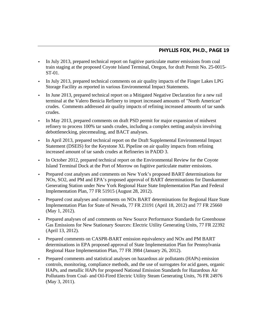- In July 2013, prepared technical report on fugitive particulate matter emissions from coal train staging at the proposed Coyote Island Terminal, Oregon, for draft Permit No. 25-0015- ST-01.
- In July 2013, prepared technical comments on air quality impacts of the Finger Lakes LPG Storage Facility as reported in various Environmental Impact Statements.
- In June 2013, prepared technical report on a Mitigated Negative Declaration for a new rail terminal at the Valero Benicia Refinery to import increased amounts of "North American" crudes. Comments addressed air quality impacts of refining increased amounts of tar sands crudes.
- In May 2013, prepared comments on draft PSD permit for major expansion of midwest refinery to process 100% tar sands crudes, including a complex netting analysis involving debottlenecking, piecemealing, and BACT analyses.
- In April 2013, prepared technical report on the Draft Supplemental Environmental Impact Statement (DSEIS) for the Keystone XL Pipeline on air quality impacts from refining increased amount of tar sands crudes at Refineries in PADD 3.
- In October 2012, prepared technical report on the Environmental Review for the Coyote Island Terminal Dock at the Port of Morrow on fugitive particulate matter emissions.
- Prepared cost analyses and comments on New York's proposed BART determinations for NOx, SO2, and PM and EPA's proposed approval of BART determinations for Danskammer Generating Station under New York Regional Haze State Implementation Plan and Federal Implementation Plan, 77 FR 51915 (August 28, 2012).
- Prepared cost analyses and comments on NOx BART determinations for Regional Haze State Implementation Plan for State of Nevada, 77 FR 23191 (April 18, 2012) and 77 FR 25660 (May 1, 2012).
- Prepared analyses of and comments on New Source Performance Standards for Greenhouse Gas Emissions for New Stationary Sources: Electric Utility Generating Units, 77 FR 22392 (April 13, 2012).
- Prepared comments on CASPR-BART emission equivalency and NOx and PM BART determinations in EPA proposed approval of State Implementation Plan for Pennsylvania Regional Haze Implementation Plan, 77 FR 3984 (January 26, 2012).
- Prepared comments and statistical analyses on hazardous air pollutants (HAPs) emission controls, monitoring, compliance methods, and the use of surrogates for acid gases, organic HAPs, and metallic HAPs for proposed National Emission Standards for Hazardous Air Pollutants from Coal- and Oil-Fired Electric Utility Steam Generating Units, 76 FR 24976 (May 3, 2011).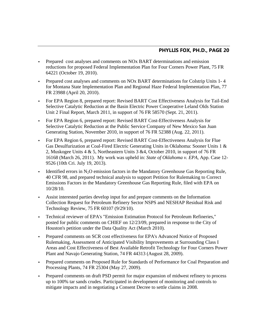- Prepared cost analyses and comments on NOx BART determinations and emission reductions for proposed Federal Implementation Plan for Four Corners Power Plant, 75 FR 64221 (October 19, 2010).
- Prepared cost analyses and comments on NOx BART determinations for Colstrip Units 1- 4 for Montana State Implementation Plan and Regional Haze Federal Implementation Plan, 77 FR 23988 (April 20, 2010).
- For EPA Region 8, prepared report: Revised BART Cost Effectiveness Analysis for Tail-End Selective Catalytic Reduction at the Basin Electric Power Cooperative Leland Olds Station Unit 2 Final Report, March 2011, in support of 76 FR 58570 (Sept. 21, 2011).
- For EPA Region 6, prepared report: Revised BART Cost-Effectiveness Analysis for Selective Catalytic Reduction at the Public Service Company of New Mexico San Juan Generating Station, November 2010, in support of 76 FR 52388 (Aug. 22, 2011).
- For EPA Region 6, prepared report: Revised BART Cost-Effectiveness Analysis for Flue Gas Desulfurization at Coal-Fired Electric Generating Units in Oklahoma: Sooner Units 1 & 2, Muskogee Units 4 & 5, Northeastern Units 3 &4, October 2010, in support of 76 FR 16168 (March 26, 2011). My work was upheld in: *State of Oklahoma v. EPA*, App. Case 12- 9526 (10th Cri. July 19, 2013).
- Identified errors in  $N_2O$  emission factors in the Mandatory Greenhouse Gas Reporting Rule, 40 CFR 98, and prepared technical analysis to support Petition for Rulemaking to Correct Emissions Factors in the Mandatory Greenhouse Gas Reporting Rule, filed with EPA on 10/28/10.
- Assist interested parties develop input for and prepare comments on the Information Collection Request for Petroleum Refinery Sector NSPS and NESHAP Residual Risk and Technology Review, 75 FR 60107 (9/29/10).
- Technical reviewer of EPA's "Emission Estimation Protocol for Petroleum Refineries," posted for public comments on CHIEF on 12/23/09, prepared in response to the City of Houston's petition under the Data Quality Act (March 2010).
- Prepared comments on SCR cost effectiveness for EPA's Advanced Notice of Proposed Rulemaking, Assessment of Anticipated Visibility Improvements at Surrounding Class I Areas and Cost Effectiveness of Best Available Retrofit Technology for Four Corners Power Plant and Navajo Generating Station, 74 FR 44313 (August 28, 2009).
- Prepared comments on Proposed Rule for Standards of Performance for Coal Preparation and Processing Plants, 74 FR 25304 (May 27, 2009).
- Prepared comments on draft PSD permit for major expansion of midwest refinery to process up to 100% tar sands crudes. Participated in development of monitoring and controls to mitigate impacts and in negotiating a Consent Decree to settle claims in 2008.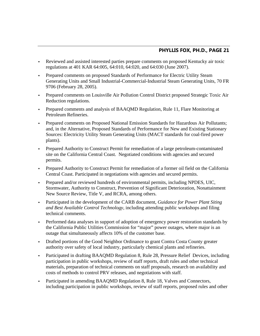- Reviewed and assisted interested parties prepare comments on proposed Kentucky air toxic regulations at 401 KAR 64:005, 64:010, 64:020, and 64:030 (June 2007).
- Prepared comments on proposed Standards of Performance for Electric Utility Steam Generating Units and Small Industrial-Commercial-Industrial Steam Generating Units, 70 FR 9706 (February 28, 2005).
- Prepared comments on Louisville Air Pollution Control District proposed Strategic Toxic Air Reduction regulations.
- Prepared comments and analysis of BAAQMD Regulation, Rule 11, Flare Monitoring at Petroleum Refineries.
- Prepared comments on Proposed National Emission Standards for Hazardous Air Pollutants; and, in the Alternative, Proposed Standards of Performance for New and Existing Stationary Sources: Electricity Utility Steam Generating Units (MACT standards for coal-fired power plants).
- Prepared Authority to Construct Permit for remediation of a large petroleum-contaminated site on the California Central Coast. Negotiated conditions with agencies and secured permits.
- Prepared Authority to Construct Permit for remediation of a former oil field on the California Central Coast. Participated in negotiations with agencies and secured permits.
- Prepared and/or reviewed hundreds of environmental permits, including NPDES, UIC, Stormwater, Authority to Construct, Prevention of Significant Deterioration, Nonattainment New Source Review, Title V, and RCRA, among others.
- Participated in the development of the CARB document, *Guidance for Power Plant Siting and Best Available Control Technology*, including attending public workshops and filing technical comments.
- Performed data analyses in support of adoption of emergency power restoration standards by the California Public Utilities Commission for "major" power outages, where major is an outage that simultaneously affects 10% of the customer base.
- **Drafted portions of the Good Neighbor Ordinance to grant Contra Costa County greater** authority over safety of local industry, particularly chemical plants and refineries.
- Participated in drafting BAAQMD Regulation 8, Rule 28, Pressure Relief Devices, including participation in public workshops, review of staff reports, draft rules and other technical materials, preparation of technical comments on staff proposals, research on availability and costs of methods to control PRV releases, and negotiations with staff.
- Participated in amending BAAQMD Regulation 8, Rule 18, Valves and Connectors, including participation in public workshops, review of staff reports, proposed rules and other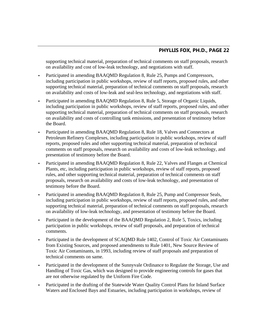supporting technical material, preparation of technical comments on staff proposals, research on availability and cost of low-leak technology, and negotiations with staff.

- Participated in amending BAAQMD Regulation 8, Rule 25, Pumps and Compressors, including participation in public workshops, review of staff reports, proposed rules, and other supporting technical material, preparation of technical comments on staff proposals, research on availability and costs of low-leak and seal-less technology, and negotiations with staff.
- Participated in amending BAAQMD Regulation 8, Rule 5, Storage of Organic Liquids, including participation in public workshops, review of staff reports, proposed rules, and other supporting technical material, preparation of technical comments on staff proposals, research on availability and costs of controlling tank emissions, and presentation of testimony before the Board.
- Participated in amending BAAQMD Regulation 8, Rule 18, Valves and Connectors at Petroleum Refinery Complexes, including participation in public workshops, review of staff reports, proposed rules and other supporting technical material, preparation of technical comments on staff proposals, research on availability and costs of low-leak technology, and presentation of testimony before the Board.
- Participated in amending BAAQMD Regulation 8, Rule 22, Valves and Flanges at Chemical Plants, etc, including participation in public workshops, review of staff reports, proposed rules, and other supporting technical material, preparation of technical comments on staff proposals, research on availability and costs of low-leak technology, and presentation of testimony before the Board.
- Participated in amending BAAQMD Regulation 8, Rule 25, Pump and Compressor Seals, including participation in public workshops, review of staff reports, proposed rules, and other supporting technical material, preparation of technical comments on staff proposals, research on availability of low-leak technology, and presentation of testimony before the Board.
- Participated in the development of the BAAQMD Regulation 2, Rule 5, Toxics, including participation in public workshops, review of staff proposals, and preparation of technical comments.
- Participated in the development of SCAQMD Rule 1402, Control of Toxic Air Contaminants from Existing Sources, and proposed amendments to Rule 1401, New Source Review of Toxic Air Contaminants, in 1993, including review of staff proposals and preparation of technical comments on same.
- Participated in the development of the Sunnyvale Ordinance to Regulate the Storage, Use and Handling of Toxic Gas, which was designed to provide engineering controls for gases that are not otherwise regulated by the Uniform Fire Code.
- Participated in the drafting of the Statewide Water Quality Control Plans for Inland Surface Waters and Enclosed Bays and Estuaries, including participation in workshops, review of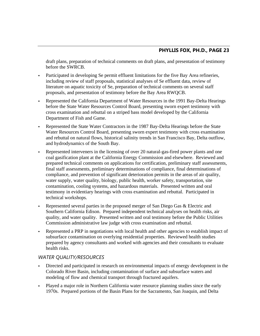draft plans, preparation of technical comments on draft plans, and presentation of testimony before the SWRCB.

- Participated in developing Se permit effluent limitations for the five Bay Area refineries, including review of staff proposals, statistical analyses of Se effluent data, review of literature on aquatic toxicity of Se, preparation of technical comments on several staff proposals, and presentation of testimony before the Bay Area RWQCB.
- Represented the California Department of Water Resources in the 1991 Bay-Delta Hearings before the State Water Resources Control Board, presenting sworn expert testimony with cross examination and rebuttal on a striped bass model developed by the California Department of Fish and Game.
- Represented the State Water Contractors in the 1987 Bay-Delta Hearings before the State Water Resources Control Board, presenting sworn expert testimony with cross examination and rebuttal on natural flows, historical salinity trends in San Francisco Bay, Delta outflow, and hydrodynamics of the South Bay.
- Represented interveners in the licensing of over 20 natural-gas-fired power plants and one coal gasification plant at the California Energy Commission and elsewhere. Reviewed and prepared technical comments on applications for certification, preliminary staff assessments, final staff assessments, preliminary determinations of compliance, final determinations of compliance, and prevention of significant deterioration permits in the areas of air quality, water supply, water quality, biology, public health, worker safety, transportation, site contamination, cooling systems, and hazardous materials. Presented written and oral testimony in evidentiary hearings with cross examination and rebuttal. Participated in technical workshops.
- Represented several parties in the proposed merger of San Diego Gas & Electric and Southern California Edison. Prepared independent technical analyses on health risks, air quality, and water quality. Presented written and oral testimony before the Public Utilities Commission administrative law judge with cross examination and rebuttal.
- Represented a PRP in negotiations with local health and other agencies to establish impact of subsurface contamination on overlying residential properties. Reviewed health studies prepared by agency consultants and worked with agencies and their consultants to evaluate health risks.

#### *WATER QUALITY/RESOURCES*

- Directed and participated in research on environmental impacts of energy development in the Colorado River Basin, including contamination of surface and subsurface waters and modeling of flow and chemical transport through fractured aquifers.
- Played a major role in Northern California water resource planning studies since the early 1970s. Prepared portions of the Basin Plans for the Sacramento, San Joaquin, and Delta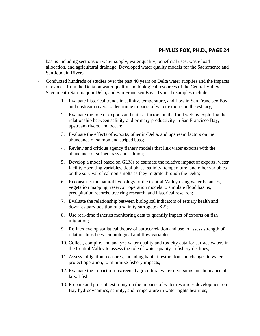basins including sections on water supply, water quality, beneficial uses, waste load allocation, and agricultural drainage. Developed water quality models for the Sacramento and San Joaquin Rivers.

- Conducted hundreds of studies over the past 40 years on Delta water supplies and the impacts of exports from the Delta on water quality and biological resources of the Central Valley, Sacramento-San Joaquin Delta, and San Francisco Bay. Typical examples include:
	- 1. Evaluate historical trends in salinity, temperature, and flow in San Francisco Bay and upstream rivers to determine impacts of water exports on the estuary;
	- 2. Evaluate the role of exports and natural factors on the food web by exploring the relationship between salinity and primary productivity in San Francisco Bay, upstream rivers, and ocean;
	- 3. Evaluate the effects of exports, other in-Delta, and upstream factors on the abundance of salmon and striped bass;
	- 4. Review and critique agency fishery models that link water exports with the abundance of striped bass and salmon;
	- 5. Develop a model based on GLMs to estimate the relative impact of exports, water facility operating variables, tidal phase, salinity, temperature, and other variables on the survival of salmon smolts as they migrate through the Delta;
	- 6. Reconstruct the natural hydrology of the Central Valley using water balances, vegetation mapping, reservoir operation models to simulate flood basins, precipitation records, tree ring research, and historical research;
	- 7. Evaluate the relationship between biological indicators of estuary health and down-estuary position of a salinity surrogate (X2);
	- 8. Use real-time fisheries monitoring data to quantify impact of exports on fish migration;
	- 9. Refine/develop statistical theory of autocorrelation and use to assess strength of relationships between biological and flow variables;
	- 10. Collect, compile, and analyze water quality and toxicity data for surface waters in the Central Valley to assess the role of water quality in fishery declines;
	- 11. Assess mitigation measures, including habitat restoration and changes in water project operation, to minimize fishery impacts;
	- 12. Evaluate the impact of unscreened agricultural water diversions on abundance of larval fish;
	- 13. Prepare and present testimony on the impacts of water resources development on Bay hydrodynamics, salinity, and temperature in water rights hearings;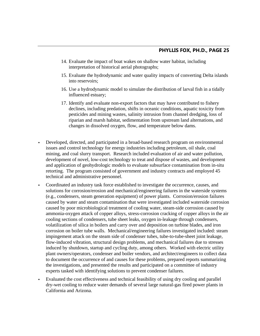- 14. Evaluate the impact of boat wakes on shallow water habitat, including interpretation of historical aerial photographs;
- 15. Evaluate the hydrodynamic and water quality impacts of converting Delta islands into reservoirs;
- 16. Use a hydrodynamic model to simulate the distribution of larval fish in a tidally influenced estuary;
- 17. Identify and evaluate non-export factors that may have contributed to fishery declines, including predation, shifts in oceanic conditions, aquatic toxicity from pesticides and mining wastes, salinity intrusion from channel dredging, loss of riparian and marsh habitat, sedimentation from upstream land alternations, and changes in dissolved oxygen, flow, and temperature below dams.
- Developed, directed, and participated in a broad-based research program on environmental issues and control technology for energy industries including petroleum, oil shale, coal mining, and coal slurry transport. Research included evaluation of air and water pollution, development of novel, low-cost technology to treat and dispose of wastes, and development and application of geohydrologic models to evaluate subsurface contamination from in-situ retorting. The program consisted of government and industry contracts and employed 45 technical and administrative personnel.
- Coordinated an industry task force established to investigate the occurrence, causes, and solutions for corrosion/erosion and mechanical/engineering failures in the waterside systems (e.g., condensers, steam generation equipment) of power plants. Corrosion/erosion failures caused by water and steam contamination that were investigated included waterside corrosion caused by poor microbiological treatment of cooling water, steam-side corrosion caused by ammonia-oxygen attack of copper alloys, stress-corrosion cracking of copper alloys in the air cooling sections of condensers, tube sheet leaks, oxygen in-leakage through condensers, volatilization of silica in boilers and carry over and deposition on turbine blades, and iron corrosion on boiler tube walls. Mechanical/engineering failures investigated included: steam impingement attack on the steam side of condenser tubes, tube-to-tube-sheet joint leakage, flow-induced vibration, structural design problems, and mechanical failures due to stresses induced by shutdown, startup and cycling duty, among others. Worked with electric utility plant owners/operators, condenser and boiler vendors, and architect/engineers to collect data to document the occurrence of and causes for these problems, prepared reports summarizing the investigations, and presented the results and participated on a committee of industry experts tasked with identifying solutions to prevent condenser failures.
- Evaluated the cost effectiveness and technical feasibility of using dry cooling and parallel dry-wet cooling to reduce water demands of several large natural-gas fired power plants in California and Arizona.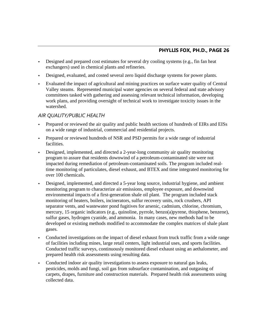- Designed and prepared cost estimates for several dry cooling systems (e.g., fin fan heat exchangers) used in chemical plants and refineries.
- Designed, evaluated, and costed several zero liquid discharge systems for power plants.
- Evaluated the impact of agricultural and mining practices on surface water quality of Central Valley steams. Represented municipal water agencies on several federal and state advisory committees tasked with gathering and assessing relevant technical information, developing work plans, and providing oversight of technical work to investigate toxicity issues in the watershed.

#### *AIR QUALITY/PUBLIC HEALTH*

- Prepared or reviewed the air quality and public health sections of hundreds of EIRs and EISs on a wide range of industrial, commercial and residential projects.
- Prepared or reviewed hundreds of NSR and PSD permits for a wide range of industrial facilities.
- Designed, implemented, and directed a 2-year-long community air quality monitoring program to assure that residents downwind of a petroleum-contaminated site were not impacted during remediation of petroleum-contaminated soils. The program included realtime monitoring of particulates, diesel exhaust, and BTEX and time integrated monitoring for over 100 chemicals.
- Designed, implemented, and directed a 5-year long source, industrial hygiene, and ambient monitoring program to characterize air emissions, employee exposure, and downwind environmental impacts of a first-generation shale oil plant. The program included stack monitoring of heaters, boilers, incinerators, sulfur recovery units, rock crushers, API separator vents, and wastewater pond fugitives for arsenic, cadmium, chlorine, chromium, mercury, 15 organic indicators (e.g., quinoline, pyrrole, benzo(a)pyrene, thiophene, benzene), sulfur gases, hydrogen cyanide, and ammonia. In many cases, new methods had to be developed or existing methods modified to accommodate the complex matrices of shale plant gases.
- Conducted investigations on the impact of diesel exhaust from truck traffic from a wide range of facilities including mines, large retail centers, light industrial uses, and sports facilities. Conducted traffic surveys, continuously monitored diesel exhaust using an aethalometer, and prepared health risk assessments using resulting data.
- Conducted indoor air quality investigations to assess exposure to natural gas leaks, pesticides, molds and fungi, soil gas from subsurface contamination, and outgasing of carpets, drapes, furniture and construction materials. Prepared health risk assessments using collected data.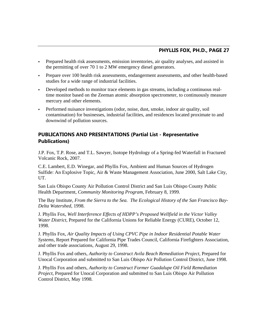- Prepared health risk assessments, emission inventories, air quality analyses, and assisted in the permitting of over 70 1 to 2 MW emergency diesel generators.
- Prepare over 100 health risk assessments, endangerment assessments, and other health-based studies for a wide range of industrial facilities.
- Developed methods to monitor trace elements in gas streams, including a continuous realtime monitor based on the Zeeman atomic absorption spectrometer, to continuously measure mercury and other elements.
- Performed nuisance investigations (odor, noise, dust, smoke, indoor air quality, soil contamination) for businesses, industrial facilities, and residences located proximate to and downwind of pollution sources.

#### **PUBLICATIONS AND PRESENTATIONS (Partial List - Representative Publications)**

J.P. Fox, T.P. Rose, and T.L. Sawyer, Isotope Hydrology of a Spring-fed Waterfall in Fractured Volcanic Rock, 2007.

C.E. Lambert, E.D. Winegar, and Phyllis Fox, Ambient and Human Sources of Hydrogen Sulfide: An Explosive Topic, Air & Waste Management Association, June 2000, Salt Lake City, UT.

San Luis Obispo County Air Pollution Control District and San Luis Obispo County Public Health Department, *Community Monitoring Program,* February 8, 1999.

The Bay Institute, *From the Sierra to the Sea. The Ecological History of the San Francisco Bay-Delta Watershed*, 1998.

J. Phyllis Fox, *Well Interference Effects of HDPP's Proposed Wellfield in the Victor Valley Water District*, Prepared for the California Unions for Reliable Energy (CURE), October 12, 1998.

J. Phyllis Fox, *Air Quality Impacts of Using CPVC Pipe in Indoor Residential Potable Water Systems*, Report Prepared for California Pipe Trades Council, California Firefighters Association, and other trade associations, August 29, 1998.

J. Phyllis Fox and others, *Authority to Construct Avila Beach Remediation Project*, Prepared for Unocal Corporation and submitted to San Luis Obispo Air Pollution Control District, June 1998.

J. Phyllis Fox and others, *Authority to Construct Former Guadalupe Oil Field Remediation Project*, Prepared for Unocal Corporation and submitted to San Luis Obispo Air Pollution Control District, May 1998.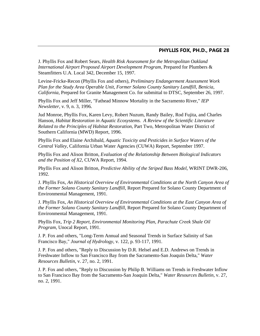J. Phyllis Fox and Robert Sears, *Health Risk Assessment for the Metropolitan Oakland International Airport Proposed Airport Development Program*, Prepared for Plumbers & Steamfitters U.A. Local 342, December 15, 1997.

Levine-Fricke-Recon (Phyllis Fox and others), *Preliminary Endangerment Assessment Work Plan for the Study Area Operable Unit, Former Solano County Sanitary Landfill, Benicia, California*, Prepared for Granite Management Co. for submittal to DTSC, September 26, 1997.

Phyllis Fox and Jeff Miller, "Fathead Minnow Mortality in the Sacramento River," *IEP Newsletter*, v. 9, n. 3, 1996.

Jud Monroe, Phyllis Fox, Karen Levy, Robert Nuzum, Randy Bailey, Rod Fujita, and Charles Hanson, *Habitat Restoration in Aquatic Ecosystems. A Review of the Scientific Literature Related to the Principles of Habitat Restoration*, Part Two, Metropolitan Water District of Southern California (MWD) Report, 1996.

Phyllis Fox and Elaine Archibald, *Aquatic Toxicity and Pesticides in Surface Waters of the Central Valley*, California Urban Water Agencies (CUWA) Report, September 1997.

Phyllis Fox and Alison Britton, *Evaluation of the Relationship Between Biological Indicators and the Position of X2*, CUWA Report, 1994.

Phyllis Fox and Alison Britton, *Predictive Ability of the Striped Bass Model*, WRINT DWR-206, 1992.

J. Phyllis Fox, *An Historical Overview of Environmental Conditions at the North Canyon Area of the Former Solano County Sanitary Landfill*, Report Prepared for Solano County Department of Environmental Management, 1991.

J. Phyllis Fox, *An Historical Overview of Environmental Conditions at the East Canyon Area of the Former Solano County Sanitary Landfill*, Report Prepared for Solano County Department of Environmental Management, 1991.

Phyllis Fox, *Trip 2 Report, Environmental Monitoring Plan, Parachute Creek Shale Oil Program*, Unocal Report, 1991.

J. P. Fox and others, "Long-Term Annual and Seasonal Trends in Surface Salinity of San Francisco Bay," *Journal of Hydrology*, v. 122, p. 93-117, 1991.

J. P. Fox and others, "Reply to Discussion by D.R. Helsel and E.D. Andrews on Trends in Freshwater Inflow to San Francisco Bay from the Sacramento-San Joaquin Delta," *Water Resources Bulletin*, v. 27, no. 2, 1991.

J. P. Fox and others, "Reply to Discussion by Philip B. Williams on Trends in Freshwater Inflow to San Francisco Bay from the Sacramento-San Joaquin Delta," *Water Resources Bulletin*, v. 27, no. 2, 1991.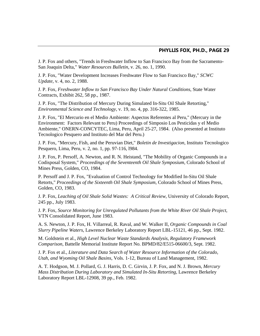J. P. Fox and others, "Trends in Freshwater Inflow to San Francisco Bay from the Sacramento-San Joaquin Delta," *Water Resources Bulletin*, v. 26, no. 1, 1990.

J. P. Fox, "Water Development Increases Freshwater Flow to San Francisco Bay," *SCWC Update*, v. 4, no. 2, 1988.

J. P. Fox, *Freshwater Inflow to San Francisco Bay Under Natural Conditions*, State Water Contracts, Exhibit 262, 58 pp., 1987.

J. P. Fox, "The Distribution of Mercury During Simulated In-Situ Oil Shale Retorting," *Environmental Science and Technology*, v. 19, no. 4, pp. 316-322, 1985.

J. P. Fox, "El Mercurio en el Medio Ambiente: Aspectos Referentes al Peru," (Mercury in the Environment: Factors Relevant to Peru) Proceedings of Simposio Los Pesticidas y el Medio Ambiente," ONERN-CONCYTEC, Lima, Peru, April 25-27, 1984. (Also presented at Instituto Tecnologico Pesquero and Instituto del Mar del Peru.)

J. P. Fox, "Mercury, Fish, and the Peruvian Diet," *Boletin de Investigacion*, Instituto Tecnologico Pesquero, Lima, Peru, v. 2, no. 1, pp. 97-116, l984.

J. P. Fox, P. Persoff, A. Newton, and R. N. Heistand, "The Mobility of Organic Compounds in a Codisposal System," *Proceedings of the Seventeenth Oil Shale Symposium*, Colorado School of Mines Press, Golden, CO, 1984.

P. Persoff and J. P. Fox, "Evaluation of Control Technology for Modified In-Situ Oil Shale Retorts," *Proceedings of the Sixteenth Oil Shale Symposium*, Colorado School of Mines Press, Golden, CO, 1983.

J. P. Fox, *Leaching of Oil Shale Solid Wastes: A Critical Review*, University of Colorado Report, 245 pp., July 1983.

J. P. Fox, *Source Monitoring for Unregulated Pollutants from the White River Oil Shale Project*, VTN Consolidated Report, June 1983.

A. S. Newton, J. P. Fox, H. Villarreal, R. Raval, and W. Walker II, *Organic Compounds in Coal Slurry Pipeline Waters*, Lawrence Berkeley Laboratory Report LBL-15121, 46 pp., Sept. 1982.

M. Goldstein et al., *High Level Nuclear Waste Standards Analysis, Regulatory Framework Comparison*, Battelle Memorial Institute Report No. BPMD/82/E515-06600/3, Sept. 1982.

J. P. Fox et al., *Literature and Data Search of Water Resource Information of the Colorado, Utah, and Wyoming Oil Shale Basins*, Vols. 1-12, Bureau of Land Management, 1982.

A. T. Hodgson, M. J. Pollard, G. J. Harris, D. C. Girvin, J. P. Fox, and N. J. Brown, *Mercury Mass Distribution During Laboratory and Simulated In-Situ Retorting*, Lawrence Berkeley Laboratory Report LBL-12908, 39 pp., Feb. 1982.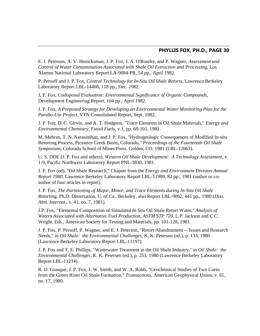E. J. Peterson, A. V. Henicksman, J. P. Fox, J. A. O'Rourke, and P. Wagner, *Assessment and Control of Water Contamination Associated with Shale Oil Extraction and Processing*, Los Alamos National Laboratory Report LA-9084-PR, 54 pp., April 1982.

P. Persoff and J. P. Fox, *Control Technology for In-Situ Oil Shale Retorts*, Lawrence Berkeley Laboratory Report LBL-14468, 118 pp., Dec. 1982.

J. P. Fox, *Codisposal Evaluation: Environmental Significance of Organic Compounds*, Development Engineering Report, 104 pp., April 1982.

J. P. Fox, *A Proposed Strategy for Developing an Environmental Water Monitoring Plan for the Paraho-Ute Project*, VTN Consolidated Report, Sept. 1982.

J. P. Fox, D. C. Girvin, and A. T. Hodgson, "Trace Elements in Oil Shale Materials," *Energy and Environmental Chemistry, Fossil Fuels*, v.1, pp. 69-101, 1982.

M. Mehran, T. N. Narasimhan, and J. P. Fox, "Hydrogeologic Consequences of Modified In-situ Retorting Process, Piceance Creek Basin, Colorado," *Proceedings of the Fourteenth Oil Shale Symposium*, Colorado School of Mines Press, Golden, CO, 1981 (LBL-12063).

U. S. DOE (J. P. Fox and others), *Western Oil Shale Development: A Technology Assessment*, v. 1-9, Pacific Northwest Laboratory Report PNL-3830, 1981.

J. P. Fox (ed), "Oil Shale Research," Chapter from the *Energy and Environment Division Annual Report 1980*, Lawrence Berkeley Laboratory Report LBL-11989, 82 pp., 1981 (author or coauthor of four articles in report).

J. P. Fox, *The Partitioning of Major, Minor, and Trace Elements during In-Situ Oil Shale Retorting*, Ph.D. Dissertation, U. of Ca., Berkeley, also Report LBL-9062, 441 pp., 1980 (*Diss. Abst. Internat.*, v. 41, no. 7, 1981).

J.P. Fox, "Elemental Composition of Simulated *In Situ* Oil Shale Retort Water," *Analysis of Waters Associated with Alternative Fuel Production, ASTM STP 720*, L.P. Jackson and C.C. Wright, Eds., American Society for Testing and Materials, pp. 101-128, 1981.

J. P. Fox, P. Persoff, P. Wagner, and E. J. Peterson, "Retort Abandonment -- Issues and Research Needs," in *Oil Shale: the Environmental Challenges*, K. K. Petersen (ed.), p. 133, 1980 (Lawrence Berkeley Laboratory Report LBL-11197).

J. P. Fox and T. E. Phillips, "Wastewater Treatment in the Oil Shale Industry," in *Oil Shale: the Environmental Challenges*, K. K. Petersen (ed.), p. 253, 1980 (Lawrence Berkeley Laboratory Report LBL-11214).

R. D. Giauque, J. P. Fox, J. W. Smith, and W. A. Robb, "Geochemical Studies of Two Cores from the Green River Oil Shale Formation," *Transactions*, American Geophysical Union, v. 61, no. 17, 1980.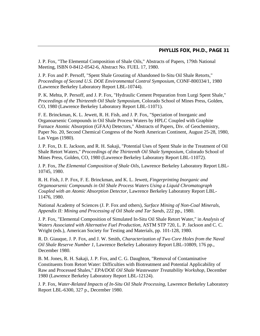J. P. Fox, "The Elemental Composition of Shale Oils," Abstracts of Papers, 179th National Meeting, ISBN 0-8412-0542-6, Abstract No. FUEL 17, 1980.

J. P. Fox and P. Persoff, "Spent Shale Grouting of Abandoned In-Situ Oil Shale Retorts," *Proceedings of Second U.S. DOE Environmental Control Symposium*, CONF-800334/1, 1980 (Lawrence Berkeley Laboratory Report LBL-10744).

P. K. Mehta, P. Persoff, and J. P. Fox, "Hydraulic Cement Preparation from Lurgi Spent Shale," *Proceedings of the Thirteenth Oil Shale Symposium*, Colorado School of Mines Press, Golden, CO, 1980 (Lawrence Berkeley Laboratory Report LBL-11071).

F. E. Brinckman, K. L. Jewett, R. H. Fish, and J. P. Fox, "Speciation of Inorganic and Organoarsenic Compounds in Oil Shale Process Waters by HPLC Coupled with Graphite Furnace Atomic Absorption (GFAA) Detectors," Abstracts of Papers, Div. of Geochemistry, Paper No. 20, Second Chemical Congress of the North American Continent, August 25-28, 1980, Las Vegas (1980).

J. P. Fox, D. E. Jackson, and R. H. Sakaji, "Potential Uses of Spent Shale in the Treatment of Oil Shale Retort Waters," *Proceedings of the Thirteenth Oil Shale Symposium*, Colorado School of Mines Press, Golden, CO, 1980 (Lawrence Berkeley Laboratory Report LBL-11072).

J. P. Fox, *The Elemental Composition of Shale Oils*, Lawrence Berkeley Laboratory Report LBL-10745, 1980.

R. H. Fish, J. P. Fox, F. E. Brinckman, and K. L. Jewett, *Fingerprinting Inorganic and Organoarsenic Compounds in Oil Shale Process Waters Using a Liquid Chromatograph Coupled with an Atomic Absorption Detector*, Lawrence Berkeley Laboratory Report LBL-11476, 1980.

National Academy of Sciences (J. P. Fox and others), *Surface Mining of Non-Coal Minerals, Appendix II: Mining and Processing of Oil Shale and Tar Sands*, 222 pp., 1980.

J. P. Fox, "Elemental Composition of Simulated In-Situ Oil Shale Retort Water," in *Analysis of Waters Associated with Alternative Fuel Production*, ASTM STP 720, L. P. Jackson and C. C. Wright (eds.), American Society for Testing and Materials, pp. 101-128, 1980.

R. D. Giauque, J. P. Fox, and J. W. Smith, *Characterization of Two Core Holes from the Naval Oil Shale Reserve Number 1*, Lawrence Berkeley Laboratory Report LBL-10809, 176 pp., December 1980.

B. M. Jones, R. H. Sakaji, J. P. Fox, and C. G. Daughton, "Removal of Contaminative Constituents from Retort Water: Difficulties with Biotreatment and Potential Applicability of Raw and Processed Shales," *EPA/DOE Oil Shale Wastewater Treatability Workshop*, December 1980 (Lawrence Berkeley Laboratory Report LBL-12124).

J. P. Fox, *Water-Related Impacts of In-Situ Oil Shale Processing*, Lawrence Berkeley Laboratory Report LBL-6300, 327 p., December 1980.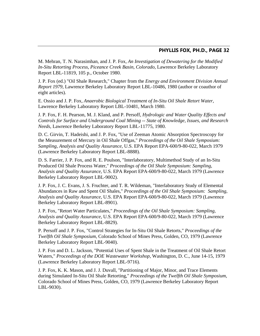M. Mehran, T. N. Narasimhan, and J. P. Fox, *An Investigation of Dewatering for the Modified In-Situ Retorting Process, Piceance Creek Basin, Colorado*, Lawrence Berkeley Laboratory Report LBL-11819, 105 p., October 1980.

J. P. Fox (ed.) "Oil Shale Research," Chapter from the *Energy and Environment Division Annual Report 1979*, Lawrence Berkeley Laboratory Report LBL-10486, 1980 (author or coauthor of eight articles).

E. Ossio and J. P. Fox, *Anaerobic Biological Treatment of In-Situ Oil Shale Retort Water*, Lawrence Berkeley Laboratory Report LBL-10481, March 1980.

J. P. Fox, F. H. Pearson, M. J. Kland, and P. Persoff, *Hydrologic and Water Quality Effects and Controls for Surface and Underground Coal Mining -- State of Knowledge, Issues, and Research Needs*, Lawrence Berkeley Laboratory Report LBL-11775, 1980.

D. C. Girvin, T. Hadeishi, and J. P. Fox, "Use of Zeeman Atomic Absorption Spectroscopy for the Measurement of Mercury in Oil Shale Offgas," *Proceedings of the Oil Shale Symposium: Sampling, Analysis and Quality Assurance*, U.S. EPA Report EPA-600/9-80-022, March 1979 (Lawrence Berkeley Laboratory Report LBL-8888).

D. S. Farrier, J. P. Fox, and R. E. Poulson, "Interlaboratory, Multimethod Study of an In-Situ Produced Oil Shale Process Water," *Proceedings of the Oil Shale Symposium: Sampling, Analysis and Quality Assurance*, U.S. EPA Report EPA-600/9-80-022, March 1979 (Lawrence Berkeley Laboratory Report LBL-9002).

J. P. Fox, J. C. Evans, J. S. Fruchter, and T. R. Wildeman, "Interlaboratory Study of Elemental Abundances in Raw and Spent Oil Shales," *Proceedings of the Oil Shale Symposium: Sampling, Analysis and Quality Assurance*, U.S. EPA Report EPA-600/9-80-022, March 1979 (Lawrence Berkeley Laboratory Report LBL-8901).

J. P. Fox, "Retort Water Particulates," *Proceedings of the Oil Shale Symposium: Sampling, Analysis and Quality Assurance*, U.S. EPA Report EPA-600/9-80-022, March 1979 (Lawrence Berkeley Laboratory Report LBL-8829).

P. Persoff and J. P. Fox, "Control Strategies for In-Situ Oil Shale Retorts," *Proceedings of the Twelfth Oil Shale Symposium*, Colorado School of Mines Press, Golden, CO, 1979 (Lawrence Berkeley Laboratory Report LBL-9040).

J. P. Fox and D. L. Jackson, "Potential Uses of Spent Shale in the Treatment of Oil Shale Retort Waters," *Proceedings of the DOE Wastewater Workshop*, Washington, D. C., June 14-15, 1979 (Lawrence Berkeley Laboratory Report LBL-9716).

J. P. Fox, K. K. Mason, and J. J. Duvall, "Partitioning of Major, Minor, and Trace Elements during Simulated In-Situ Oil Shale Retorting," *Proceedings of the Twelfth Oil Shale Symposium*, Colorado School of Mines Press, Golden, CO, 1979 (Lawrence Berkeley Laboratory Report LBL-9030).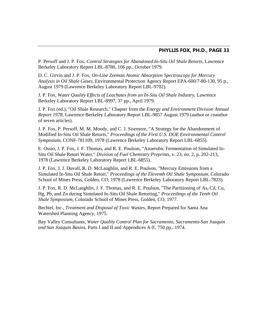P. Persoff and J. P. Fox, *Control Strategies for Abandoned In-Situ Oil Shale Retorts*, Lawrence Berkeley Laboratory Report LBL-8780, 106 pp., October 1979.

D. C. Girvin and J. P. Fox, *On-Line Zeeman Atomic Absorption Spectroscopy for Mercury Analysis in Oil Shale Gases*, Environmental Protection Agency Report EPA-600/7-80-130, 95 p., August 1979 (Lawrence Berkeley Laboratory Report LBL-9702).

J. P. Fox, *Water Quality Effects of Leachates from an In-Situ Oil Shale Industry*, Lawrence Berkeley Laboratory Report LBL-8997, 37 pp., April 1979.

J. P. Fox (ed.), "Oil Shale Research," Chapter from the *Energy and Environment Division Annual Report 1978*, Lawrence Berkeley Laboratory Report LBL-9857 August 1979 (author or coauthor of seven articles).

J. P. Fox, P. Persoff, M. M. Moody, and C. J. Sisemore, "A Strategy for the Abandonment of Modified In-Situ Oil Shale Retorts," *Proceedings of the First U.S. DOE Environmental Control Symposium*, CONF-781109, 1978 (Lawrence Berkeley Laboratory Report LBL-6855).

E. Ossio, J. P. Fox, J. F. Thomas, and R. E. Poulson, "Anaerobic Fermentation of Simulated In-Situ Oil Shale Retort Water," *Division of Fuel Chemistry Preprints*, v. 23, no. 2, p. 202-213, 1978 (Lawrence Berkeley Laboratory Report LBL-6855).

J. P. Fox, J. J. Duvall, R. D. McLaughlin, and R. E. Poulson, "Mercury Emissions from a Simulated In-Situ Oil Shale Retort," *Proceedings of the Eleventh Oil Shale Symposium*, Colorado School of Mines Press, Golden, CO, 1978 (Lawrence Berkeley Laboratory Report LBL-7823).

J. P. Fox, R. D. McLaughlin, J. F. Thomas, and R. E. Poulson, "The Partitioning of As, Cd, Cu, Hg, Pb, and Zn during Simulated In-Situ Oil Shale Retorting," *Proceedings of the Tenth Oil Shale Symposium*, Colorado School of Mines Press, Golden, CO, 1977.

Bechtel, Inc., *Treatment and Disposal of Toxic Wastes*, Report Prepared for Santa Ana Watershed Planning Agency, 1975.

Bay Valley Consultants, *Water Quality Control Plan for Sacramento, Sacramento-San Joaquin and San Joaquin Basins*, Parts I and II and Appendices A-E, 750 pp., 1974.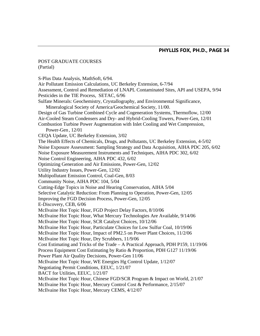#### POST GRADUATE COURSES (Partial)

S-Plus Data Analysis, MathSoft, 6/94. Air Pollutant Emission Calculations, UC Berkeley Extension, 6-7/94 Assessment, Control and Remediation of LNAPL Contaminated Sites, API and USEPA, 9/94 Pesticides in the TIE Process, SETAC, 6/96 Sulfate Minerals: Geochemistry, Crystallography, and Environmental Significance, Mineralogical Society of America/Geochemical Society, 11/00. Design of Gas Turbine Combined Cycle and Cogeneration Systems, Thermoflow, 12/00 Air-Cooled Steam Condensers and Dry- and Hybrid-Cooling Towers, Power-Gen, 12/01 Combustion Turbine Power Augmentation with Inlet Cooling and Wet Compression, Power-Gen , 12/01 CEQA Update, UC Berkeley Extension, 3/02 The Health Effects of Chemicals, Drugs, and Pollutants, UC Berkeley Extension, 4-5/02 Noise Exposure Assessment: Sampling Strategy and Data Acquisition, AIHA PDC 205, 6/02 Noise Exposure Measurement Instruments and Techniques, AIHA PDC 302, 6/02 Noise Control Engineering, AIHA PDC 432, 6/02 Optimizing Generation and Air Emissions, Power-Gen, 12/02 Utility Industry Issues, Power-Gen, 12/02 Multipollutant Emission Control, Coal-Gen, 8/03 Community Noise, AIHA PDC 104, 5/04 Cutting-Edge Topics in Noise and Hearing Conservation, AIHA 5/04 Selective Catalytic Reduction: From Planning to Operation, Power-Gen, 12/05 Improving the FGD Decision Process, Power-Gen, 12/05 E-Discovery, CEB, 6/06 McIlvaine Hot Topic Hour, FGD Project Delay Factors, 8/10/06 McIlvaine Hot Topic Hour, What Mercury Technologies Are Available, 9/14/06 McIlvaine Hot Topic Hour, SCR Catalyst Choices, 10/12/06 McIlvaine Hot Topic Hour, Particulate Choices for Low Sulfur Coal, 10/19/06 McIlvaine Hot Topic Hour, Impact of PM2.5 on Power Plant Choices, 11/2/06 McIlvaine Hot Topic Hour, Dry Scrubbers, 11/9/06 Cost Estimating and Tricks of the Trade – A Practical Approach, PDH P159, 11/19/06 Process Equipment Cost Estimating by Ratio & Proportion, PDH G127 11/19/06 Power Plant Air Quality Decisions, Power-Gen 11/06 McIlvaine Hot Topic Hour, WE Energies Hg Control Update, 1/12/07 Negotiating Permit Conditions, EEUC, 1/21/07 BACT for Utilities, EEUC, 1/21/07 McIlvaine Hot Topic Hour, Chinese FGD/SCR Program & Impact on World, 2/1/07 McIlvaine Hot Topic Hour, Mercury Control Cost & Performance, 2/15/07 McIlvaine Hot Topic Hour, Mercury CEMS, 4/12/07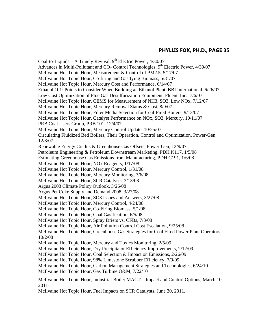Coal-to-Liquids – A Timely Revival,  $9<sup>th</sup>$  Electric Power,  $4/30/07$ Advances in Multi-Pollutant and  $CO<sub>2</sub>$  Control Technologies,  $9<sup>th</sup>$  Electric Power, 4/30/07 McIlvaine Hot Topic Hour, Measurement & Control of PM2.5, 5/17/07 McIlvaine Hot Topic Hour, Co-firing and Gasifying Biomass, 5/31/07 McIlvaine Hot Topic Hour, Mercury Cost and Performance, 6/14/07 Ethanol 101: Points to Consider When Building an Ethanol Plant, BBI International, 6/26/07 Low Cost Optimization of Flue Gas Desulfurization Equipment, Fluent, Inc., 7/6/07. McIlvaine Hot Topic Hour, CEMS for Measurement of NH3, SO3, Low NOx, 7/12/07 McIlvaine Hot Topic Hour, Mercury Removal Status & Cost, 8/9/07 McIlvaine Hot Topic Hour, Filter Media Selection for Coal-Fired Boilers, 9/13/07 McIlvaine Hot Topic Hour, Catalyst Performance on NOx, SO3, Mercury, 10/11/07 PRB Coal Users Group, PRB 101, 12/4/07 McIlvaine Hot Topic Hour, Mercury Control Update, 10/25/07 Circulating Fluidized Bed Boilers, Their Operation, Control and Optimization, Power-Gen, 12/8/07 Renewable Energy Credits & Greenhouse Gas Offsets, Power-Gen, 12/9/07 Petroleum Engineering & Petroleum Downstream Marketing, PDH K117, 1/5/08 Estimating Greenhouse Gas Emissions from Manufacturing, PDH C191, 1/6/08 McIlvaine Hot Topic Hour, NOx Reagents, 1/17/08 McIlvaine Hot Topic Hour, Mercury Control, 1/31/08 McIlvaine Hot Topic Hour, Mercury Monitoring, 3/6/08 McIlvaine Hot Topic Hour, SCR Catalysts, 3/13/08 Argus 2008 Climate Policy Outlook, 3/26/08 Argus Pet Coke Supply and Demand 2008, 3/27/08 McIlvaine Hot Topic Hour, SO3 Issues and Answers, 3/27/08 McIlvaine Hot Topic Hour, Mercury Control, 4/24/08 McIlvaine Hot Topic Hour, Co-Firing Biomass, 5/1/08 McIlvaine Hot Topic Hour, Coal Gasification, 6/5/08 McIlvaine Hot Topic Hour, Spray Driers vs. CFBs, 7/3/08 McIlvaine Hot Topic Hour, Air Pollution Control Cost Escalation, 9/25/08 McIlvaine Hot Topic Hour, Greenhouse Gas Strategies for Coal Fired Power Plant Operators, 10/2/08 McIlvaine Hot Topic Hour, Mercury and Toxics Monitoring, 2/5/09 McIlvaine Hot Topic Hour, Dry Precipitator Efficiency Improvements, 2/12/09 McIlvaine Hot Topic Hour, Coal Selection & Impact on Emissions, 2/26/09 McIlvaine Hot Topic Hour, 98% Limestone Scrubber Efficiency, 7/9/09 McIlvaine Hot Topic Hour, Carbon Management Strategies and Technologies, 6/24/10 McIlvaine Hot Topic Hour, Gas Turbine O&M, 7/22/10 McIlvaine Hot Topic Hour, Industrial Boiler MACT – Impact and Control Options, March 10, 2011

McIlvaine Hot Topic Hour, Fuel Impacts on SCR Catalysts, June 30, 2011.